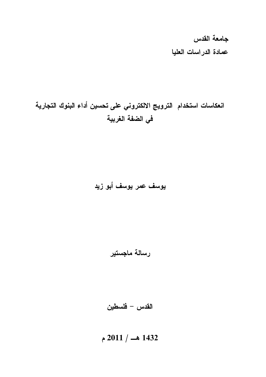جامعة القدس عمادة الدراسات العليا

# انعكاسات استخدام الترويج الالكتروني على تحسين أداء البنوك التجارية في الضفة الغربية

يوسف عمر يوسف أبو زيد

رسالة ماجستير

القدس – فلسطين

 $2011 / 1432$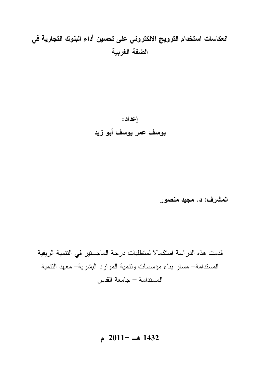# انعكاسات استخدام الترويج الالكتروني على تحسين أداء البنوك التجارية فى الضفة الغربية

إعداد : يوسف عمر يوسف أبو زيد

المشرف: د. مجيد منصور

قدمت هذه الدراسة استكمالا لمتطلبات درجة الماجستير في النتمية الريفية المستدامة– مسار بناء مؤسسات ونتمية الموارد البشرية– معهد النتمية المستدامة – جامعة القدس

## 1432 هـ -2011 م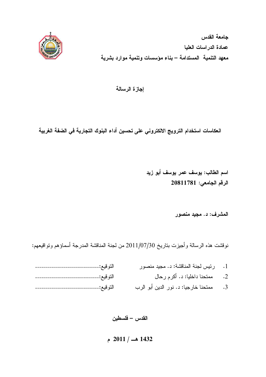جامعة القدس عمادة الدراسات العليا معهد التنمية المستدامة – بناء مؤسسات وتنمية موارد بشرية



## إجازة الرسالة

انعكاسات استخدام الترويج الالكتروني على تحسين أداء البنوك التجارية في الضفة الغربية

اسم الطالب: يوسف عمر يوسف أبو زيد الرقم الجامعي: 20811781

المشرف: د. مجيد منصور

نوقشت هذه الرسالة وأجيزت بناريخ 2011/07/30 من لجنة المناقشة المدرجة أسماؤهم وتواقيعهم:

| 1. رئيس لجنة المناقشة: د. مجيد منصور          |  |
|-----------------------------------------------|--|
| 2.       ممتحنا داخليا: د. أكرم رحال          |  |
| 3.       ممتحنا خارجيا: د. نور الدين أبو الرب |  |

القدس — فلسطين

 $2011 /$  هـ 2011 م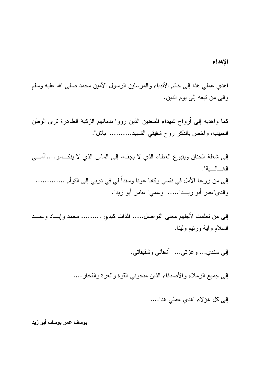## الإهداء

اهدي عملـي هذا إلـي خاتم الأنبياء والمرسلين الرسول الأمين محمد صلـي الله عليه وسلم والى من نبعه إلى بوم الدين.

كما واهديه إلى أرواح شهداء فلسطين الذين رووا بدمائهم الزكية الطاهرة ثرى الوطن الحبيب، واخص بالذكر روح شقيقي الشهيد..........." بلال".

إلى شعلة الحنان وينبوع العطاء الذي لا يجف، إلى الماس الذي لا ينكـــسر....."أمــــي الغالسة". إلى من زرعا الأمل في نفسي وكانا عونا وسنداً لي في دربي إلى النوأم .............. والدي"عمر أبو زيـــد"..... وعمي" عامر أبو زيد".

إلى من تعلمت لأجلهم معنى التواصل..... فلذات كبدي .......... محمد وإيساد وعبـــد السلام وأبية ورنيم ولينا.

إلى سندي... وعزتي... أَشْقَائي وشَقْبِقَاتي.

إلى جميع الزملاء والأصدقاء الذين منحونبي القوة والعزة والفخار ….

إلى كل هؤلاء اهدي عملي هذا....

يوسف عمر يوسف أبو زيد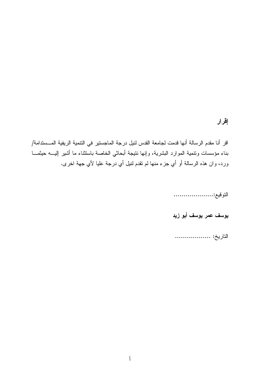## إقرار

اقر أنا مقدم الرسالة أنها قدمت لجامعة القدس لنيل درجة الماجستير في النتمية الريفية المــستدامة/ بناء مؤسسات ونتمية الموارد البشرية، وإنها نتيجة أبحاثي الخاصة باستثناء ما أشير إليـــه حيثمـــا ورد، وان هذه الرسالة أو أي جزء منها لم تقدم لنيل أي درجة عليا لأي جهة اخرى.

التوقيع:...........................

يوسف عمر يوسف أبو زيد

التاريخ: ......................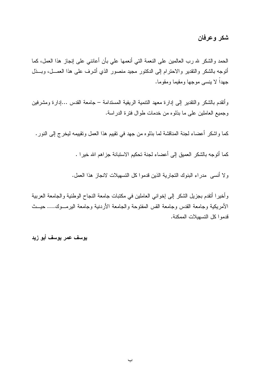## شكر وعرفان

الحمد والشكر لله رب العالمين على النعمة التي أنعمها على بأن أعانني على إنجاز هذا العمل، كما أنوجه بالشكر والنقدير والاحترام إلىي الدكتور مجيد منصور الذي أشرف على هذا العمـــل، وبـــذل جهداً لا بنسي موجها ومقبما ومقوما.

وأتقدم بالشكر والنقدير إلىي إدارة معهد النتمية الريفية المسندامة – جامعة القدس …إدارة ومشرفين وجميع العاملين على ما بذلوه من خدمات طوال فترة الدراسة.

كما واشكر أعضاء لجنة المناقشة لما بذلوه من جهد في نقييم هذا العمل ونقييمه ليخرج إلىي النور .

كما أتوجه بالشكر العميق إلى أعضاء لجنة تحكيم الاستبانة جزاهم الله خيرا .

ولا أنسى مدراء البنوك التجارية الذين قدموا كل التسهيلات لانجاز هذا العمل.

وأخيرًا أنقدم بجزيل الشكر إلى إخواني العاملين في مكتبات جامعة النجاح الوطنية والجامعة العربية الأمريكية وجامعة القدس وجامعة القس المفتوحة والجامعة الأردنية وجامعة اليرمـــوك.... حيـــث قدمو اكل التسهيلات الممكنة.

يوسف عمر يوسف أبو زيد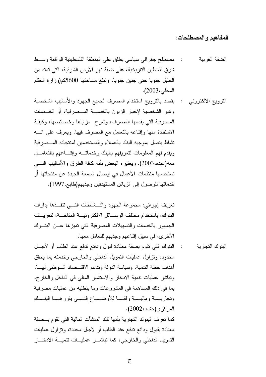## المفاهيم والمصطلحات:

- : مصطلح جغرافي سياسي يطلق على المنطقة الفلسطينية الواقعة وسط الضفة الغر بية شرق فلسطين التاريخية، على ضفة نهر الأردن الشرقية، التي تمتد من الخليل جنوبا حتى جنين جنوبا، وتبلغ مساحتها 5600كم(وزارة الحكم المحلي، 2003).
- النرويج الالكتروني : يقصد بالنرويج استخدام المصرف لجميع الجهود والأساليب الشخصية وغير الشخصية لإخبار الزبون بالخدمـــة المــصرفية، أو الخــدمات المصرفية التي يقدمها المصرف، وشرح ً مزاياها وخصائصها، وكيفية الاستفادة منها وإقناعه بالنعامل مع المصرف فيها. ويعرف على انسه نشاط بتصل بموجبه البنك بالعملاء والمستخدمين لمنتجاته المسصرفية ويقدم لهم المعلومات لنعريفهم بالبنك وخدماتسه وإقنساعهم بالنعامسل معه(عبده،2003). ويعتبره البعض بأنه كافة الطرق والأساليب التسي تستخدمها منظمات الأعمال في إيصال السمعة الجيدة عن منتجاتها أو خدماتها للوصول إلى الزبائن المستهدفين وجذبهم(طابع،1997).

تعريف إجرائي: مجموعة الجهود والنسشاطات التسي نتفــذها إدارات البنوك، باستخدام مختلف الوســـائل الالكترونيـــة المتاحـــة، لتعريـــف الجمهور بالخدمات والتسهيلات المصرفية التى تميزها عسن البنسوك الأخر ي، في سبيل إقناعهم وجذبهم للتعامل معها.

البنوك التي نقوم بصفة معتادة فبول ودائع ندفع عند الطلب أو لأجل البنوك التجارية  $\mathbb{R}^2$ محدود، ونز اول عمليات النمويل الداخلي والخارجي وخدمته بما يحقق أهداف خطة التنمية، وسياسة الدولة وندعم الاقتــصاد الـــوطنبي لهـــا، وتباشر عمليات نتمية الادخار والاستثمار المالي في الداخل والخارج، بما في ذلك المساهمة في المشروعات وما يتطلبه من عمليات مصرفية ونجاريسة وماليسة وفقسا للأوضساع التسمي يقررهسا البنسك المركز ي(حشاد،2002). كما تعرف البنوك التجارية بأنها تلك المنشآت المالية التي تقوم بــصفة

معتادة بقبول ودائع ندفع عند الطلب أو لأجال محددة، ونزاول عمليات النَّمويلِ الداخلي والخارِ جي، كما نباشـــر عمليـــات نتميـــة الادخــــار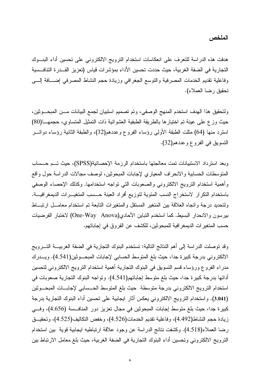#### الملخص

هدفت هذه الدراسة للتعرف على انعكاسات استخدام الترويج الالكتروني على تحسين أداء البنسوك التجارية في الضفة الغربية، حيث حددت تحسين الأداء بمؤشرات قياس (تعزيز القــدرة التنافــسية وفاعلية نقديم الخدمات المصرفية والنوسع الجغرافي وزيادة حجم النشاط المصرفي إضـــافة إلـــي تحقيق رضا العملاء).

ولتحقيق هذا الهدف استخدم المنهج الوصفي، وتم تصميم استبيان لجمع البيانات مـــن المبحـــوثين، حيث وزع على عينة تم اختيارها بالطريقة الطبقية العشوائية ذات التمثيل المتساوي، حجمهـــا(80) استرد منها (64) مثلت الطبقة الأولىي رؤساء الفروع وعددهم(32)، والطبقة الثانية رؤساء دوائــــر التسويق في الفروع وعددهم(32).

وبعد استرداد الاستبيانات تمت معالجتها باستخدام الرزمة الإحصائية(SPSS)، حيث تسم حسساب المنوسطات الحسابية والانحراف المعياري لإجابات المبحوثين، لوصف مجالات الدراسة حول واقع وأهمية استخدام النزويج الالكتروني والصعوبات التي تواجه استخدامها. وكذلك الإحصاء الوصفى باستخدام التكر ار الاستخر اج النسب المئوية لتوزيع أفراد العينة حسسب المتغيـــرات الديمغر افيـــة. ولتحديد درجة واتجاه العلاقة بين المتغير المستقل والمتغيرات التابعة تم استخدام معامــل ارتبــاط بيرسون والانحدار البسيط. كما استخدم التباين الأحادي(One-Way Anova) لاختبار الفرضيات حسب المتغير ات الديمغر افية للمبحو ثين، للكشف عن الفروق في إجاباتهم.

وقد توصلت الدراسة إلى أهم النتائج التالية: تستخدم البنوك التجارية في الضفة الغربيـــة التـــرويج الالكتروني بدرجة كبيرة جدا، حيث بلغ المنوسط الحسابي لإجابات المبحـــوثين(4.541). ويـــدرك مدراء الفروع ورؤساء فسم التسويق في البنوك النجارية أهمية استخدام النرويج الالكتروني لتحسين أدائها بدرجة كبيرة جدا، حيث بلغ منوسط إجاباتهم(4.541). وتواجه البنوك التجارية صعوبات في استخدام النرويج الالكتروني بدرجة منوسطة حيث بلغ المنوسط الحسسابي لإجابات المبحوثين (3.041). واستخدام النرويج الالكتروني يعكس أثار ايجابية على تحسين أداء البنوك النجارية بدرجة كبيرة جدا، حيث بلغ متوسط إجابات المبحوثين في مجال تعزيز دور المنافسة (4.656)، وفسى زيادة حجم النشاط(4.492)، وفاعلية تقديم الخدمات(4.526)، وخفض النكاليف(4.525)، وتحقيـــق رضا العملاء(4.518). وكشفت نتائج الدراسة عن وجود علاقة ارتباطيه ايجابية قوية بين استخدام الترويج الالكتروني وتحسين أداء البنوك التجارية في الضفة الغربية، حيث بلغ معامل الارتباط بين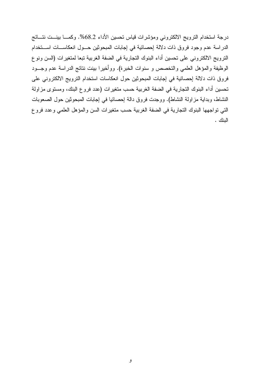درجة استخدام الترويج الالكتروني ومؤشرات قياس نحسين الأداء 68.2%. وكمـــا بينـــت نتـــائج الدر اسة عدم وجود فروق ذات دلالة إحصائية في إجابات المبحوثين حـــول انعكاســـات اســـتخدام النرويج الالكتروني على تحسين أداء البنوك التجارية في الضفة الغربية تبعا لمتغيرات (السن ونوع الوظيفة والمؤهل العلمي والتخصص و سنوات الخبرة). ووأخيرا بينت نتائج الدراسة عدم وجــود فروق ذات دلالة إحصائية في إجابات المبحوثين حول انعكاسات استخدام النرويج الالكتروني على تحسين أداء البنوك التجارية في الضفة الغربية حسب متغيرات (عدد فروع البنك، ومستوى مزاولة النشاط، وبداية مزاولة النشاط). ووجدت فروق دالة إحصائيا في إجابات المبحوثين حول الصعوبات التي نواجهها البنوك النجارية في الضفة الغربية حسب متغيرات السن والمؤهل العلمي وعدد فروع البنك .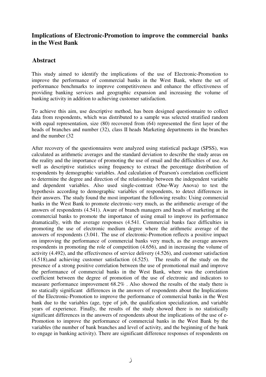## **Implications of Electronic-Promotion to improve the commercial banks in the West Bank**

## **Abstract**

This study aimed to identify the implications of the use of Electronic-Promotion to improve the performance of commercial banks in the West Bank, where the set of performance benchmarks to improve competitiveness and enhance the effectiveness of providing banking services and geographic expansion and increasing the volume of banking activity in addition to achieving customer satisfaction.

To achieve this aim, use descriptive method, has been designed questionnaire to collect data from respondents, which was distributed to a sample was selected stratified random with equal representation, size (80) recovered from (64) represented the first layer of the heads of branches and number (32), class II heads Marketing departments in the branches and the number (32

After recovery of the questionnaires were analyzed using statistical package (SPSS), was calculated as arithmetic averages and the standard deviation to describe the study areas on the reality and the importance of promoting the use of email and the difficulties of use. As well as descriptive statistics using frequency to extract the percentage distribution of respondents by demographic variables. And calculation of Pearson's correlation coefficient to determine the degree and direction of the relationship between the independent variable and dependent variables. Also used single-contrast (One-Way Anova) to test the hypothesis according to demographic variables of respondents, to detect differences in their answers. The study found the most important the following results: Using commercial banks in the West Bank to promote electronic-very much, as the arithmetic average of the answers of respondents (4.541). Aware of branch managers and heads of marketing at the commercial banks to promote the importance of using email to improve its performance dramatically, with the average responses (4.541. Commercial banks face difficulties in promoting the use of electronic medium degree where the arithmetic average of the answers of respondents (3.041. The use of electronic-Promotion reflects a positive impact on improving the performance of commercial banks very much, as the average answers respondents in promoting the role of competition (4.656), and in increasing the volume of activity (4.492), and the effectiveness of service delivery (4.526), and customer satisfaction (4.518),and achieving customer satisfaction (4.525). The results of the study on the presence of a strong positive correlation between the use of promotional mail and improve the performance of commercial banks in the West Bank, where was the correlation coefficient between the degree of promotion of the use of electronic and indicators to measure performance improvement 68.2% . Also showed the results of the study there is no statically significant differences in the answers of respondents about the Implications of the Electronic-Promotion to improve the performance of commercial banks in the West bank due to the variables (age, type of job, the qualification specialization, and variable years of experience. Finally, the results of the study showed there is no statistically significant differences in the answers of respondents about the implications of the use of e-Promotion to improve the performance of commercial banks in the West Bank by the variables (the number of bank branches and level of activity, and the beginning of the bank to engage in banking activity). There are significant difference responses of respondents on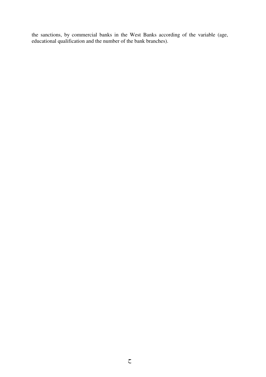the sanctions, by commercial banks in the West Banks according of the variable (age, educational qualification and the number of the bank branches).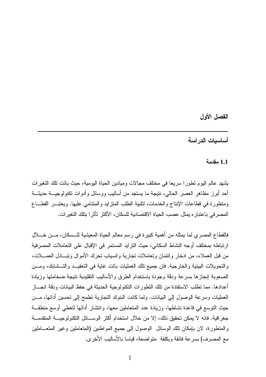الفصل الأول

أساسيات الدر اسة

1.1 مقدمة

يشهد عالم اليوم تطورا سريعا في مختلف مجالات وميادين الحياة اليومية، حيث باتت تلك التغيرات أحد أبرز مظاهر العصر الحالي، نتيجة ما يستجد من أساليب ووسائل وأدوات نكنولوجيـــة حديثـــة ومنطورة في قطاعات الإنتاج والخدمات، لنلبية الطلب المنزايد والمنتامي عليها. ويعتبـــر القطـــاع المصر في باعتبار ، يمثل عصب الحياة الاقتصادية للسكان، الأكثر تأثر ا بتلك التغير ات.

فالقطاع المصري لما يمثله من أهمية كبيرة في رسم معالم الحياة المعيشية للـسكان، مـــن خـــلال ارتباطه بمختلف أوجه النشاط السكاني، حيث النزايد المستمر في الإقبال على التعاملات المصرفية من قبل العملاء، من ادخار وائتمان ونعاملات نجارية وانسياب نحرك الأموال ونبسادل العمــــلات، والنحويلات البينية والخارجية. فان جميع تلك العمليات بانت غاية في النعقيــد والنـــشابك، ومـــن الصعوبة إنجازها بسرعة ودقة وجودة باستخدام الطرق والأساليب النقليدية نتيجة ضخامتها وزيادة أعدادها. مما نطلب الاستفادة من نلك النطورات النكنولوجية الحديثة في حفظ البيانات ودقة انجساز العمليات وسرعة الوصول إلى البيانات. ولما كانت البنوك النجارية نطمح إلى نحسين أدائها، مـــن حيث النوسع في قاعدة نشاطها، وزيادة عدد المتعاملين معها، وانتشار أدائها لتغطي أوسع منطقــة جغرافية. فانه لا يمكن تحقيق ذلك، إلا من خلال استخدام أكثر الوســـائل التكنولوجيـــة المتقدمـــة والمنطورة، لان بإمكان نلك الوسائل الوصول إلى جميع المواطنين (المنعاملين وغير المنعـــاملين مع المصرف) بسرعة فائقة وبكلفة ۖ متواضعة، قياسا بالأساليب الأخرى.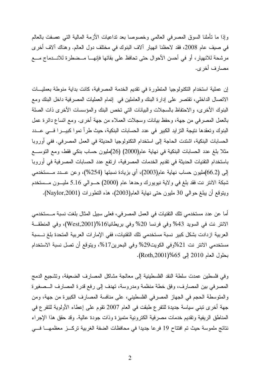وإذا ما نأملنا السوق المصرفي العالمي وخصوصا بعد نداعيات الأزمة المالية التي عصفت بالعالم في صيف عام 2008، فقد لاحظنا انهيار آلاف البنوك في مختلف دول العالم. وهناك آلاف أخرى مرشحة للانهيار ، أو في أحسن الأحوال حتى تحافظ على بقائها فإنهـــا مــضطرة للانـــدماج مــــع مصبار ف أخر ي.

إن عملية استخدام النكنولوجيا المنطورة في نقديم الخدمة المصرفية، كانت بداية منوطة بعمليــات الاتصال الداخلي، تقتصر على إدارة البنك والعاملين في إنمام العمليات المصرفية داخل البنك ومع البنوك الأخرى، والاحتفاظ بالسجلات والببانات التي نخص البنك والمؤسسات الأخرى ذات الصلة بالعمل المصرفي من جهة، وحفظ بيانات وسجلات العملاء من جهة أخرى. ومع انساع دائرة عمل البنوك وتعقدها نتيجة التزايد الكبير في عدد الحسابات البنكية، حيث طرأ نموا كبيـــرا فـــي عـــدد الحسابات البنكية، اشتدت الحاجة إلى استخدام التكنولوجيا الحديثة في العمل المصرفي. ففي أوروبا مثلا بلغ عدد الحسابات البنكية في نهاية عام(2000) (26)مليون حساب بنكي فقط، ومع النوســـع باستخدام النقنيات الحديثة في تقديم الخدمات المصرفية، ارتفع عدد الحسابات المصرفية في أوروبا إلى (66.2)مليون حساب نهاية عام(2003)، أي بزيادة نسبتها (254%)، وعن عـــدد مـــستخدمي شبكة الانتر نت فقد بلغ في ولاية نيويورك وحدها عام (2000) حــوالي 5.16 مليــون مـــستخدم ويتوقع أن يبلغ حوالي 30 مليون حتى نهاية العام(2003)، هذه التطورات (Naylor,2001).

أما عن عدد مستخدمي تلك التقنيات في العمل المصر في، فعلى سبيل المثال بلغت نسبة مـــستخدمي الانتر نت في السويد 43% وفي فرنسا 20% وفي بريطانيا16%(West,2001)، وفي المنطقة العربية ازدادت بشكل كبير نسبة مستخدمي نلك التقنيات، ففي الإمارات العربية المتحدة بلغ نـــسبة مستخدمي الانتر نت 21%وفي الكويت29% وفي البحرين17%، ويتوقع أن تصل نسبة الاستخدام بحلول العام 2010 إلى 65%(Roth,2001).

وفي فلسطين عمدت سلطة النقد الفلسطينية إلى معالجة مشاكل المصارف الضعيفة، وتشجيع الدمج المصر في بين المصارف، وفق خطة منظمة ومدروسة، تهدف إلى رفع قدرة المصارف السصغير ة والمنوسطة الحجم في الجهاز المصرفي الفلسطيني، على منافسة المصارف الكبيرة من جهة، ومن جهة أخرى نبني سياسة جديدة للنفر ع طبقت في العام 2007 نقوم على إعطاء الأولوية للنفر ع في المناطق الريفية وتقديم خدمات مصرفية الكترونية متميزة وذات جودة عالية. وقد حقق هذا الإجراء نتائج ملموسة حيث تم افتتاح 19 فرعا جديدا في محافظات الضفة الغربية تركــز معظمهـــا فـــي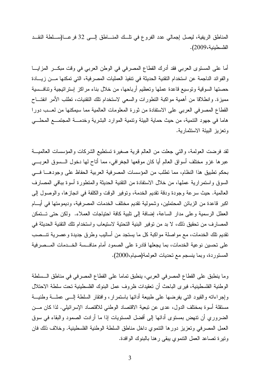المناطق الريفية، ليصل إجمالي عدد الفروع في نلَّــك المنــــاطق إلــــي 32 فرعــــا(ســـلطة النقـــد الفلسطبنية،2009).

أما على المستوى العربي فقد أدرك القطاع المصرفي في الوطن العربي في وقت مبكـــر المزايــــا والفوائد الناجمة عن استخدام التقنية الحديثة في نتفيذ العمليات المصرفية، التي تمكنها مـــن زيـــادة حصنتها السوقية ونوسيع قاعدة عملها وتعظيم أرباحها، من خلال بناء مراكز إستر انبجية وتنافسية مميزة. وانطلاقا من أهمية مواكبة النطورات والسعى لاستخدام نلك النقنيات، نطلب الأمر انفتـــاح القطاع المصرفي العربي على الاستفادة من ثورة المعلومات العالمية مما سيمكنها من لعــب دورا هاما في جهود النتمية، من حيث حماية البيئة ونتمية الموارد البشرية وخدمـــة المجتمـــع المحلــــي وتعزيز البيئة الاستثمارية.

لقد فرضت العولمة، والتي جعلت من العالم قرية صغيرة تستطيع الشركات والمؤسسات العالميـــة عبر ها غزو مختلف أسواق العالم أيا كان موقعها الجغرافي، مما أتاح لها دخول الـــسوق العربــــي بحكم نطبيق هذا النظام، مما نطلب من المؤسسات المصرفية العربية الحفاظ على وجودهـــا فـــي السوق واستمرارية عملها، من خلال الاستفادة من النقنية الحديثة والمنطورة أسوة بباقي المصارف العالمية. حيث سرعة وجودة ودقة تقديم الخدمة، وتوفير الوقت والكلفة في انجازها، والوصول إلى اكبر فاعدة من الزبائن المحتملين، وشمولية تقديم مختلف الخدمات المصرفية، وديمومتها في أيـــام العطل الرسمية وعلى مدار الساعة، إضافة إلى نلبية كافة احتياجات العملاء. ولكن حتى تستمكن المصـارف من تحقيق ذلك، لا بد من توفير البنية التحتية لاستيعاب واستخدام نلك التقنية الحديثة في تقديم نلك الخدمات، مع مواصلة مواكبة كل ما يستجد من أساليب وطرق جديدة وعصرية تتـــصب على تحسين نوعية الخدمات، بما يجعلها قادرة على الصمود أمام منافسة الخـــدمات المـــصرفية المستوردة، وبما ينسجم مع نحديات العولمة(صيام،2000).

وما ينطبق على القطاع المصر في العربي، ينطبق تماما على القطاع المصر في في مناطق الـسلطة الوطنية الفلسطينية، فير ي الباحث أن تعقيدات ظروف عمل البنوك الفلسطينية تحت سلطة الاحتلال وإجراءاته والقيود التبي يفرضها على طبيعة أدائها باستمرار، وافتقار السلطة إلـــي عملـــة وطنيـــة مستقلة أسوة بمختلف الدول، عدى عن تبعية الاقتصاد الوطني للاقتصاد الإسرائيلي. لذا كان مـــن الضروري أن نتهض بمستوى أدائها إلى أفضل المستويات إذا ما أرادت الصمود والبقاء في سوق العمل المصرفي وتعزيز دورها النتموي داخل مناطق السلطة الوطنية الفلسطينية. وخلاف ذلك فان ونيرة نصاعد العمل النتموى ببقى رهنا بالبنوك الوافدة.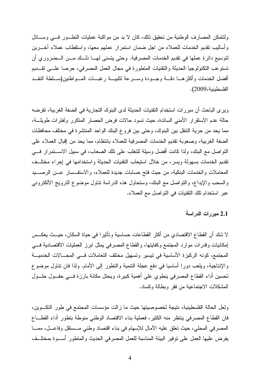ولنتمكن المصارف الوطنية من تحقيق ذلك، كان لا بد من مواكبة عمليات النطــور فـــى وســـائل وأساليب نقديم الخدمات للعملاء من اجل ضمان استمر ار عملهم معها، واستقطاب عملاء أخـــرين لتوسيع دائر ة عملها في تقديم الخدمات المصر فية. وحتى بتسنى لهـــا ذلــك مـــن الـــضر ور ي أن تستو عب التكنولوجيا الحديثة والتقنيات المتطورة في مجال العمل المصر في، حرصا علـــي تقـــديم أفضل الخدمات وأكثرهــا دقـــة وجــودة وســرعة لتلبيـــة رغبـــات المـــواطنين(ســلطة النقــد الفلسطينية،2009).

وير ي الباحث أن مبر رات استخدام التقنيات الحديثة لدى البنوك التجارية في الضفة الغربية، تفرضه حالة عدم الاستقرار الأمنى السائدة، حيث نسود حالات فرض الحصار المتكرر ولفترات طويلــــة، مما يحد من حرية التنقل بين البنوك، وحتى بين فروع البنك الواحد المنتشرة في مختلف محافظات الضفة الغربية، وصعوبة تقديم الخدمات المصرفية للعملاء بانتظام، مما يحد من إقبال العملاء على النواصل مع البنك، ولذا كانت أفضل وسيلة للتغلب على نلك الصعاب، في سبيل الاســـنمرار فـــي تقديم الخدمات بسهولة ويسر، من خلال استيعاب التقنيات الحديثة واستخدامها في إجراء مختلف المعاملات والخدمات البنكية، من حيث فتح حسابات جديدة للعملاء، والاستفــسار عـــن الرصــــيد والسحب والإيداع، والنواصل مع البنك، وستحاول هذه الدراسة نتاول موضوع النرويج الالكتروني عبر استخدام تلك التقنيات في التواصل مع العملاء.

### 2.1 ميررات الدراسة

لا شك أن القطاع الاقتصادي من أكثر القطاعات حساسية وتأثيرا في حياة السكان، حيــث يعكــس إمكانيات وقدرات موارد المجتمع وكفايتها، والقطاع المصرفي يمثل ابرز العمليات الاقتصادية فسي المجتمع، كونه الركيزة الأساسية في نيسير ونسهيل مختلف التعاملات فسي المجــالات الخدميـــة والإنتاجية، ويلعب دورًا أساسياً في دفع عجلة النتمية والنطور إلى الأمام. ولذا فان نتاول موضوع تحسين أداء القطاع المصرفي بنطوي على أهمية كبيرة، ويحتل مكانة بارزة فـــي حقـــول حلـــول المشكلات الاجتماعية من فقر وبطالة وكساد.

ولعل الحالة الفلسطينية، نتيجة لخصوصيتها حيث ما زالت مؤسسات المجتمع في طور التكـوين، فان القطاع المصرفي ينتظر منه الكثير، فعملية بناء الاقتصاد الوطني منوطة بتطور أداء القطـــاع المصرفي المحلي، حيث تعلق عليه الأمال للإسهام في بناء اقتصاد وطنبي مــستقل وفاعـــل، ممـــا يفرض عليها العمل على نوفير الببيئة المناسبة للعمل المصرفى الحديث والمنطور أســـوة بمختلــف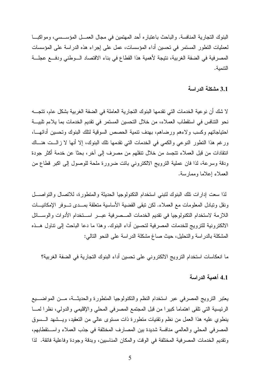البنوك التجارية المنافسة. والباحث باعتباره أحد المهتمين في مجال العمـــل المؤســـسي، ومواكبـــا لعمليات النظور المستمر في تحسين أداء المؤسسات، عمل على إجراء هذه الدراسة على المؤسسات المصر فية في الضفة الغربية، نتيجة لأهمية هذا القطاع في بناء الاقتصاد السوطني ودفسع عجلسة التنمنة.

## 3.1 مشكلة الدراسة

لا شك أن نو عية الخدمات التي تقدمها البنوك التجارية العاملة في الضفة الغربية بشكل عام، تتجـــه نحو النتافس في استقطاب العملاء، من خلال التحسين المستمر في تقديم الخدمات بما يلاءم تلبيـــة احتياجاتهم وكسب ولاءهم ورضاهم، بهدف نتمية الحصص السوقية لنلك البنوك ونحسين أدائهـــا، ورغم هذا النطور النوعي والكمى في الخدمات التي نقدمها نلك البنوك، إلا أنها لا زالــت هنـــاك انتقادات من قبل العملاء تتجسد من خلال نتقلهم من مصرف إلى آخر ، بحثا عن خدمة أكثر جودة ودقة وسرعة، لذا فان عملية النرويج الالكتروني باتت ضرورة ملحة للوصول إلى اكبر قطاع من العملاء إعلاما وممارسة.

لذا سعت إدارات نلك البنوك لتبنى استخدام النكنولوجيا الحديثة والمنطورة، للاتصال والتواصـــل ونقل وتبادل المعلومات مع العملاء. لكن تبقى القضية الأساسية متعلقة بمسدى تسوفر الإمكانيسات اللازمة لاستخدام التكنولوجيا في تقديم الخدمات المـــصرفية عبـــر اســـتخدام الأدوات والوســـائل الالكتر ونية للتر ويج للخدمات المصر فية لتحسين أداء البنوك. وهذا ما دعا الباحث إلى نتاول هــذه المشكلة بالدر اسة والتحليل، حيث صاغ مشكلة الدراسة على النحو التالبي:

ما انعكاسات استخدام النزرويج الالكتروني على تحسين أداء البنوك التجارية في الضفة الغربية؟

#### 4.1 أهمية الدراسة

يعتبر النرويج المصرفى عبر استخدام النظم والتكنولوجيا المنطورة والحديثــة، مـــن المواضــــيع الرئيسية التي نلقى اهتماما كبيرا من قبل المجتمع المصرفي المحلي والإقليمي والدولي، نظرا لمسا ينطوي عليه هذا العمل من نظم ونقنيات منطورة ذات مستوى عالمي من النعقيد، ويـــشهد الـــسوق المصرفي المحلي والعالمي منافسة شديدة بين المصارف المختلفة في جذب العملاء واستقطابهم، ونقديم الخدمات المصرفية المختلفة في الوقت والمكان المناسبين، وبدقة وجودة وفاعلية فائقة. لذا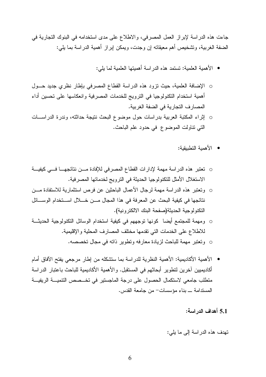جاءت هذه الدراسة لإبراز العمل المصرفي، والاطلاع على مدى استخدامه في البنوك النجارية في الضفة الغربية، وتشخيص أهم معيقاته إن وجدت، ويمكن إبر إز أهمية الدراسة بما يلي:

- الأهمية العلمية: تستمد هذه الدر اسة أهميتها العلمية لما بلي:
- 0 الإضافة العلمية، حيث نزود هذه الدراسة القطاع المصرفى بإطار نظري جديد حــول أهمية استخدام التكنولوجيا في الترويج للخدمات المصرفية وانعكاسها على تحسين أداء المصارف التجارية في الضفة الغربية.
- إثراء المكتبة العربية بدراسات حول موضوع البحث نتيجة حداثته، وندرة الدراســـات التبي نتاولت الموضوع في حدود علم الباحث.
	- الأهمية التطبيقية:
- تعتبر هذه الدر اسة مهمة لإدارات القطاع المصر في للإفادة مـــن نتائجهـــا فـــي كيفيـــة الاستغلال الأمثل للتكنولوجيا الحديثة في التر وبج لخدماتها المصر فية.
- وتعتبر هذه الدر اسة مهمة لرجال الأعمال الباحثين عن فرص استثمار بة للاستفادة مـــن نتائجها في كيفية البحث عن المعرفة في هذا المجال مـــن خــــلال اســـتخدام الوســــائل النكنو لو جية الحديثة(صفحة البنك الالكتر و نية).
- ومهمة للمجتمع أيضا كونها توجههم في كيفية استخدام الوسائل التكنولوجية الحديثة للاطلاع على الخدمات التي تقدمها مختلف المصارف المحلية والإقليمية. ○ وتعتبر مهمة للباحث لزيادة معارفه وتطوير ذاته في مجال تخصصه.
- الأهمية الأكاديمية: الأهمية النظرية للدر اسة بما ستشكله من إطار ٍ مرجعي يفتح الآفاق أمام أكاديميين آخرين لنطوير أبحاثهم في المستقبل. والأهمية الأكاديمية للباحث باعتبار الدراسة منطلب جامعي لاستكمال الحصول على درجة الماجستير في تخـــصص التنميـــة الريفيـــة المستدامة \_ بناء مؤسسات- من جامعة القدس.

## 5.1 أهداف الدر اسة:

تهدف هذه الدر اسة إلى ما يلي: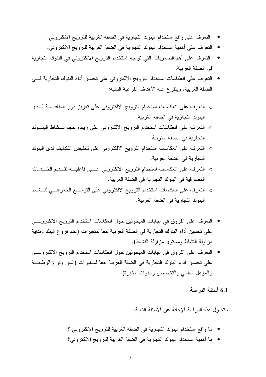- التعرف على واقع استخدام البنوك التجارية في الضفة الغربية للترويج الالكتروني.
- النعر ف على أهمية استخدام البنوك النجارية في الضفة الغربية للنز ويج الالكتر وني.
- النعر ف على أهم الصعوبات التي تواجه استخدام النرويج الالكتروني في البنوك التجارية في الضفة الغربية.
- النعرف على انعكاسات استخدام النرويج الالكتروني على نحسين أداء البنوك النجارية فسي الضفة الغربية، ويتفرع عنه الأهداف الفرعية التالية:
- النعرف على انعكاسات استخدام النرويج الالكتروني على نعزيز دور المنافسة لــدى  $\circ$ البنوك التجارية في الضفة الغربية.
- النعرف على انعكاسات استخدام النرويج الالكتروني على زيادة حجم نـــشاط البنـــوك التجارية في الضفة الغربية.
- النعرف على انعكاسات استخدام النرويج الالكتروني على تخفيض التكاليف لدى البنوك التجارية في الضفة الغربية.
- التعرف على انعكاسات استخدام الترويج الالكتروني علمي فاعليـــة تقـــديم الخـــدمات المصر فية في البنوك التجار بة في الضفة الغر بية.
- النعرف على انعكاسات استخدام النرويج الالكنروني على النوســع الجغرافـــي لنـــشاط البنوك التجار بة في الضفة الغر ببة.
- التعرف على الفروق في إجابات المبحوثين حول انعكاسات استخدام الترويج الالكتروني على تحسين أداء البنوك التجارية في الضفة الغربية تبعا لمتغيرات (عدد فروع البنك وبداية مزاولة النشاط ومستوى مزاولة النشاط).
- النعرف على الفروق في إجابات المبحوثين حول انعكاسات استخدام النرويج الالكترونـــي على تحسين أداء البنوك التجارية في الضفة الغربية تبعا لمتغيرات (السن ونوع الوظيفة والمؤهل العلمي والتخصص وسنوات الخبرة).

6.1 أسئلة الدراسة

ستحاول هذه الدراسة الإجابة عن الأسئلة التالية:

- ما واقع استخدام البنوك التجارية في الضفة الغربية للترويج الالكتروني ؟
- ما أهمية استخدام البنوك التجارية في الضفة الغربية للترويج الالكتروني؟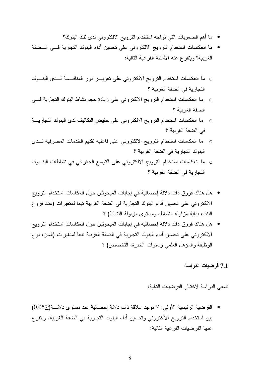- ما أهم الصعوبات التبي نواجه استخدام النرويج الالكتروني لدى نلك البنوك؟
- ما انعكاسات استخدام النرويج الالكتروني على نحسين أداء البنوك التجارية فسي الــضفة الغربية؟ ويتفرع عنه الأسئلة الفرعية التالية:
- 0 ما انعكاسات استخدام الترويج الالكتروني على تعزيــز دور المنافــسة لــدى البنــوك التجارية في الضفة الغربية ؟
- ما انعكاسات استخدام النزويج الالكتروني على زيادة حجم نشاط البنوك التجارية فسي  $\circ$ الضفة الغربية ؟
- ما انعكاسات استخدام النرويج الالكتروني على خفيض التكاليف لدى البنوك التجاريـــة  $\circ$ في الضفة الغربية ؟
- ما انعكاسات استخدام النرويج الالكتروني على فاعلية نقديم الخدمات المصرفية لـــدى البنوك التجارية في الضفة الغربية ؟
- o ما انعكاسات استخدام الترويج الالكتروني على التوسع الجغرافي في نشاطات البنـــوك التجارية في الضفة الغربية ؟
- هل هناك فروق ذات دلالة إحصائية في إجابات المبحوثين حول انعكاسات استخدام النرويج الالكتروني على تحسين أداء البنوك التجارية في الضفة الغربية تبعا لمتغيرات (عدد فروع البنك، بداية مزاولة النشاط، ومستوى مزاولة النشاط) ؟
- هل هناك فروق ذات دلالة إحصائية في إجابات المبحوثين حول انعكاسات استخدام الترويج الالكتروني على تحسين أداء البنوك التجارية في الضفة الغربية تبعا لمتغيرات (السن، نوع الوظيفة والمؤهل العلمي وسنوات الخبرة، التخصص) ؟

#### 7.1 فرضيات الدراسة

تسعى الدر اسة لاختبار الفرضيات التالية:

• الفرضية الرئيسية الأولى: لا توجد علاقة ذات دلالة إحصائية عند مستوى دلالـــة(<0.05) بين استخدام الترويج الالكتروني وتحسين أداء البنوك التجارية في الضفة الغربية. ويتفر ع عنها الفر ضبات الفر عبة التالبة: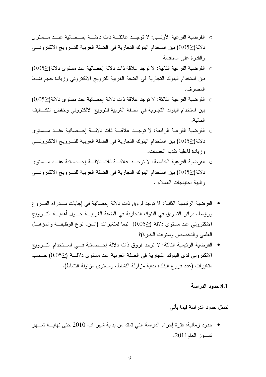- الفرضية الفرعية الأولـــى: لا توجــد علاقـــة ذات دلالـــة احـــصائية عنـــد مـــستو ي دلالة(<0.05) بين استخدام البنوك التجارية في الضفة الغربية للتسرويج الالكتروني والقدر ة على المنافسة.
- الفر ضبة الفر عبة الثانية: لا توجد علاقة ذات دلالة إحصائية عند مستوى دلالة(≤0.05) بين استخدام البنوك التجارية في الضفة الغربية للترويج الالكتروني وزيادة حجم نشاط المصر ف.
- الفرضية الفرعية الثالثة: لا توجد علاقة ذات دلالة إحصائية عند مستوى دلالة(≤0.05) بين استخدام البنوك التجارية في الضفة الغربية للترويج الالكتروني وخفض التكـــاليف المالية.
- الفرضية الفر عية الرابعة: لا توجـد علاقـــة ذات دلالـــة إحــصائية عنــد مــستو ي دلالة(<0.05) بين استخدام البنوك التجارية في الضفة الغربية للتسرويج الالكتروني وزيادة فاعلية تقديم الخدمات.
- الفرضية الفرعية الخامسة: لا توجـد علاقـــة ذات دلالـــة إحـــصائية عنـــد مــستوى دلالة(≤0.05) بين استخدام البنوك التجارية في الضفة الغربية للتـــرويج الالكترونــــي ونلبية احتياجات العملاء .
- الفرضية الرئيسية الثانية: لا نوجد فروق ذات دلالة إحصائية في إجابات مــدراء الفــروع ورؤساء دوائر التسويق في البنوك التجارية في الضفة الغربيـــة حـــول أهميـــة التـــرويج الالكتروني عند مستوى دلالة (≤0.05) تبعا لمتغيرات (السن، نوع الوظيفة والمؤهــل العلمي والتخصص وسنوات الخبرة)؟
- الفرضية الرئيسية الثالثة: لا نوجد فروق ذات دلالة إحــصائية فـــي اســـنخدام التـــرويج الالكتروني لدى البنوك التجارية في الضفة الغربية عند مستوى دلالة (<0.05) حـسب مُنْغَيْرِ اتْ (عدد فروع البنك، بداية مزاولة النشاط، ومُسْتُوى مزاولة النشاط).

#### 8.1 حدود الدراسة

## تتمثل حدود الدر اسة فبما بأتى

● حدود زمانية: فترة إجراء الدراسة التي تمتد من بداية شهر أب 2010 حتى نهايــــة شــــهر تصـوز العام2011.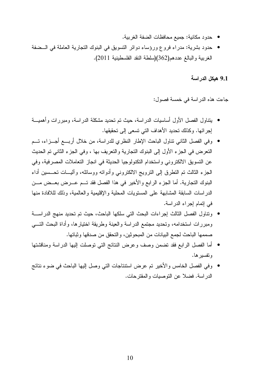- حدود مكانية: جميع محافظات الضفة الغربية.
- حدود بشرية: مدراء فروع ورؤساء دوائر النسويق في البنوك النجارية العاملة في الــضفة الغربية والبالغ عددهم(362)(سلطة النقد الفلسطينية 2011).

9.1 هبكل الدر اسة

جاءت هذه الدر اسة في خمسة فصول:

- بتناول الفصل الأول أساسبات الدر اسة، حبث تم تحدبد مشكلة الدر اسة، ومبر ر ات و أهمبـــة إجرائها. وكذلك تحديد الأهداف التي تسعى إلى تحقيقها.
- وفي الفصل الثاني نتاول الباحث الإطار النظري للدراسة، من خلال أربـــع أجـــزاء، تـــم النعرض في الجزء الأول إلى البنوك النجارية والنعريف بها ، وفي الجزء الثاني تم الحديث عن النسويق الالكتروني واستخدام النكنولوجيا الحديثة في انجاز التعاملات المصرفية، وفي الْجزء الثَّالَث تم النَّظرق إلى النَّرويج الالكتروني وأدواته ووسائله، وألَّيـــات تـمـــسين أداء البنوك التجارية. أما الجزء الرابع والأخير في هذا الفصل فقد تـــم عــــرض بعـــض مــــن الدر اسات السابقة المشابهة على المستويات المحلية والإقليمية والعالمية، وذلك لللافادة منها في إنمام إجر اء الدر اسة.
- وتناول الفصل الثالث إجراءات البحث التي سلكها الباحث، حيث تم تحديد منهج الدراسة ومبررات استخدامه، وتحديد مجتمع الدراسة والعينة وطريقة اختيارها، وأداة البحث التسي صممها الباحث لجمع البيانات من المبحوثين، والتحقق من صدقها وثباتها.
- أما الفصل الرابع فقد نضمن وصف وعرض النتائج التي نوصلت إليها الدراسة ومناقشتها وتفسير ها.
- وفي الفصل الخامس والأخير تم عرض استتتاجات التي وصل إليها الباحث في ضوء نتائج الدر اسة. فضلا عن النوصيات والمقترحات.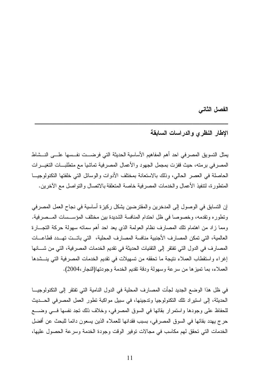الفصل الثاني

## الإطار النظرى والدراسات السابقة

يمثل التسويق المصر في احد أهم المفاهيم الأساسية الحديثة التي فر ضـــت نفــسها علـــي النـــشاط المصرفي برمنه، حيث قفزت بمجمل الجهود والأعمال المصرفية تماشيا مع منطلبـــات النغيـــرات الحاصلة في العصر الحالي، وذلك بالاستعانة بمختلف الأدوات والوسائل التي خلفتها التكنولوجيــا المتطورة، لتتفيذ الأعمال والخدمات المصرفية خاصة المتعلقة بالاتصال والتواصل مع الآخرين.

إن التسابق في الوصول إلى المدخرين والمقترضين يشكل ركيزة أساسية في نجاح العمل المصرفي ونطوره ونقدمه، وخصوصا في ظل احتدام المنافسة الشديدة بين مختلف المؤســسات المـــصرفية. ومما زاد من اهتمام نلك المصـارف نظام الـعولمـة الذي يـعد احد أهم سماتـه سـهولـة حركـة التجـــارة العالمية، التي تمكن المصارف الأجنبية منافسة المصارف المحلية، التي باتــت تهــدد قطاعـــات المصارف في الدول التي تفتقر إلى التقنيات الحديثة في تقديم الخدمات المصرفية، التي من شـــانها إغراء واستقطاب العملاء نتيجة ما تحققه من تسهيلات في نقديم الخدمات المصرفية التي ينسشدها العملاء، بما نميز ها من سرعة وسهولة ودقة نقديم الخدمة وجودتها(النجار ،2004).

في ظل هذا الوضع الجديد لجأت المصارف المحلية في الدول النامية التي تفتقر إلى التكنولوجيـــا الحديثة، إلى استير اد تلك التكنولوجيا وتدجينها، في سبيل مواكبة تطور العمل المصرفي الحـــديث للحفاظ على وجودها واستمرار بقائها في السوق المصرفي، وخلاف ذلك نجد نفسها فسي وضسع حرج يهدد بقائها في السوق المصرفي، بسبب فقدانها للعملاء الذين يسعون دائما للبحث عن أفضل الخدمات التي تحقق لهم مكاسب في مجالات توفير الوقت وجودة الخدمة وسرعة الحصول عليها،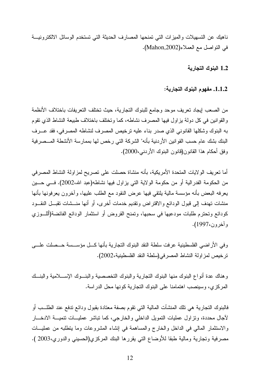ناهيك عن التسهيلات والمبزات التي تمنحها المصارف الحديثة التي تستخدم الوسائل الالكترونيـــة في النواصل مع العملاء(Mahon,2002).

1.2 البنوك التجارية

1.1.2. مفهوم البنوك التجارية:

من الصعب إيجاد تعريف موحد وجامع للبنوك التجارية، حيث تختلف التعريفات باختلاف الأنظمة والقوانين في كل دولة يزاول فيها المصرف نشاطه، كما وتختلف باختلاف طبيعة النشاط الذي تقوم به البنوك وشكلها القانوني الذي صدر بناء عليه ترخيص المصرف لنشاطه المصرفي، فقد عـــرف البنك بشك عام حسب القوانين الأردنية بأنه" الشركة التي رخص لها بممارسة الأنشطة المــصرفية وفق أحكام هذا القانون(قانون البنوك الأردنبي،2000).

أما نعريف الولايات المتحدة الأمريكية، بأنه منشاة حصلت على تصريح لمزاولة النشاط المصرفي من الحكومة الفدرالية أو من حكومة الولاية التي يزاول فيها نشاطه(عبد الله،2002). فـــي حـــين يعرفه البعض بأنه مؤسسة مالية بلتقى فيها عرض النقود مع الطلب عليها، وآخرون يعرفونها بأنها منشات تهدف إلى قبول الودائع والاقتراض وتقديم خدمات أخرى، أو أنها منـــشات تقبـــل النقـــود كودائع وتحترم طلبات مودعيها في سحبها، وتمنح القروض أو استثمار الودائع الفائضة(أللــوزي و آخرون،1997).

وفي الأراضي الفلسطينية عرفت سلطة النقد البنوك التجارية بأنها كسل مؤسستة حسصلت علسى ترخيص لمزاولة النشاط المصرفي(سلطة النقد الفلسطينية،2002).

و هناك عدة أنواع البنوك منها البنوك النجارية والبنوك التخصصية والبنسوك الإسسلامية والبنسك المركزي، وسينصب اهتمامنا على البنوك التجارية كونها محل الدراسة.

فالبنوك التجارية هي تلك المنشآت المالية التي تقوم بصفة معتادة بقبول ودائع ندفع عند الطلــب أو لأجال محددة، ونزلول عمليات النمويل الداخلي والخارجي، كما نباشر عمليـــات نتميـــة الادخــــار والاستثمار المالي في الداخل والخارج والمساهمة في إنشاء المشروعات وما يتطلبه من عمليــات مصرفية وتجارية ومالية طبقا للأوضاع التي يقررها البنك المركزي(الحسيني والدوري،2003 ).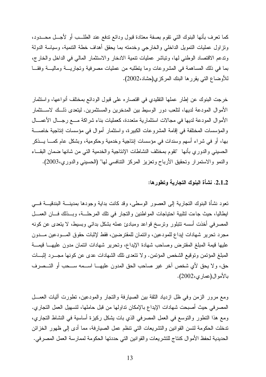كما تعرف بأنها البنوك التي تقوم بصفة معتادة قبول ودائع ندفع عند الطلـــب أو لأجـــل محــــدود، وتزاول عمليات التمويل الداخلي والخارجي وخدمته بما يحقق أهداف خطة النتمية، وسياسة الدولة وتدعم الاقتصاد الوطني لها، وتباشر عمليات نتمية الادخار والاستثمار المالي في الداخل والخارج، بما في ذلك المساهمة في المشروعات وما يتطلبه من عمليات مصرفية وتجاريـــة وماليـــة وفقـــا للأوضاع التي يقررها البنك المركزي(حشاد،2002).

خرجت البنوك عن إطار عملها النقليدي في اقتصاره على قبول الودائع بمختلف أنواعها، واستثمار الأموال المودعة لديها، لتلعب دور الوسيط بين المدخرين والمستثمرين. ليتعدى ذلــك لاســتثمار الأمو ال المودعة لديها في مجالات استثمار بة متعددة، كعمليات بناء شر اكة مـــع ر جـــال الأعمـــال والمؤسسات المختلفة في إقامة المشروعات الكبيرة، واستثمار أموال في مؤسسات إنتاجية خاصــــة بها، أو في شراء أسهم وسندات في مؤسسات إنتاجية وخدمية وحكومية، وبشكل عام كمــــا يــــذكر الحسيني والدورى بأنها لتقوم بمختلف النشاطات الإنتاجية والخدمية التبي من شانها ضمان البقــاء والنمو والاستمرار وتحقيق الأرباح وتعزيز المركز النتافسي لها" (الحسيني والدوري،2003).

## 2.1.2. نشأة البنوك التجارية وتطورها:

تعود نشأة البنوك التجارية إلى العصور الوسطى، وقد كانت بداية وجودها بمدينــــة البندقيـــة فــــي ايطاليا، حيث جاءت لنابية احتياجات المواطنين والنجار في نلك المرحلة، وبــذلك فـــان العمـــل المصرفي أخذت أسسه نتبلور ونرسخ قواعد ومبادئ عمله بشكل بدائي وبسيط، لا يتعدى عن كونه مجرد تحرير شهادات ايداع للمودعين، وائتمان للمقترضين، فقط لإثبات حقوق المسودعين مسدون عليها قيمة المبلغ المقترض وصاحب شهادة الإيداع، ونحرير شهادات ائتمان مدون عليهــــا قيمــــة المُبلَّغ المؤتمن وتوقيع الشَّخص المؤتمن. ولا تتَّعدى تلك الشَّهادات عدى عن كونها مجـــرد إثبـــات حق، ولا يحق لأي شخص أخر غير صاحب الحق المدون عليهـــا اســـمه ســـحب أو التـــصرف بالأموال(عماري،2002).

ومع مرور الزمن وفي ظل ازدياد الثقة بين الصيارفة والنجار والمودعين، نطورت أليات العمـــل المصرفي حيث أصبحت شهادات الإيداع بالإمكان نداولها من قبل حاملها، لتسهيل العمل التجاري. ومع هذا النطور والنوسع في العمل المصرفي الذي بات يشكل ركيزة أساسية في النشاط النجاري، تدخلت الحكومة لتسن القوانين والتشريعات التي نتظم عمل الصيارفة، مما أدى إلى ظهور الخزائن الحديدية لحفظ الأموال كنتاج للتشريعات والقوانين التي حددتها الحكومة لممارسة العمل المصرفي.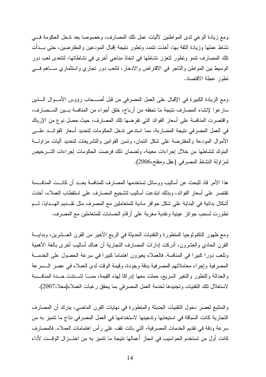ومع زيادة الوعي لدى المواطنين لأليات عمل نلك المصارف، وخصوصا بعد ندخل الحكومة فسي نشاط عملها وزيادة الثقة بها، أخذت نتمدد ونطور نتيجة إقبال المودعين والمقترضين، حتى بــدأت تلك المصارف نتمو ونظور لتعزز نشاطها في اتخاذ مناحي أخرى في نشاطاتها، لتتعدى لعب دور الوسيط بين المواطن والتاجر في الاقتراض والادخار، لتلعب دور تجارى واستثماري ســـاهم فـــي تطور عجلة الاقتصاد.

ومع الزيادة الكبيرة في الإقبال على العمل المصرفي من قبل أصـــحاب رؤوس الأمـــوال الـــذين سارعوا لإنشاء المصارف نتيجة ما تحققه من أرباح، خلق أجواء من المنافسة بسين المسصارف، واقتصرت المنافسة على أسعار الفوائد التي تفرضها نلك المصارف، حيث حصل نوع من الإرباك في العمل المصرفي نتيجة المضاربة، مما استدعى تدخل الحكومات لتحديد أسعار الفوائــد علـــي الأموال المودعة والمقترضة على شكل ائتمان، ونسن القوانين والنشريعات لتحديد أليات مزاولـــة البنوك لنشاطها من خلال إجراءات معينة، ولضمان ذلك فرضت الحكومات إجراءات التسرخيص لمزاولة النشاط المصرفي (عقل ومفلح،2006).

هذا الأمر قاد للبحث عن أساليب ووسائل تستخدمها المصارف للمنافسة بعــد أن كانــت المنافــسة نقتصر على أسعار الفوائد، وبذلك ابندعت أساليب لتشجيع المصارف على استقطاب العملاء، أخذت أشكال بدائية في البداية على شكل حوافز مادية للمتعاملين مع المصرف مثل تقـــديم الـهـــدايا، شــم نطورت لسحب جوائز عينية ونقدية مغرية على أرقام الحسابات للمتعاملين مع المصرف.

ومع ظهور النكنولوجيا المنطورة والنقنيات الحديثة في الربع الأخير من القرن العـــشرين، وبدايـــة القرن الحادي والعشرون، أدركت إدارات المصارف النجارية أن هناك أساليب أخرى بالغة الأهمية ونلعب دورًا كبيرًا في المنافسة. فالعملاء يعيرون اهتماما كبيرًا في سرعة الحصول على الخدمــة المصرفية وإجراء معاملاتهم المصرفية بدقة وجودة، وفيمة الوقت لدى العملاء في عصر السسرعة والحداثة والنطور والنغير السريع، حملت معها إدراكا لهذه القيمة، ممـــا اشـــندت حـــدة المنافــسة لاستغلال نلك النقنيات وتجنيدها لخدمة العمل المصرفي بما يحقق رغبات العملاء(معلا،2007).

والمنتبع لعصر دخول النقنيات الحديثة والمنطورة في نهايات القرن الماضيي، بدرك أن المصارف التجارية كانت السباقة في استيعابها وتدجينها لاستخدامها في العمل المصرفي نتاج ما نتميز به من سرعة ودقة في نقديم الخدمات المصرفية، التي بانت نقف على رأس اهتمامات العملاء. فالمصارف كانت أول من تستخدم الحواسيب في انجاز أعمالها نتيجة ما نتميز به من اختـــزال الوقــت لأداء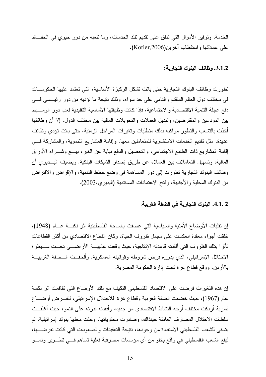الخدمة، ونوفير الأموال التي نتفق على نقديم نلك الخدمات، وما نلعبه من دور حيوي في الحفــاظ على عملائها واستقطاب أخرين(Kotler,2006).

3.1.2. وظائف البنوك التجارية:

تطورت وظائف البنوك التجارية حتى باتت تشكل الركيزة الأساسية، التي تعتمد عليها الحكومسات في مختلف دول العالم المتقدم والنامي على حد سواء، وذلك نتيجة ما تؤديه من دور رئيسهي في دفع عجلة النتمية الاقتصادية والاجتماعية، فإذا كانت وظيفتها الأساسية التقليدية لعب دور الوســـبط بين المودعين والمقترضين، وتبديل العملات والتحويلات المالية بين مختلف الدول. إلا أن وظائفها أخذت بالتشعب والتطور مواكبة بذلك متطلبات وتغيرات المراحل الزمنية، حتى باتت تؤدي وظائف عديدة، مثل نقديم الخدمات الاستشارية للمتعاملين معها، وإقامة المشاريع التنموية، والمشاركة فسي لِقَامَة الْمَشَارِيعِ ذَاتِ الطَّابِعِ الاجتماعي، والتَّحصِّيلِ والدفعِ نيابةٍ عن الغيرِ، بيـــع وشـــراء الأوراق المالية، وتسهيل التعاملات بين العملاء عن طريق إصدار الشيكات البنكية. ويضيف البــديري أن وظائف البنوك النجارية نطورت إلى دور المساهمة في وضع خطط النتمية، والإقراض والاقتراض من البنوك المحلية والأجنبية، وفتح الاعتمادات المستندية (البديري،2003).

## 4.1. 2. البنوك التجارية في الضفة الغربية:

إن تقلبات الأوضاع الأمنية والسياسية التي عصفت بالساحة الفلسطينية اثر نكبسة عسام (1948)، خلقت أجواء معقدة انعكست على مجمل ظروف الحياة، وكان القطاع الاقتصادي من أكثر القطاعات تأثر ا بتلك الظروف التي أفقدته قاعدته الإنتاجية، حيث وقعت غالبيسة الأراضسي تحست سسيطرة الاحتلال الإسرائيلي، الذي بدوره فرض شروطه وقوانينه العسكرية. وألحقــت الــضفة الغربيـــة بالأردن، ووقع قطاع غزة تحت إدارة الحكومة المصرية.

إن هذه التغيرات فرضت على الاقتصاد الفلسطيني التكيف مع نلك الأوضاع التي تفاقمت اثر نكسة عام (1967)، حيث خضعت الضفة الغربية وقطاع غزة للاحتلال الإسرائيلي، لتفـــرض أوضــــاع قسرية أربكت مختلف أوجه النشاط الاقتصادي من جديد، وأفقدته قدرته على النمو، حيث أغلقــت سلطات الاحتلال المصارف العاملة حينذاك، وصادرت محتوياتها، وحلت محلها بنوك إسرائيلية، لم يتسنى للشعب الفلسطيني الاستفادة من وجودها، نتيجة التعقيدات والصعوبات التي كانت تفرضـــها، ليقع الشعب الفلسطيني في واقع يخلو من أي مؤسسات مصرفية فعلية تساهم فسي نطـــوير ونمـــو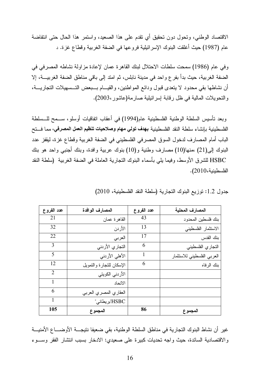الاقتصاد الوطني، ونحول دون نحقيق أي نقدم على هذا الصعيد، واستمر هذا الحال حتى انتفاضة عام (1987) حيث أغلقت البنوك الإسر ائيلية فروعها في الضفة الغربية وقطاع غزة. د

وفي عام (1986) سمحت سلطات الاحتلال لبنك القاهرة عمان لإعادة مزاولة نشاطه المصرفي في الضفة الغربية، حيث بدأ بفر ع واحد في مدينة نابلس، ثم امتد إلى باقي مناطق الضفة الغربيـــة، إلا أن نشاطها بقي محدود لا يتعدى قبول ودائع المواطنين، والقيـــام بـــبعض التـــسهيلات التجاريــــة، والتحويلات المالية في ظل رقابة إسرائيلية صارمة(عاشور،2003).

وبعد نأسيس السلطة الوطنية الفلسطينية عام(1994) في أعقاب اتفاقيات أوسلو، ســمح للــسلطة الفلسطينية بإنشاء سلطة النقد الفلسطينية بهدف تولى مهام وصلاحيات تنظيم العمل المصرفى، مما فستح الباب أمام المصارف لدخول السوق المصرفي الفلسطيني في الضفة الغربية وقطاع غزة، ليقفز عدد البنوك إلى(21) ،منها(10) مصارف وطنية و(10) بنوك عربية وافدة، وبنك أجنبي واحد هو بنك HSBC للشرق الأوسط، وفيما يلي بأسماء البنوك النجارية العاملة في الضفة الغربية (سلطة النقد الفلسطينية،2010).

| عدد الفروع     | المصارف الوافدة          | عدد الفروع | المصارف المحلية            |
|----------------|--------------------------|------------|----------------------------|
| 21             | القاهرة عمان             | 43         | بنك فلسطين المحدود         |
| 32             | الأردن                   | 13         | الاستثمار الفلسطيني        |
| 22             | العربي                   | 17         | بنك القدس                  |
| 3              | التجاري الأردني          | 6          | التجاري الفلسطيني          |
| 5              | الأهلي الأردني           |            | العربى الفلسطيني للاستثمار |
| 12             | الإسكان للتجارة والتمويل | 6          | بنك الرفاه                 |
| $\overline{2}$ | الأردني الكويتي          |            |                            |
| 1              | الاتحاد                  |            |                            |
| 6              | العقاري المصري العربي    |            |                            |
|                | HSBC"بريطانى"            |            |                            |
| 105            | المجموع                  | 86         | المجموع                    |

جدول 1.2: توزيع البنوك التجارية (سلطة النقد الفلسطينية، 2010)

غير أن نشاط البنوك التجارية في مناطق السلطة الوطنية، بقي ضعيفا نتيجـــة الأوضـــــاع الأمنيــــة والاقتصادية السائدة، حيث واجه تحديات كبيرة على صعيدي: الادخار بسبب انتشار الفقر وسـوء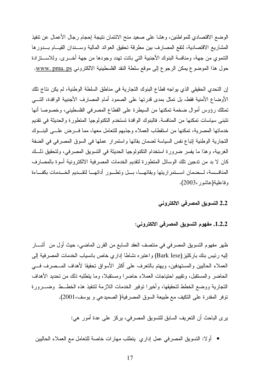الوضع الاقتصادي للمواطنين، وهشا على صعيد منح الائتمان نتيجة إحجام رجال الأعمال عن تتفيذ المشاريع الاقتصادية، لتقع المصارف بين مطرقة تحقيق العوائد المالية وســندان القيــام بــدورها النتموي من جهة، ومنافسة البنوك الأجنبية التي باتت نهدد وجودها من جهة أخـــرى. وللاســـنزادة حول هذا الموضوع يمكن الرجوع إلى موقع سلطة النقد الفلسطينية الالكتروني <u>www. pma. ps</u>.

إن التحدي الحقيقي الذي يو اجه قطاع البنوك التجارية في مناطق السلطة الوطنية، لم يكن نتاج تلك الأوضاع الأمنية فقط، بل تمثِّل بمدى قدرتها على الصمود أمام المصارف الأجنبية الوافدة، التَّـــى تمثلك رؤوس أموال ضخمة تمكنها من السيطرة على القطاع المصرفي الفلسطيني، وخصوصا أنها تتبني سياسات تمكنها من المنافسة. فالبنوك الو افدة تستخدم التكنولوجيا المتطور ة والحديثة في تقديم خدماتها المصرية، تمكنها من استقطاب العملاء وجذبهم للتعامل معها، مما فسرض علسى البنسوك التجارية الوطنية إتباع نفس السياسة لضمان بقائها واستمرار عملها في السوق المصرفي في الضفة الغربية، وهذا ما يفسر ضرورة استخدام النكنولوجيا الحديثة في النسويق المصرفي، ولنحقيق ذلــك كان لا بد من تدجين تلك الوسائل المتطورة لتقديم الخدمات المصرفية الالكترونية أسوة بالمصارف المنافسة، لـمضمان اســنمر اريتها وبقائهــا، بــل ونطــور أدائهــا لتقــديم الخــدمات بكفــاءة وفاعلية(عاشور،2003).

## 2.2 التسويق المصرفي الالكتروني

1.2.2. مفهوم التسويق المصرفى الالكتروني:

ظهر مفهوم التسويق المصرفي في منتصف العقد السابع من القرن الماضي، حيث أول من أشــــار إليه رئيس بنك باركليز (Bark lese) واعتبره نشاطا إداري خاص بانسياب الخدمات المصرفية إلى العملاء الحالبين والمستهدفين، ويهتم بالتعرف على أكثر الأسواق تحقيقا لأهداف المــصرف فـــي الحاضر والمستقبل، ونقييم احتياجات العملاء حاضرا ومستقبلا، وما يتطلبه ذلك من تحديد الأهداف التجارية ووضع الخطط لتحقيقها، وأخير ا توفير الخدمات اللازمة لتتفيذ هذه الخطــط وضـــرور ة توفر المقدرة على التكيف مع طبيعة السوق المصرفية( الصميدعي و يوسف،2001).

يرى الباحث أن النعريف السابق للتسويق المصرفي، يركز على عدة أمور هي:

• أو لا: النسويق المصرفي عمل إداري ينطلب مهارات خاصة للنعامل مع العملاء الحاليين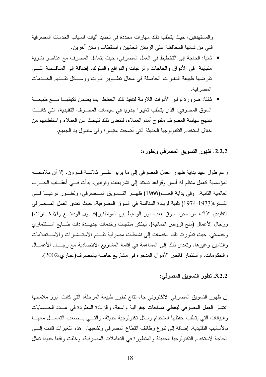والمستهدفين، حيث يتطلب ذلك مهارات محددة في تحديد آليات انسياب الخدمات المصرفية التي من شانها المحافظة على الزبائن الحاليين واستقطاب زبائن آخرين.

- ثانيا: الحاجة إلى التخطيط في العمل المصر في، حيث يتعامل المصر ف مع عناصر بشرية متباينة ً في الأذواق والحاجات والرغبات والدوافع والسلوك، إضافة إلى المنافسة النسي تفرضها طبيعة النغيرات الحاصلة في مجال نطــوير أدوات ووســـائل نقــديم الخـــدمات المصر فية.
- ثالثًا: ضرورة توفير الأدوات اللازمة لتنفيذ تلك الخطط بما يضمن تكيفهـــا مــــع طبيعـــة السوق المصرفي، الذي يتطلب تغييرا جذريا في سياسات المصارف التقليدية، التي كانـــت تنتهج سياسة المصرف مفتوح أمام العملاء، لنتعدى ذلك للبحث عن العملاء واستقطابهم من خلال استخدام التكنولوجيا الحديثة التي أضحت متيسرة وفي متناول يد الجميع.

## 2.2.2. ظهور التسويق المصرفي وتطوره:

رغم طول عهد بداية ظهور العمل المصرفي إلى ما بربو علـــي ثلاثــــة قـــرون، إلا أن ملامحــــه المؤسسية كعمل منظم له أسس وقواعد تستند إلى تشريعات وقوانين، بدأت فـــي أعقـــاب الحــــرب العالمية الثانية. وفي بداية العـــام(1966) ظهـــر التـــسويق المـــصرفي، ونطـــور نوعيـــا فـــي الفترة(1973-1974) تلبية لزيادة المنافسة في السوق المصرفية، حيث تعدى العمل المــصرفي النقليدي آنذاك، من مجرد سوق يلعب دور الوسيط بين المواطنين(قبــول الودائـــع والادخـــارات) ورجال الأعمال (منح قروض ائتمانية)، ليبتكر منتجات وخدمات جديـــدة ذات طــــابـع اســـتثماري وخدماتي. حيث تطورت تلك الخدمات إلى نشاطات مصرفية تقــدم الاستــشارات والاســتعلامات والنامين وغيرها. ونعدى ذلك إلى المساهمة في إقامة المشاريع الاقتصادية مع رجـــال الأعمــــال والحكومات، واستثمار فائض الأموال المدخرة في مشاريع خاصة بالمصرف(عماري،2002).

## 3.2.2. تطور التسويق المصرفي:

إن ظهور التسويق المصرفي الالكتروني جاء نتاج تطور طبيعة المرحلة، التي كانت ابرز ملامحها انتشار العمل المصرفي ليغطي مساحات جغرافية واسعة، والزيادة المطردة في عــدد الحــسابات والبيانات التبي يتطلب حفظها استخدام وسائل نكنولوجية حديثة، والتسبي يـــصعب التعامـــل معهـــا بالأساليب التقليدية، إضافة إلى نتوع وظائف القطاع المصرفي ونشعبها. هذه النغيرات قادت إلــــي الحاجة لاستخدام التكنولوجيا الحديثة والمتطورة في التعاملات المصرفية، وخلقت واقعا جديدا تمثل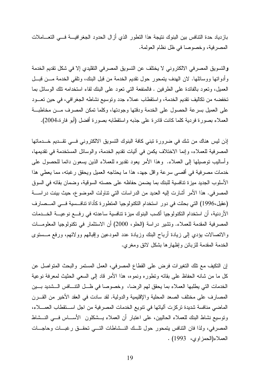بازدياد حدة التنافس بين البنوك نتيجة هذا التطور الذي أزال الحدود الجغرافيـــة فـــى التعــــاملات المصر فية، وخصوصا في ظل نظام العولمة.

والتسويق المصرفي الالكتروني لا يختلف عن التسويق المصرفي التقليدي إلا في شكل تقديم الخدمة وأدواتها ووسائلها. لان الهدف يتمحور حول نقديم الخدمة من قبل البنك، وتلقى الخدمة مـــن قبـــل العميل، وتعود بالفائدة على الطرفين . فالمنفعة التي تعود على البنك لقاء استخدامه تلك الوسائل بما تخفضه من تكاليف نقديم الخدمة، و استقطاب عملاء جدد و توسيع نشاطه الجغر افي، في حين تعـــود على العميل بسرعة الحصول على الخدمة ودقتها وجودتها، وكلما تمكن المصرف مسن مخاطبة العملاء بصورة فردية كلما كانت قادرة على جذبه واستقطابه بصورة أفضل (أبو فارة،2004).

إذن ليس هناك من شك في ضرورة تبني كافة البنوك التسويق الالكتروني فسي تقــديم خـــدماتها المصرفية للعملاء، وإنما الاختلاف يكمن في أليات نقديم الخدمة، والوسائل المستخدمة في نقديمها، وأساليب نوصيلها إلى العملاء. وهذا الأمر بعود نقديره للعملاء الذين يسعون دائما للحصول على خدمات مصرفية في أقصبي سرعة واقل جهد، هذا ما يحتاجه العميل ويحقق رغبته، مما يعطي هذا الأسلوب الجديد ميزة تنافسية للبنك بما يضمن حفاظه على حصنه السوقية، وضمان بقائه في السوق المصر في. هذا الأمر أشارت إليه العديد من الدراسات التي تناولت الموضوع، حيث بينت دراســــة (عقيل،1996) التي بحثت في دور استخدام التكنولوجيا المتطورة كأداة تنافسية فسي المسصارف الأردنية، أن استخدام التكنولوجيا أكسب البنوك ميزة تنافسية ساعدته في رفـــع نوعيـــة الخـــدمات المصرفية المقدمة للعملاء. وتشير دراسة (الحلو، 2000) أن الاستثمار في تكنولوجيا المعلومـــات والاتصالات بؤدي إلىي زيادة أرباح البنك وزيادة عدد المودعين وإقبالهم وولائهم، ورفع مـــستوى الخدمة المقدمة للزبائن وإظهارها بشكل لائق ومغري.

إن النكيف مع نلك النغيرات فرض على القطاع المصرفي، العمل المستمر والبحث المنواصل عن كل ما من شانه الحفاظ على بقائه ونطوره ونموه، هذا الأمر قاد إلى السعى الحثيث لمعرفة نوعية الخدمات التي يطلبها العملاء بما يحقق لهم الرضا، وخصوصا في ظـل التنـــافس الـــشديد بـــين المصارف على مختلف الصعد المحلية والإقليمية والدولية. لقد سادت في العقد الأخير من القـــرن الماضي منافسة شديدة تركزت آلياتها في نتويع الخدمات المصرفية من اجل استقطاب العمـــلاء، وتوسيع نشاط البنك للعملاء الحاليين، على اعتبار أن العملاء يـــشكلون الأســــاس فـــي النـــشاط المصرفي، ولذا فان النتافس يتمحور حول نلبك النسشاطات التسى تحقبق رغبسات وحاجسات العملاء(الحمزاوي، 1993).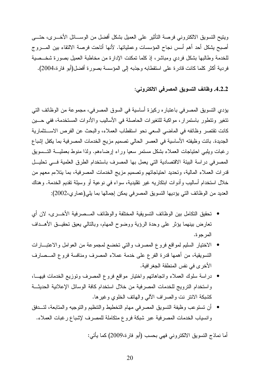ويتيح التسويق الالكترونبي فرصة التأثير على العميل بشكل أفضل من الوســـائل الأخــــري، حتــــي أصبح يشكل أحد أهم أسس نجاح المؤسسات وعملياتها. لأنها أتاحت فرصة الالتقاء بين المسروج للخدمة وطالبها بشكل فردى ومباشر، إذ كلما تمكنت الإدارة من مخاطبة العميل بصورة شخـــصية فردية أكثر كلما كانت قادرة على استقطابه وجذبه إلى المؤسسة بصورة أفضل(أبو فارة،2004).

## 4.2.2. وظائف التسويق المصرفى الالكتروني:

يؤدي التسويق المصرفي باعتباره ركيزة أساسية في السوق المصرفي، مجموعة من الوظائف التي نتغير ونتطور باستمرار، مواكبة للتغيرات الحاصلة في الأساليب والأدوات المستخدمة، ففي حــين كانت تقتصر وظائفه في الماضي السعي نحو استقطاب العملاء، والبحث عن الفرص الاستثمارية الجديدة. باتت وظيفته الأساسية في العصر الحالي تصميم مزيج الخدمات المصرفية بما يكفل إشباع رغبات ويلبي احتياجات العملاء بشكل مستمر سعيا وراء إرضاءهم. ولذا منوط بعمليـــة التـــسويق المصرفي دراسة البيئة الاقتصادية التي يعمل بها المصرف باستخدام الطرق العلمية فسي تحليــل قدرات العملاء المالية، وتحديد احتياجاتهم وتصميم مزيج الخدمات المصرفية، بما يتلاءم معهم من خلال استخدام أساليب وأدوات ابتكاريه غير نقليدية، سواء في نوعية أو وسيلة نقديم الخدمة. وهناك العديد من الوظائف التي يؤديها التسويق المصرفي يمكن إجمالها بما يلي(عماري،2002):

- تحقيق التكامل بين الوظائف التسويقية المختلفة والوظائف المسصرفية الأخسري، لان أي تعارض ببنهما بؤثر على وحدة الرؤية ووضوح المهام، وبالنالي يعيق تحقيــق الأهـــداف المر جو ة.
- الاختيار السليم لمواقع فروع المصرف والتبي نخضع لمجموعة من العوامل والاعتبــارات التسويقية، من أهمها قدرة الفرع على خدمة عملاء المصرف ومنافسة فروع المـــصارف الأخر ى في نفس المنطقة الجغر افية.
- دراسة سلوك العملاء وانجاهاتهم واختيار مواقع فروع المصرف ونوزيع الخدمات فيهــا، واستخدام النزويج للخدمات المصرفية من خلال استخدام كافة الوسائل الإعلانية الحديثة كشبكة الانتر نت والصراف الآلي والهاتف الخلوي وغيرها.
- أن نستوعب وظيفة التسويق المصرفي مهام التخطيط والنتظيم والنوجيه والمتابعة، لتــدفق وانسياب الخدمات المصرفية عبر شبكة فروع متكاملة للمصرف لإشباع رغبات العملاء.

أما نماذج التسويق الالكتروني فهي بحسب (أبو فارة،2009) كما يأتي: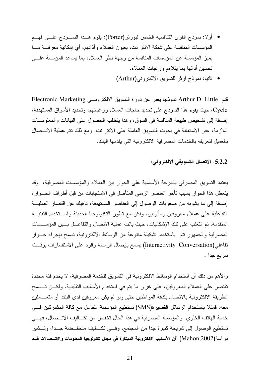- أولا: نموذج القوى التنافسية الخمس لبورنز (Porter): يقوم هــذا النمـــوذج علــــي فهـــم المؤسسات المنافسة على شبكة الانتر نت، بعيون العملاء وأذانهم، أي إمكانية معرفسة مسا يميز المؤسسة عن المؤسسات المنافسة من وجهة نظر العملاء، بما يساعد المؤسسة علـــى تحسبن أدائها بما بتلاءم ورغبات العملاء.
	- ثانيا: نموذج أرثر للتسويق الالكتروني(Arthur)

قدم Arthur D. Little نموذجا يعبر عن دورة التسويق الالكترونسي Electronic Marketing Cycle، حيث يقوم هذا النموذج على تحديد حاجات العملاء ورغباتهم، وتحديد الأسواق المستهدفة، إضافة إلى نشخيص طبيعة المنافسة في السوق، وهذا يتطلب الحصول على البيانات والمعلومــات اللازمة، عبر الاستعانة في بحوث النسويق العاملة على الانتر نت. ومع ذلك نتم عملية الاتـــصال بالعميل لتعريفه بالخدمات المصرفية الالكترونية التي يقدمها البنك.

## 5.2.2. الاتصال التسويقى الالكتروني:

يعتمد التسويق المصرفي بالدرجة الأساسية على الحوار بين العملاء والمؤسسات المصرفية، وقد يتعطل هذا الحوار بسبب تأخر العنصر الزمني المتأصل في الاستجابات من قبل أطراف الحسوار ، إضافة إلى ما يشوبه من صعوبات الوصول إلى العناصر المستهدفة، ناهيك عن اقتصار العمليــة النفاعلية على عملاء معروفين ومألوفين. ولكن مع نطور النكنولوجيا الحديثة واســـنخدام النقنيـــة المنقدمة، تم التغلب على تلك الإشكاليات، حيث باتت عملية الاتصال والتفاعــل بـــين المؤســـسات المصرفية والجمهور نتم باستخدام تشكيلة متنوعة من الوسائط الالكترونية، تسمح بإجراء حــوار تفاعلى(Interactivity Conversation) يسمح بإيصال الرسالة والرد على الاستفسارات بوقــت سريع جدا .

والأهم من ذلك أن استخدام الوسائط الالكترونية في التسويق للخدمة المصرفية، لا يخدم فئة محددة تقتصر على العملاء المعروفين، على غرار ما يتم في استخدام الأساليب التقليدية. ولكـــن تـــسمح الطريقة الالكترونية بالاتصال بكافة المواطنين حتى ولو لم يكن معروفين لدى البنك أو متعـــاملين معه. فمثلا باستخدام الرسائل القصيرة(SMS) تستطيع المؤسسة التفاعل مع كافة المشتركين فـــي خدمة الهاتف الخلوي. والمؤسسة المصرفية في هذا الحال تخفض من تكــاليف الاتــصال، فهـــي تستطيع الوصول إلى شريحة كبيرة جدا من المجتمع، وفسى تكساليف منخفــضة جــدا، وتــشير در اسة(Mahon,2002) "أن الأساليب الالكترونية المبتكرة في مجال تكنولوجيا المعلومات والاتسصالات قسد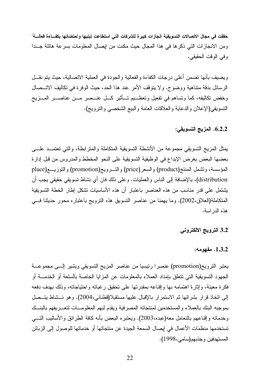حققت في مجال الاتصالات التسويقية انجازات كبيرة للشركات التي استطاعت تبنيها واحتضانها بكفـــاءة فعالــــة" ومن الانجازات التي ذكر ها في هذا المجال حيث مكنت من ايصال المعلومات بسرعة هائلة جـــدا وفي الوقت الحقيقي.

ويضيف بأنها نضمن أعلى درجات الكفاءة والفعالية والجودة في العملية الاتصالية، حيث يتم نقـــل الرسائل بدقة متناهية ووضوح. ولا يتوقف الأمر عند هذا الحد، حيث الوفرة في تكاليف الاتــصال وخفض نكاليفه، كما ونساهم في تفعيل ونعظـــيم نــــأثير كـــل عنـــصر مـــن عناصــــر المـــزيج النسويقي(الإعلان والدعاية والعلاقات العامة والبيع الشخصبي والنزويج).

## 6.2.2. المزيج التسويقي:

يمثل المزيج التسويقي مجموعة من الأنشطة التسويقية المتكاملة والمنز ابطة، والتي تعتمــد علـــي بعضها البعض بغرض الإبداع في الوظيفية التسويقية على النحو المخطط والمدروس من قبل إدار ة المؤسسة، ونتثمل المنتج(product) والسعر(price) والتسرويج(promotion) والتوزيـــع(place distribution)، بالإضافة إلى الناس والعمليات. وعلى ذلك فان أي نشاط تسويقي حقيقي يجب أن يشتمل على قدر مناسب من هذه العناصر باعتبار أن هذه الأساسيات تشكل إطار الخطة التسويقية المتكاملة(العلاق،2002). وما يهمنا من عناصر التسويق هذه الترويج باعتباره محور حديثنا فسي هذه الدر اسة.

## 3.2 الترويج الالكتروني

#### 1.3.2. مفهومه:

يعتبر الترويج(promotion) عنصرا رئيسيا من عناصر المزيج التسويقي ويشير إلـــي مجموعـــة الجهود التسويقية التي نتعلق بإمداد العملاء بالمعلومات عن المزايا الخاصة بالسلعة أو الخدمـــة أو فكرة معينة، وإثارة اهتمامه بها وإفناعه بمقدرتها على نحقيق رغباته واحتياجاته، وذلك بهدف دفعه إلى اتخاذ قرار بشرائها ثم الاستمرار بالإقبال عليها مستقبلا(قطناني،2004). وهو نــشاط بتــصل بموجبه البنك بالعملاء والمستخدمين لمنتجاته المصرفية ويقدم لبهم المعلومسات لتعسريفهم بالبنسك وخدماته وإقناعهم بالنعامل معه(عبده،2003). ويعتبره البعض بأنه كافة الطرائق والأساليب التسبي تستخدمها منظمات الأعمال في إيصال السمعة الجيدة عن منتجاتها أو خدماتها للوصول إلى الزبائن المستهدفين وجذبهم(سامي،1998).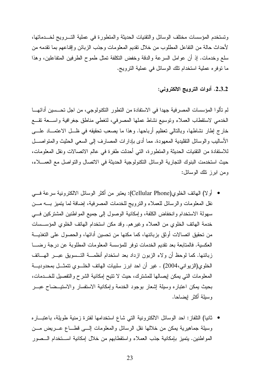وتستخدم المؤسسات مختلف الوسائل والنقنيات الحديثة والمتطورة في عملية التسرويج لخسدماتها، لأحداث حالة من النفاعل المطلوب من خلال نقديم المعلومات وجذب الزبائن وإقناعهم بما نقدمه من سلَّع وخدمات. إذ أن عوامل السرعة والدقة وخفض النكلفة تمثَّل طموح الطرفين المتفاعلين، وهذا ما نوفر ه عملية استخدام نلك الوسائل في عملية النزويج.

## 2.3.2. أدوات الترويج الالكتروني:

لم تألو ا المؤسسات المصر فية جهدا في الاستفادة من النطو ر النكنولوجي، من اجل تحـــسين أدائهـــا الخدمي لاستقطاب العملاء ونوسيع نشاط عملها المصرفي، لتغطى مناطق جغرافية واســـعة نقـــع خارج إطار نشاطها، وبالتالي تعظيم أرباحها. وهذا ما يصعب تحقيقه في ظـــل الاعتمـــاد علــــي الأساليب والوسائل النقليدية المعهودة. مما أدى بإدارات المصارف إلى السعى الحثيث والمتواصـــل للاستفادة من النقنيات الحديثة والمتطورة، التي أحدثت طفرة في عالم الاتصالات ونقل المعلومات، حيث استخدمت البنوك التجارية الوسائل التكنولوجية الحديثة في الاتصال والتواصل مع العمـــلاء، ومن ابرز نلك الوسائل:

- أولا) الـهاتف الخلوي(Cellular Phone): يعتبر من أكثر الوسائل الالكترونية سرعة فـــي نقل المعلومات والرسائل للعملاء والنزويج للخدمات المصرفية، إضافة لما يتميز بـــه مـــن سهولة الاستخدام وانخفاض الكلفة، وإمكانية الوصول إلى جميع المواطنين المشتركين في خدمة الهاتف الخلوي من العملاء وغيرهم. وقد مكن استخدام الهاتف الخلوي المؤسسات من نحقيق اتصالات أوثق بزبائنها، كما مكنها من نحسين أدائها، والحصول على التغذيـــة العكسية. فالمتابعة بعد نقديم الخدمات توفر للمؤسسة المعلومات المطلوبة عن درجة رضـــا زبائنها. كما لوحظ أن ولاء الزبون ازداد بعد استخدام أنظمـــة التـــسويق عبـــر الـهــــاتف الخلوي(الزيواني،2004) . غير أن احد ابرز سلبيات الـهاتف الخلـــوي نتمثـــل بمحدوديـــة المعلومات التي يمكن إيصالها للمشترك، حيث لا تتيح إمكانية الشرح والتفصيل للخـــدمات، بحبث يمكن اعتباره وسيلة إشعار بوجود الخدمة وإمكانية الاستفسار والاستيــضاح عبـــر وسبلة أكثر إبضاحا.
- ثانيا) التلفاز: احد الوسائل الالكترونية التي شاع استخدامها لفترة زمنية طويلة، باعتبــاره وسبلة جماهيرية بمكن من خلالها نقل الرسائل والمعلومات إلـــي فطـــاع عــــريض مـــن المواطنين. يتميز بإمكانية جذب العملاء واستقطابهم من خلال إمكانية استخدام السصور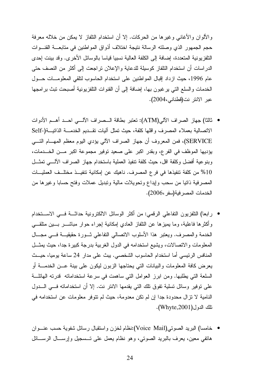والألوان والأغانبي وغير ها من الحركات. إلا أن استخدام التلفاز لا يمكن من خلاله معرفة حجم الجمهور الذي وصلته الرسالة نتيجة اختلاف أذواق المواطنين في متابعـــة القنـــوات النلفز يونية المتعددة، إضافة إلى الكلفة العالية نسبيا قياسا بالوسائل الأخرى. وقد بينت إحدى الدر اسات أن استخدام التلفاز كوسيلة للدعاية والإعلان تراجعت إلى أكثر من النصف حتى عام 1996، حيث ازداد إقبال المواطنين على استخدام الحاسوب لنلقى المعلومـــات حـــول الخدمات والسلع التي ير غبون بها، إضافة إلى أن القنوات التلفزيونية أصبحت تبث بر امجها عبر الانتر نت(قطناني،2004).

- ثالثًا) جهاز الصر اف الآلي(ATM): تعتبر بطاقة الــصر اف الآلـــي احــد أهـــم الأدو ات الاتصالية بعملاء المصرف واقلها كلفة، حيث تمثل أليات نقــديم الخدمـــة الذاتيـــة(-Self SERVICE)، فمن المعروف أن جهاز الصراف الآلي يؤدي اليوم معظم المهـــام التــــي يؤديها الموظف في الفرع، وبقدر اكبر على صعيد توفير مجموعة اكبر مـــن الخـــدمات، وبنوعية أفضل وكلفة اقل، حيث كلفة نتفيذ العملية باستخدام جهاز الصراف الآلسي تمثسل 10% من كلفة نتفيذها في فرع المصرف. ناهيك عن إمكانية نتفيــذ مختلــف العمليـــات المصرفية ذاتيا من سحب وإيداع وتحويلات مالية ونبديل عملات وفتح حسابا وغيرها من الخدمات المصر فية(سفر ،2006).
- رابعا) التلفزيون النفاعلي الرقمي: من أكثر الوسائل الالكترونية حداثـــة فـــي الاســـتخدام وأكثرها فاعلية، وما يميزها عن النلفاز العادي إمكانية إجراء حوار مباشــــر بـــين متلقــــي الخدمة والمصرف. ويعتبر هذا الأسلوب الاتصالي التفاعلي ثــورة حقيقيـــة فـــي مجـــال المعلومات والاتصالات، ويشيع استخدامه في الدول الغربية بدرجة كبيرة جدا، حيث يمثــل المنافس الرئيسي أما استخدام الحاسوب الشخصبي. ببث على مدار 24 ساعة بوميا، حيــث يعرض كافة المعلومات والبيانات التي يحتاجها الزبون ليكون على بينة عــن الخدمـــة أو السلعة التي يطلبها. ومن ابرز العوامل التي ساهمت في سرعة استخداماته قدرته الهائلة على نوفير وسائل تسلية نفوق تلك التي يقدمها الانتر نت. إلا أن استخداماته فـــى الـــدول النامية لا تزال محدودة جدا إن لم تكن معدومة، حيث لم تتوفر معلومات عن استخدامه في تلك الدول(Whyte,2001).
- خامسا) البريد الصوتي(Voice Mail):نظام لخزن واستقبال رسائل شفوية حسب عنـــوان هاتفي معين، يعرف بالبريد الصوتبي، وهو نظام يعمل على تـــسجيل وإرســــال الرســــائل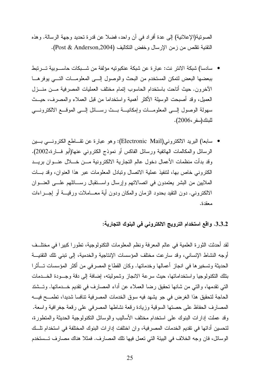الصونية(الإعلانية) إلى عدة أفراد في آن واحد، فضلا عن قدرة تحديد وجهة الرسالة. وهذه النقنية نقلص من زمن الإرسال وخفض النكاليف (Post & Anderson,2004).

- سادسا) شبكة الانتر نت: عبار ة عن شبكة عنكبو تبه مؤلفة من شـــبكات حاســـو ببة تـــر تبط ببعضها البعض لتمكن المستخدم من البحث والوصول إلسي المعلومسات التسي يوفرهسا الآخرون. حيث أتاحت باستخدام الحاسوب إتمام مختلف العمليات المصرفية مـــن منـــزل العميل، وقد أصبحت الوسيلة الأكثر أهمية واستخداما من قبل العملاء والمصرف، حيــث سهولة الوصول إلـــي المعلومـــات وإمكانيـــة بـــث رســـائل إلـــي الموقـــع الالكترونــــي للبنك(سفر ،2006).
- سابعاً) البريد الالكتروني(Electronic Mail): وهو عبارة عن نقــاطـع الكترونـــي بـــين الرسائل والمكالمات الـهانفية ورسائل الفاكس أو نموذج الكترونـي عنـها(أبو فـــارة،2002). وقد بدأت منظمات الأعمال دخول عالم التجارية الالكترونية مـــن خــــلال عنـــوان بريـــد الكتروني خاص بها، لنتفيذ عملية الانصال وتبادل المعلومات عبر هذا العنوان، وقد بسات الملايين من البشر يعتمدون في اتصالاتهم وإرسال واستقبال رســائلهم علـــي العنـــوان الالكتر ونبي. دون النقيد بحدود الزمان والمكان ودون أية معـــاملات ورقيـــة أو اجـــر اءات معقدة.

# 3.3.2. واقع استخدام الترويج الالكتروني في البنوك التجارية:

لقد أحدثت الثورة العلمية في عالم المعرفة ونظم المعلومات التكنولوجية، تطورا كبيرا في مختلــف أوجه النشاط الإنساني، وقد سارعت مختلف المؤسسات الإنتاجية والخدمية، إلى تبني تلك التقنيـــة الحديثة وتسخير ها في انجاز أعمالها وخدماتها. وكان القطاع المصرفي من أكثر المؤسسات تـــأثرا بتلك التكنولوجيا واستخداماتها، حيث سرعة الانجاز وشموليته، إضافة إلى دقة وجـودة الخــدمات التي تقدمها، والتي من شانها تحقيق رضا العملاء عن أداء المصارف في تقديم خـــدماتها. وتـــشتد الحاجة لتحقيق هذا الغرض في جو يشهد فيه سوق الخدمات المصرفية تنافسا شديدا، تطمـــح فيــــه المصبار ف الحفاظ على حصنتها السوفية وزيادة رقعة نشاطها المصرفي على رقعة جغرافية واسعة. وقد عملت إدارات البنوك على استخدام مختلف الأساليب والوسائل التكنولوجية الحديثة والمتطورة، لتحسين أدائها في تقديم الخدمات المصر فية، وإن اختلفت إدارات البنوك المختلفة في استخدام تلسك الوسائل، فان وجه الخلاف في البيئة التي تعمل فيها تلك المصارف. فمثلا هناك مصارف تــستخدم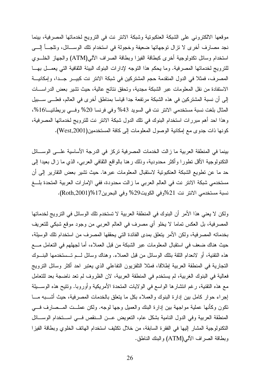موقعها الالكتروني على الشبكة العنكبونية وشبكة الانتر نت في الترويج لخدماتها المصرفية، بينما نجد مصارف أخرى لا نزال نوجهاتها ضعيفة وخجولة في استخدام نلك الوســـائل، ونلجـــأ الِــــي استخدام وسائل تكنولوجية أخرى كبطاقة الفيزا وبطاقة الصراف الآلي(ATM) والجهاز الخلسوي للنرويج لخدماتها المصرفية. وما يحكم هذا النوجه لإدارات البنوك البيئة الثقافية التي يعمـــل بهـــا المصرف، فمثلاً في الدول المتقدمة حجم المشتركين في شبكة الانتر نت كبيـــر جــدا، وإمكانيـــة الاستفادة من نقل المعلومات عبر الشبكة مجدية، وتحقق نتائج عالية، حيث تشير بعض الدراســات إلى أن نسبة المشتركين في هذه الشبكة مرتفعة جدا قياسا بمناطق أخرى في العالم، فعلـــي ســـبيل المثال بلغت نسبة مستخدمي الانتر نت في السويد 43% وفي فرنسا 20% وفي بريطانيـــا16%، وهذا احد أهم مبررات استخدام البنوك في نلك الدول شبكة الانتر نت للترويج لخدماتها المصرفية، كونها ذات جدوى مع إمكانية الوصول المعلومات إلى كافة المستخدمين(West,2001).

بينما في المنطقة العربية ما زالت الخدمات المصرفية تركز في الدرجة الأساسية علـــي الوســـائل النكنولوجية الأقل نطورا وأكثر محدودية، وذلك رهنا بالواقع الثقافي العربي، الذي ما زال بعيدا إلىي حد ما عن نطويع الشبكة العنكبونية لاستقبال المعلومات عبرها. حيث نشير بعض النقارير إلى أن مستخدمي شبكة الانتر نت في العالم العربي ما زالت محدودة، ففي الإمارات العربية المتحدة بلغ نسبة مستخدمي الانتر نت 21%وفي الكويت29% وفي البحرين17%(Roth,2001).

ولكن لا يعني هذا الأمر أن البنوك في المنطقة العربية لا تستخدم تلك الوسائل في الترويج لخدماتها المصرفية، بل العكس تماما لا يخلو أي مصرف في العالم العربي من وجود موقع شبكي للتعريف بخدماته المصرفية، ولكن الأمر يتعلق بمدى الفائدة التي يحققها المصرف من استخدام تلك الوسيلة، حيث هناك ضعف في استقبال المعلومات عبر الشبكة من قبل العملاء، أما لجهلهم في التعامل مــــع هذه النقنية، أو لانعدام النقة بنلك الوسائل من قبل العملاء. وهناك وسائل لـــم تـــستخدمها البنـــوك النجارية في المنطقة العربية إطلاقا، فمثلا النلفزيون النفاعلي الذي يعتبر احد أكثر وسائل النرويج فعالية في البنوك الغربية، لم يستخدم في المنطقة العربية، لأن الظروف لم نعد ناضجة بعد للتعامل مع هذه النقنية، رغم انتشارها الواسع في الولايات المتحدة الأمريكية وأوروبا. ونتيح هذه الوســـيلة إجراء حوار كامل بين إدارة البنوك والعملاء بكل ما يتعلق بالخدمات المصرفية، حيث أشـــبه مـــا نكون وكأنها عملية مواجهة بين إدارة البنك والعميل وجها لوجه. ولكن عملــت المـــصارف فـــي المنطقة العربية وفي الدول النامية بشكل عام، التعويض عــن الــنقص فـــي اســتخدام الوســـائل النكنولوجية المشار إليها في الفقرة السابقة، من خلال نكثيف استخدام الهانف الخلوي وبطاقة الفيزا وبطاقة الصراف الآلي(ATM) والبنك الناطق.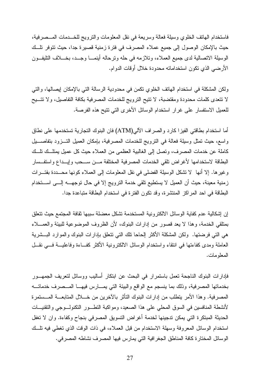فاستخدام الهانف الخلوي وسيلة فعالة وسريعة في نقل المعلومات والنرويج للخــدمات المــصرفية، حيث بالإمكان الوصول إلى جميع عملاء المصرف في فترة زمنية قصيرة جدا، حيث نتوفر تلــك الوسيلة الاتصالية لدى جميع العملاء، وتلازمه في حله ونرحاله أينمـــا وجـــد، بخــــلاف النايفــون الأرضبي الذي نكون استخداماته محدودة خلال أوقات الدوام.

ولكن المشكلة في استخدام الهاتف الخلوي تكمن في محدودية الرسالة التي بالإمكان إيصالها، والتي لا تتعدى كلمات محدودة ومقتضبة، لا نتيح الترويج للخدمات المصرفية بكافة النفاصيل، ولا نتسيح للعميل الاستفسار على غرار استخدام الوسائل الأخرى التي نتيح هذه الفرصة.

أما استخدام بطاقتي الفيزا كارد والصراف الآلي(ATM) فان البنوك التجارية تستخدمها على نطاق واسع، حيث نَمثَّل وسيلة فعالة في النرويج للخدمات المصرفية، بإمكان العميل التـــزود بتفاصــــيل كاملة عن خدمات المصرف، وتصل إلى الغالبية العظمى من العملاء حيث كل عميل بمتلَّــك نلَّــك البطاقة لاستخدامها لأغراض نلقي الخدمات المصرفية المختلفة مسن ســحب وإبــداع واستفــسار وغيرها. إلا أنها لا نشكل الوسيلة الفضلي في نقل المعلومات إلى العملاء كونها محـــددة بفتـــرات زمنية معينة، حيث أن العميل لا يستطيع نلقي خدمة النرويج إلا في حال نوجهــــه إلــــي اســـتخدام البطاقة في احد المراكز المنتشرة، وقد تكون الفترة في استخدام البطاقة متباعدة جدا.

إن إشكالية عدم كفاية الوسائل الالكترونية المستخدمة تشكل معضلة سببها نقافة المجتمع حيث تتعلق بمتلقى الخدمة، وهذا لا يعد قصور من إدارات البنوك، لأن الظروف الموضوعية للبيئة والعمـــلاء هي التي فرضتها. ولكن المشكلة الأكثر الحاحا نلك التي نتعلق بإدارات البنوك والموارد البـــشرية العاملة ومدى كفاءتها في انتقاء واستخدام الوسائل الالكترونية الأكثر كفــاءة وفاعليـــة فــــى نقـــل المعلو مات.

فإدار ات البنوك الناجحة تعمل باستمر ار في البحث عن ابتكار أساليب ووسائل لتعريف الجمهــور بخدماتها المصرفية، وذلك بما ينسجم مع الواقع والبيئة التي يمسارس فيهـــا المـــصرف خدماتــــه المصر فية. و هذا الأمر يتطلب من إدار ات البنوك التأثر بالآخرين من خــــلل المتابعـــة المـــستمر ة لأنشطة المنافسين في السوق المحلي على هذا الصعيد، ومواكبة النطــور النكنولــوجي والنقنيـــات الحديثة المبتكرة التي يمكن تدجينها لخدمة أغراض التسويق المصرفي بنجاح وكفاءة. وان لا تغفل استخدام الوسائل المعروفة وسهلة الاستخدام من قبل العملاء، في ذات الوقت الذي تغطي فيه نلــك الوسائل المختارة كافة المناطق الجغرافية التي يمارس فيها المصرف نشاطه المصرفي.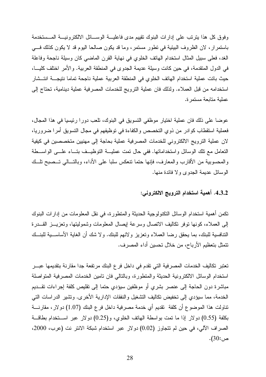وفوق كل هذا يترتب على إدارات البنوك نقييم مدى فاعليـــة الوســـائل الالكترونيـــة المـــستخدمة باستمرار، لان الظروف البيئية في تطور مستمر، وما قد يكون صالحا اليوم قد لا يكون كذلك في الغد، فعلى سبيل المثال استخدام الهاتف الخلوى في نهاية القرن الماضبي كان وسيلة ناجحة وفاعلة في الدول المنقدمة، في حين كانت وسيلة عديمة الجدوى في المنطقة العربية. والأمر اختلف كليسا، حيث باتت عملية استخدام الهاتف الخلوي في المنطقة العربية عملية ناجحة تماما نتيجـــة انتـــشار استخدامه من قبل العملاء. ولذلك فان عملية النرويج للخدمات المصرفية عملية دينامية، تحتاج إلى عملية متابعة مستمر ة.

عوضا على ذلك فان عملية اختيار موظفي التسويق في البنوك، تلعب دورا رئيسيا في هذا المجال، فعملية استقطاب كوادر من ذوى التخصص والكفاءة في توظيفهم في مجال النسويق أمرا ضروريا، لان عملية الترويج الالكتروني للخدمات المصرفية عملية بحاجة إلى مهنيين متخصصين في كيفية النعامل مع نلك الوسائل واستخداماتها. ففي حال نمت عمليـــة التوظيــف بتـــاء علـــي الواســطة والمحسوبية من الأقارب والمعارف، فإنها حتما نتعكس سلبا على الأداء، وبالتسالي تـــصبح نلـــك الوسائل عديمة الجدوى ولا فائدة منها.

## 4.3.2. أهمية استخدام الترويج الالكتروني:

نكمن أهمية استخدام الوسائل التكنولوجية الحديثة والمتطورة، في نقل المعلومات من إدارات البنوك إلى العملاء، كونها توفر تكاليف الاتصال وسرعة إيصال المعلومات وشموليتها، وتعزيــز القـــدرة النتافسية للبنك، بما يحقق رضا العملاء وتعزيز ولائهم للبنك. ولا شك أن الغاية الأساســـية للبنـــك نتمثل بتعظيم الأرباح، من خلال تحسين أداء المصرف.

تعتبر تكاليف الخدمات المصرفية التي تقدم في داخل فرع البنك مرتفعة جدا مقارنة بتقديمها عبـــر استخدام الوسائل الالكترونية الحديثة والمتطورة، وبالتالي فان نامين الخدمات المصرفية المنواصلة مباشرة دون الحاجة إلى عنصر بشري أو موظفين سيؤدي حتما إلى تقليص كلفة إجراءات تقـــديم الخدمة، مما سيؤدي إلى تخفيض تكاليف التشغيل والنفقات الإدارية الأخرى. وتشير الدراسات التي نتاولت هذا الموضوع أن كلفة نقديم أي خدمة مصرفية داخل فرع البنك (1.07) دولار ، مقارنــــة بكلفة (0.55) دولار إذا ما تمت بواسطة الهاتف الخلوى، و(0.25) دولار عبر استخدام بطاقة الصراف الآلي، في حين لم تتجاوز (0.02) دولار عبر استخدام شبكة الانتر نت (عرب، 2000، ص:30).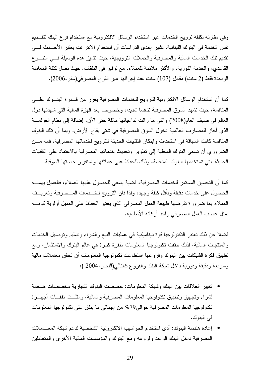وفي مقارنة لكلفة نرويج الخدمات عبر استخدام الوسائل الالكترونية مع استخدام فرع البنك لتقــديم نفس الخدمة في البنوك اللبنانية، تشير إحدى الدر اسات أن استخدام الانتر نت يعتبر الأحـــدث فـــي تقديم تلك الخدمات المالية والمصرفية والحملات الترويجية، حيث تتميز هذه الوسيلة فسى التنسوع القاعدي، والخدمة الفورية، والأكثر ملائمة للعملاء، مع توفير في النفقات. حيث تصل كلفة المعاملة الواحدة فقط (2 سنت) مقابل (107) سنت عند إجرائها عبر الفرع المصرفي(سفر،2006).

كما أن استخدام الوسائل الالكترونية للترويج للخدمات المصرفية يعزز من قـــدرة البنـــوك علــــي المنافسة، حيث نشهد السوق المصرفية نتافسا شديدا، وخصوصا بعد الهزة المالية التي شهدتها دول العالم في صيف العام(2008) والتي ما زالت نداعياتها ماثلة حتى الآن. إضافة إلى نظام العولمـــة الذي أجاز للمصارف العالمية دخول السوق المصرفية في شتى بقاع الأرض. وبما أن تلك البنوك المنافسة كانت السباقة في استحداث وابتكار التقنيات الحديثة للترويج لخدماتها المصرفية، فانه مـــن الضروري أن تسعى البنوك المحلية إلى نطوير ونحديث خدماتها المصرفية بالاعتماد على النقنيات الحديثة التي تستخدمها البنوك المنافسة، وذلك للحفاظ على عملائها واستقرار حصتها السوقية.

كما أن التحسين المستمر للخدمات المصرفية، قضية يسعى للحصول عليها العملاء، فالعميل يهمــــه الحصول على خدمات دقيقة وبأقل كلفة وجهد، ولذا فان النرويج للخـــدمات المـــصرفية وتعريـــف العملاء بها ضرورة تفرضها طبيعة العمل المصرفي الذي يعتبر الحفاظ على العميل أولوية كونــــه بِمثِّل عصب العمل المصرفي واحد أركانه الأساسية.

فضلاً عن ذلك تعتبر التكنولوجيا قوة ديناميكية في عمليات البيع والشراء وتسليم وتوصيل الخدمات والمنتجات المالية، لذلك حققت تكنولوجيا المعلومات طفرة كبيرة في عالم البنوك والاستثمار، ومع تطبيق فكر ة الشبكات بين البنوك وفروعها استطاعت تكنولوجيا المعلومات أن تحقق معاملات مالية وسريعة ودقيقة وفورية داخل شبكة البنك والفروع كالتالي(النجار،2004 ):

- تغيير العلاقات بين البنك وشبكة المعلومات: خصصت البنوك النجارية مخصصات ضخمة لشراء وتجهيز وتطبيق تكنولوجيا المعلومات المصرفية والمالية، ومثلَّــت نفقـــات أجهـــزة نكنولوجيا المعلومات المصرفية حوالي79% من إجمالي ما ينفق على نكنولوجيا المعلومات في البنوك.
- إعادة هندسة البنوك: أدى استخدام الحواسيب الالكترونية الشخصية لدعم شبكة المعـــاملات المصرفية داخل البنك الواحد وفروعه ومع البنوك والمؤسسات المالية الأخرى والمنعاملين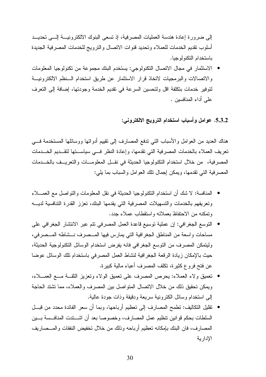إلى ضرورة إعادة هندسة العمليات المصرفية، إذ نسعى البنوك الالكترونيـــة إلــــى نحديـــد أسلوب نقديم الخدمات للعملاء وتحديد قنوات الاتصال والترويج للخدمات المصرفية الجديدة باستخدام التكنولوجيا.

● الاستثمار في مجال الاتصال التكنو لوجي: يستخدم البنك مجموعة من تكنو لوجيا المعلومات والاتصالات والبرمجيات لاتخاذ قرار الاستثمار عن طريق استخدام السنظم الالكترونيــة لتوفير خدمات بتكلفة اقل ولتحسين السرعة في تقديم الخدمة وجودتها، إضافة إلى التعرف على أداء المنافسين .

# 5.3.2. عوامل وأسباب استخدام الترويج الالكتروني:

هناك العديد من العوامل والأسباب التبي ندفع المصارف إلى نقييع أدواتها ووسائلها المستخدمة فسي تعريف العملاء بالخدمات المصرفية التي تقدمها، وإعادة النظر فسي سياســتها لتقــديم الخــدمات المصرفية، من خلال استخدام التكنولوجيا الحديثة في نقــل المعلومـــات والتعريــف بالخـــدمات المصرفية التي نقدمها، ويمكن إجمال نلك العوامل والسباب بما يلي:

- المنافسة: لا شك أن استخدام النكنولوجيا الحديثة في نقل المعلومات والتواصل مع العمـــلاء ونعريفهم بالخدمات والتسهيلات المصرفية التى يقدمها البنك، نعزز القدرة التنافسية لديسه وتمكنه من الاحتفاظ بعملائه واستقطاب عملاء جدد.
- التوسع الجغرافي: إن عملية توسيع قاعدة العمل المصرفي نتم عبر الانتشار الجغرافي على مساحات واسعة من المناطق الجغرافية التي يمارس فيها المسصرف نسشاطه المسصرفي، وليتمكن المصرف من النوسع الجغرافي فانه يفرض استخدام الوسائل النكنولوجية الحديثة، حيث بالإمكان زيادة الرقعة الجغرافية لنشاط العمل المصرفي باستخدام نلك الوسائل عوضا عن فتح فرو ع كثيرة، نكلف المصرف أعباء مالية كبيرة.
- نعميق ولاء العملاء: بحرص المصرف على نعميق الولاء ونعزيز النقسة مـــع العمـــلاء، ويمكن تحقيق ذلك من خلال الاتصال المتواصل بين المصرف والعملاء، مما نشتد الحاجة إلى استخدام وسائل الكترونية سريعة ودقيقة وذات جودة عالية.
- نقليل التكاليف: نطمح المصارف إلى نعظيم أرباحها، وبما أن سعر الفائدة محدد من قبـــل السلطات بحكم قوانين نتظيم عمل المصارف، وخصوصا بعد أن اشـــندت المنافــسة بـــين المصبارف، فان البنك بإمكانه تعظيم أرباحه وذلك من خلال تخفيض النفقات والمسصاريف الإداربة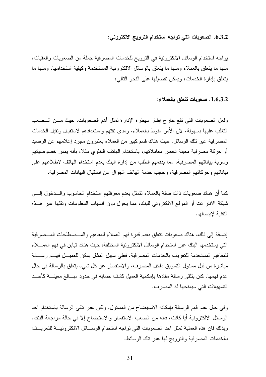### 6.3.2. الصعوبات التي تواجه استخدام الترويج الالكتروني:

يواجه استخدام الوسائل الالكترونية في الترويج للخدمات المصرفية جملة من الصعوبات والعقبات، منها ما يتعلق بالعملاء ومنها ما يتعلق بالوسائل الالكترونية المستخدمة وكيفية استخدامها، ومنها ما يتعلَّق بإدارة الخدمات، ويمكن تفصيلها على النحو النالبي:

#### 1.6.3.2. صعوبات تتعلق بالعملاء:

ولعل الصعوبات التي تقع خارج إطار سيطرة الإدارة تمثل أهم الصعوبات، حيث مـــن الـــصعب التغلب علبها بسهولة، لان الأمر ً منوط بالعملاء، ومدى ثقتهم واستعدادهم لاستقبال وتقبل الخدمات المصرفية عبر نلك الوسائل. حيث هناك قسم كبير من العملاء يعتبرون مجرد إعلامهم عن الرصيد أو حركة مصرفية معينة تخص معاملاتهم، باستخدام الهاتف الخلوي مثلا، بأنه يمس خصوصيتهم وسرية بياناتهم المصرفية، مما يدفعهم الطلب من إدارة البنك بعدم استخدام الهاتف لاطلاعهم على بياناتهم وحركاتهم المصرفية، وحجب خدمة الهاتف الجوال عن استقبال البيانات المصرفية.

كما أن هناك صعوبات ذات صلة بالعملاء نتمثل بعدم معرفتهم استخدام الحاسوب والسدخول إلسي شبكة الانتر نت أو الموقع الالكتروني للبنك، مما يحول دون انسياب المعلومات ونقلها عبر هــذه التقنبة لابصالها.

إضافة إلى ذلك، هناك صعوبات نتعلق بعدم قدرة فهم العملاء للمفاهيم والمسصطلحات المسصرفية التي يستخدمها البنك عبر استخدام الوسائل الالكترونية المختلفة، حيث هناك نباين في فهم العمـــلاء للمفاهيم المستخدمة للتعريف بالخدمات المصرفية. فعلى سبيل المثال يمكن للعميـــل فهـــم رســــالة مباشرة من قبل مسئول التسويق داخل المصرف، والاستفسار عن كل شيء يتعلق بالرسالة في حال عدم فهمها. كان يتلقى رسالة مفادها بإمكانية العميل كشف حسابه في حدود مبـــالـغ معينــــة كأحـــد التسهيلات التي سيمنحها له المصر ف.

وفي حال عدم فهم الرسالة بإمكانه الاستيضاح من المسئول. ولكن عبر تلقي الرسالة باستخدام احد الوسائل الالكترونية أيا كانت، فانه من الصعب الاستفسار والاستيضاح إلا في حالة مراجعة البنك. وبذلك فان هذه العملية تمثل احد الصعوبات التي نواجه استخدام الوســـائل الالكترونيـــة للتعريـــف بالخدمات المصرفية والنرويج لها عبر نلك الوسائط.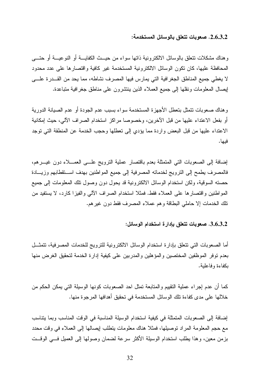2.6.3.2. صعويات تتعلق بالوسائل المستخدمة:

و هناك مشكلات نتعلق بالوسائل الالكتر ونية ذاتها سواء من حيـــث الكفايـــة أو النوعيـــة أو حتــــى المحافظة عليها، كان نكون الوسائل الالكترونية المستخدمة غير كافية واقتصارها على عدد محدود لا يغطي جميع المناطق الجغرافية التي يمارس فيها المصرف نشاطه، مما يحد من القـــدرة علــــي إيصال المعلومات ونقلها إلى جميع العملاء الذين ينتشرون على مناطق جغرافية متباعدة.

و هناك صعوبات تتمثَّل بتعطل الأجهز ة المستخدمة سواء بسبب عدم الجودة أو عدم الصبيانة الدورية أو بفعل الاعتداء عليها من قبل الآخرين، وخصوصا مر اكز استخدام الصر اف الآلي، حبث إمكانية الاعتداء عليها من قبل البعض وإردة مما يؤدى إلى تعطلها وحجب الخدمة عن المنطقة التي توجد فيها.

إضافة إلى الصعوبات النبي المتمثلة بعدم باقتصار عملية الترويج علسى العمـــلاء دون غيـــرهم، فالمصرف بطمح إلىي النزويج لخدمانه المصرفية إلى جميع المواطنين بهدف اســنقطابهم وزيـــادة حصنه السوقية، ولكن استخدام الوسائل الالكترونية قد يحول دون وصول نلك المعلومات إلى جميع المواطنين واقتصارها على العملاء فقط. فمثلا استخدام الصراف الآلي والفيزا كارد، لا يستفيد من نلك الخدمات إلا حاملي البطاقة وهم عملاء المصرف فقط دون غيرهم.

### 3.6.3.2. صعوبات تتعلق بإدارة استخدام الوسائل:

أما الصعوبات التي نتعلق بإدارة استخدام الوسائل الالكترونية للترويج للخدمات المصرفية، تتمثـــل بعدم نوفر الموظفين المختصين والمؤهلين والمدربين على كيفية إدارة الخدمة لتحقيق الغرض منها بكفاءة وفاعلبة.

كما أن عدم إجراء عملية النقييم والمتابعة تمثل احد الصعوبات كونها الوسيلة التي يمكن الحكم من خلالها على مدى كفاءة تلك الوسائل المستخدمة في تحقيق أهدافها المرجوة منها.

إضافة إلى الصعوبات المتمثلة في كيفية استخدام الوسيلة المناسبة في الوقت المناسب وبما يتناسب مع حجم المعلومة المراد توصيلها، فمثلًا هناك معلومات ينطلب إيصالها إلى العملاء في وقت محدد بزمن معين، وهذا يطلب استخدام الوسيلة الأكثر سرعة لضمان وصولها إلىي العميل فسي الوقــت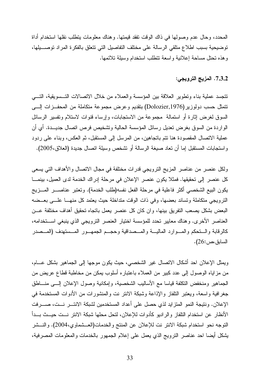المحدد، وحال عدم وصولها في ذاك الوقت نفقد قيمتها. وهناك معلومات يتطلب نقلها استخدام أداة توضيحية بسبب اطلاع متلقى الرسالة على مختلف التفاصيل التي تتعلق بالفكرة المراد توصـــبلها، وهذه نحتل مساحة إعلانية وإسعة نتطلب استخدام وسيلة تلائمها.

### 7.3.2. المزيج الترويجي:

تتجسد عملية بناء ونطوير العلاقة بين المؤسسة والعملاء من خلال الاتصالات التــسويقية، التـــي نتمثل حسب دولوزير (Dolozier,1976) بنقديم وعرض مجموعة متكاملة من المحفـــزات الــــي السوق لغرض إثارة أو استمالة ً مجموعة من الاستجابات، وإرساء قنوات لاستلام وتفسير الرسائل الواردة من السوق بغرض نعديل رسائل المؤسسة الحالية ونشخيص فرص انصال جديـــدة. أي أن عملية الانصال المقصودة هنا نتم بانجاهين، من المرسل إلى المستقبل، ثم العكس، وبناء على ردود واستجابات المستقبل إما أن تعاد صبغة الرسالة أو تشخص وسبلة اتصال جديدة (العلاق،2005).

ولكل عنصر من عناصر المزيج النرويجي قدرات مختلفة في مجال الاتصال والأهداف التي يسعى كل عنصر إلى تحقيقها. فمثلاً يكون عنصر الإعلان في مرحلة إدراك الخدمة لدى العميل، بينمـــا يكون البيع الشخصـي أكثر فاعلية في مرحلة الفعل نفسه(طلب الخدمة). وتعتبر عناصــــر المــــزيج الترويجي متكاملة ونساند بعضها، وفي ذات الوقت منداخلة حيث يعتمد كل منهـــا علـــي بعـــضه البعض بشكل بصعب التفريق بينها، وإن كان كل عنصر يعمل باتجاه تحقيق أهداف مختلفة عـــن العناصر الأخرى. وهناك معايير تحدد للمؤسسة اختيار العنصر الترويجي الذي ينبغي اســتخدامه، كالرقابة والستحكم والمسوارد الماليسة والمسصداقية وحجسم الجمهسور المسستهدف (المسصدر السابق،ص:26).

ويمثل الإعلان احد أشكال الاتصال غير الشخصبي، حيث يكون موجها إلى الجماهير بشكل عـــام، من مزاياه الوصول إلى عدد كبير من العملاء باعتباره أسلوب يمكن من مخاطبة قطاع عريض من الجماهير ومنخفض النكلفة قياسا مع الأساليب الشخصية، وإمكانية وصول الإعلان إلـــي منـــاطق جغرافية واسعة، ويعتبر النلفاز والإذاعة وشبكة الانتر نت والمنشورات من الأدوات المستخدمة في الإعلان. ونتيجة النمو المنزايد لذي حصل على أعداد المستخدمين لشبكة الانتسر نست، صسرفت الأنظار عن استخدام التلفاز والراديو كأدوات للإعلان، لتحل محلها شبكة الانتر نست حيست بسدأ التوجه نحو استخدام شبكة الانتر نت للإعلان عن المنتج والخدمات(العــشماوي،2004). والنــشر بِشكل أيضا احد عناصر النرويج الذي يعمل على إعلام الجمهور بالخدمات والمعلومات المصرفية،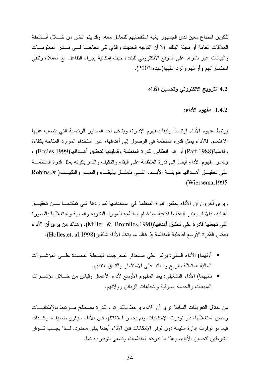لنكوين انطباع معين لدى الجمهور بغية استقطابهم للنعامل معه، وقد بنم النشر من خـــلال أنـــشطة العلاقات العامة أو مجلة البنك. إلا أن النوجه الحديث والذي لقى نجاحـــا فـــى نـــشر المعلومـــات والبيانات عبر نشرها على الموقع الالكتروني للبنك، حيث إمكانية إجراء التفاعل مع العملاء ونلقى استفسار اتهم وأرائهم والرد عليها(عبده،2003).

4.2 الترويج الالكتروني وتحسين الأداء

1.4.2. مفهوم الأداء:

يربِّنط مفهوم الأداء ارتباطا وثيقا بمفهوم الإدارة، ويشكل احد المحاور الرئيسية التي ينصب عليها الاهتمام، فالأداء يمثل قدر ة المنظمة في الوصول إلى أهدافها، عبر استخدام الموارد المتاحة بكفاءة وفاعلية(Paft,1988) أو هو انعكاس لقدرة المنظمة وقابليتها لتحقيق أهــدافها(Eccles,1999) ، ويشير مفهوم الأداء أيضا إلى قدرة المنظمة على البقاء والتكيف والنمو بكونه بمثل قدرة المنظمـــة على تحقيــــق أهـــدافها طويلــــة الأمـــد، التـــــى نتمثـــل بالبقـــاء والنمـــو والنكيـــف( & Robins .(Wiersema, 1995).

ويرى آخرون أن الأداء يعكس قدرة المنظمة في استخدامها لمواردها التي تمكنهـــا مـــن تحقيـــق أهدافه، فالأداء يعتبر انعكاسا لكيفية استخدام المنظمة للموارد البشرية والمادية واستغلالها بالصورة التي تجعلها قادرة على تحقيق أهدافها(Miller & Bromiles,1990). وهناك من برى أن الأداء يعكس الفكرة الأوسع لفاعلية المنظمة إذ غالبا ما يتخذ الأداء شكلين(Holles,et, al,1998):

- أولهما) الأداء المالي: يركز على استخدام المخرجات البسيطة المعتمدة علـــي المؤشـــرات المالية المتمثلة بالربح والعائد على الاستثمار والندفق النقدي.
- ثانيهما) الأداء التشغيلي: يعد المفهوم الأوسع لأداء الأعمال وقياس من خــــلال مؤشــــرات المبيعات والحصنة السوقية وانجاهات الزبائن وولائهم.

من خلال النعريفات السابقة نرى أن الأداء برنبط بالقدرة، والقدرة مصطلح مـــرنبط بالإمكانيـــات وحسن استغلالها، فلو نوفرت الإمكانيات ولم يحسن استغلالها فان الأداء سيكون ضعيف، وكــذلك فيما لو نوفرت إدارة سليمة دون نوفر الإمكانات فان الأداء أيضا يبقى محدود. لــذا يجــب تـــوفر الشرطين لتحسين الأداء، وهذا ما ندركه المنظمات ونسعى لتوفيره دائما.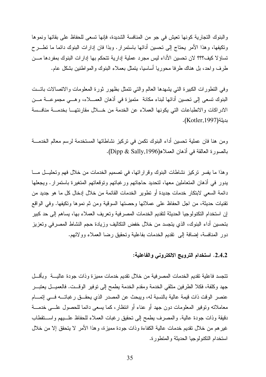والبنوك التجارية كونها تعيش في جو من المنافسة الشديدة، فإنها تسعى للحفاظ على بقائها ونموها ونكيفها، وهذا الأمر يحتاج إلى تحسين أدائها باستمرار . وبذا فان إدارات البنوك دائما ما نطـــرح تساؤ لا كيف؟؟؟ لان تحسين الأداء ليس مجرد عملية إدارية تتحكم بها إدارات البنوك بمفردها مـــن طرف واحد، بل هناك طرفا محوريا أساسيا، يتمثل بعملاء البنوك والمواطنين بشكل عام.

وفي النطورات الكبيرة التي يشهدها العالم والتي نتمثل بظهور ثورة المعلومات والاتصالات باتست البنوك نسعى إلى تحسين أدائها لبناء مكانة متميزة في أذهان العمــــلاء، وهــــي مجموعــــة مـــن الادراكات والانطباعات التي يكونها العملاء عن الخدمة من خـــلال مقارنتهـــا بخدمـــة منافــسة بديلة(Kotler,1997).

ومن هنا فان عملية تحسين أداء البنوك تكمن في تركيز نشاطاتها المستخدمة لرسم معالم الخدمـــة بالصورة العالقة في أذهان العملاء(Dipp & Sally,1996).

وهذا ما يفسر تركيز نشاطات البنوك وقراراتها، في تصميم الخدمات من خلال فهم وتحليـل مـــا يدور في أذهان المتعاملين معها، لتحديد حاجاتهم ورغباتهم وتوقعاتهم المتغيرة باستمرار . ويجعلها دائمة السعى لابتكار خدمات جديدة أو تطوير الخدمات القائمة من خلال إدخال كل ما هو جديد من تقنيات حديثة، من اجل الحفاظ على عملائها وحصتها السوقية ومن ثم نموها وتكيفها. وفي الواقع إن استخدام التكنولوجيا الحديثة لتقديم الخدمات المصرفية وتعريف العملاء بها، يساهم إلى حد كبير بتحسين أداء البنوك، الذي يتجسد من خلال خفض التكاليف وزيادة حجم النشاط المصرفي وتعزيز دور المنافسة، إضافة إلى نقديم الخدمات بفاعلية وتحقيق رضا العملاء وولائهم.

### 2.4.2. استخدام الترويج الالكتروني والفاعلية:

نتجسد فاعلية نقديم الخدمات المصرفية من خلال نقديم خدمات مميزة وذات جودة عاليــــة وبأقـــل جهد وكلفة، فكلا الطرفين متلقى الخدمة ومقدم الخدمة يطمح إلى نوفير الوقــت. فالعميــل يعتبـــر عنصر الوفت ذات قيمة عالية بالنسبة له، ويبحث عن المصدر الذي يحقَّــق رغباتـــه فـــي إتمـــام معاملاته ونوفير المعلومات دون جهد أو عناء أو انتظار، كما يسعى دائما للحصول علـــي خدمـــة دقيقة وذات جودة عالية. والمصرف بطمح إلى تحقيق رغبات العملاء للحفاظ علـــبيهم واســـتقطاب غير هم من خلال نقديم خدمات عالية الكفاءة وذات جودة مميزة، وهذا الأمر لا يتحقق إلا من خلال استخدام النكنولوجيا الحديثة والمنطورة.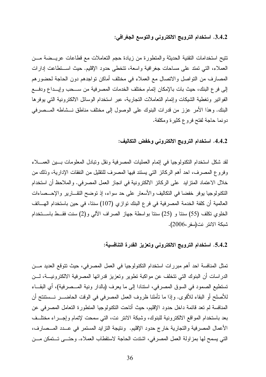3.4.2. استخدام الترويج الالكتروني والتوسع الجغرافي:

نتيح استخدامات النقنية الحديثة والمنطورة من زيادة حجم النعاملات مع فطاعات عريــضـة مـــن العملاء، التي نمند على مساحات جغرافية واسعة، نتخطى حدود الإقليم. حيث اســنطاعت إدارات المصارف من النواصل والاتصال مع العملاء في مختلف أماكن نواجدهم دون الحاجة لحضورهم إلى فرع البنك، حيث بات بالإمكان إتمام مختلف الخدمات المصرفية من ســحب وإيـــداع ودفـــع الفواتير وتغطية الشيكات وإتمام التعاملات التجارية، عبر استخدام الوسائل الالكترونية التي يوفرها البنك. وهذا الأمر عزز من قدرات البنوك على الوصول إلى مختلف مناطق نـــشاطه المـــصرفي دونما حاجة لفتح فروع كثيرة ومكلفة.

4.4.2. استخدام الترويج الالكتروني وخفض التكاليف:

لقد شكل استخدام النكنولوجيا في إتمام العمليات المصرفية ونقل وتبادل المعلومات بسين العمسلاء وفروع المصرف، احد أهم الركائز التي يستند فيها المصرف للنقليل من النفقات الإدارية، وذلك من خلال الاعتماد المنزايد على الركائز الالكترونية في انجاز العمل المصرفي. والملاحظ أن استخدام النكنولوجيا يوفر خفضا في النكاليف والأسعار على حد سواء، إذ توضح النقـــارير والإحـــصـاءات العالمية أن كلفة الخدمة المصرفية في فرع البنك توازي (107) سنتا، في حين باستخدام الهـــاتف الخلوى نكلف (55) سنتا و (25) سنتا بواسطة جهاز الصراف الآلي و(2) سنت فقــط باســـتخدام شبكة الانتر نت(سفر ،2006).

5.4.2. استخدام الترويج الالكتروني وتعزيز القدرة التنافسية:

تمثِّل المنافسة احد أهم مبررات استخدام التكنولوجيا في العمل المصرفي، حيث تتوقَّع العديد مـــن الدراسات أن البنوك التي نتخلف عن مواكبة تطوير وتعزيز قدراتها المصرفية الالكترونيـــة، لــــن تستطيع الصمود في السوق المصرفي، استنادا إلى ما يعرف (بالدار ونية المـــصرفية)، أي البقـــاء للأصلح أو البقاء للأقوى. وإذا ما نأملنا ظروف العمل المصرفي في الوقت الحاضــــر نــــستنتج أن المنافسة لم تعد قائمة داخل حدود الإقليم، حيث أتاحت النكنولوجيا المنطورة التعامل المصرفي عن بعد باستخدام المواقع الالكترونية للبنوك، وشبكة الانتر نت، التي سمحت لإتمام وإجـــراء مختلــف الأعمال المصرفية والتجارية خارج حدود الإقليم. ونتيجة التزايد المستمر في عــدد المــصارف، التي يسمح لها بمزاولة العمل المصرفي، اشتدت الحاجة لاستقطاب العملاء. وحتـــي تـــتمكن مـــن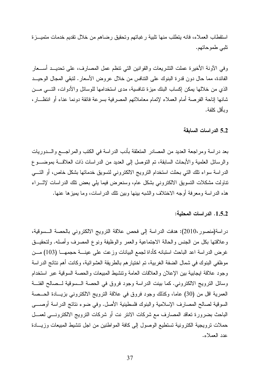استقطاب العملاء، فانه يتطلب منها تلبية رغباتهم وتحقيق رضاهم من خلال تقديم خدمات متميـــزة نلبي طموحاتهم.

وفي الآونة الأخيرة عملت التشريعات والقوانين التي تنظم عمل المصارف، على تحديــد أســـعار الفائدة، مما حال دون قدرة البنوك على التنافس من خلال عروض الأسعار . لنبقى المجال الوحيــد الذي من خلالها يمكن إكساب البنك ميزة تنافسية، مدى استخدامها للوسائل والأدوات، التـــى مـــن شانها إناحة الفرصة أمام العملاء لإتمام معاملاتهم المصرفية بسرعة فائقة دونما عناء أو انتظـــار ، و بأقل كلفة.

#### 5.2 الدر اسات السابقة

بعد دراسة ومراجعة العديد من المصادر المتعلقة بأدب الدراسة في الكتب والمراجـــع والـــدوريات والرسائل العلمية والأبحاث السابقة، تم التوصل إلى العديد من الدراسات ذات العلاقــــة بموضــــو ع الدراسة سواء نلك التي بحثت استخدام النرويج الالكتروني لتسويق خدماتها بشكل خاص، أو التسي نتاولت مشكلات النسويق الالكتروني بشكل عام، وسنعرض فيما يلي بعض نلك الدراسات لإثــــراء هذه الدراسة ومعرفة أوجه الاختلاف والشبه بينها وبين نلك الدراسات، وما يميزها عنها.

#### 1.5.2. الدر اسات المحلية:

دراسة(منصور،2010): هدفت الدراسة إلى فحص علاقة الترويج الالكتروني بالحصة الــسوقية، وعلاقتها بكل من الجنس والحالة الاجتماعية والعمر والوظيفة ونوع المصرف وأصله. ولتحقيــق غرض الدر اسة اعد الباحث استبانه كأداة لجمع البيانات وزعت على عينـــة حجمهـــا (103) مـــن موظفي البنوك في شمال الضفة الغربية، تم اختيار هم بالطريقة العشو ائية، وكانت أهم نتائج الدر اسة وجود علاقة ايجابية بين الإعلان والعلاقات العامة ونتشيط المبيعات والحصة السوقية عبر استخدام وسائل النزويج الالكتروني. كما بينت الدراسة وجود فروق في الحصة الـسوقية لــصالح الفئـــة العمرية اقل من (30) عاما، وكذلك وجود فروق في علاقة الترويج الالكتروني بزيسادة الحسصة السوقية لصالح المصارف الإسلامية والبنوك فلسطينية الأصل. وفي ضوء نتائج الدراسة أوصــــي الباحث بضرورة تعاقد المصارف مع شركات الانتر نت أو شركات الترويج الالكترونسي لعمـــل حملات نزويجية الكترونية تستطيع الوصول إلى كافة المواطنين من اجل تتشيط المبيعات وزيسادة عدد العملاء.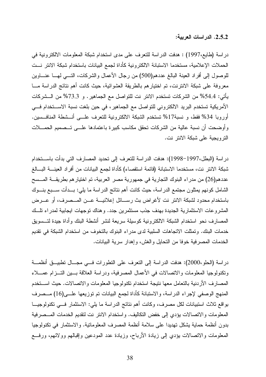2.5.2. الدر اسات العربية:

دراسة (طابع،1997) : هدفت الدراسة للنعرف على مدى استخدام شبكة المعلومات الالكترونية في الحملات الإعلامية، مستخدما الاستبانة الالكترونية كأداة لجمع البيانات باستخدام شبكة الانتر نست للوصول إلى أفراد العينة البالغ عددهم(500) من رجال الأعمال والشركات، التسي لهـــا عنــــاوين معروفة على شبكة الانترنت، تم اختيارهم بالطريقة العشوائية، حيث كانت أهم نتائج الدراسة مـــا يأتي: 54.4% من الشركات تستخدم الانتر نت للتواصل مع الجماهير . و 73.3% من الـــشركات الأمريكية تستخدم البريد الالكتروني للتواصل مع الجماهير، في حين بلغت نسبة الاســـتخدام فـــي أوروبا 34% فقط، و نسبة17% نستخدم الشبكة الالكترونية للتعرف علـــي أنـــشطة المنافــسين. وأوضحت أن نسبة عالية من الشركات تحقق مكاسب كبيرة باعتمادها علـــي تـــصميم الحمــــلات النر ويجية على شبكة الانتر نت.

در اسة (البطل،1997–1998): هدفت الدر اسة للتعرف إلى تحديد المصارف التي بدأت باســـتخدام شبكة الانتر نت، مستخدما الاستبانة (قائمة استقصاء) كأداة لجمع البيانات من أفراد العينــــة البــــالـغ عددهم(26) من مدراء البنوك التجارية في جمهورية مصر العربية، تم اختيار هم بطريقـــة المـــسح الشامل كونهم يمثلون مجتمع الدراسة، حيث كانت أهم نتائج الدراسة ما يلي: بــدأت ســـبع بنـــوك باستخدام محدود لشبكة الانتر نت لأغراض بث رســـائل إعلانيـــة عـــن المـــصرف، أو عـــرض المشروعات الاستثمارية الجديدة بهدف جذب مستثمرين جدد. وهناك توجهات ايجابية لمدراء تلطك المصارف نحو استخدام الشبكة الالكترونية كوسيلة سريعة لنشر أنشطة البنك وأداة جيدة لتــسويق خدمات البنك. وتمثَّلت الاتجاهات السلبية لدى مدراء البنوك بالتخوف من استخدام الشبكة في تقديم الخدمات المصرفية خوفا من النحايل والغش، وإهدار سرية الببانات.

دراسة (الحلو،2000): هدفت الدراسة إلى النعرف على النطورات فــي مجـــال نطبيـــق أنظمـــة ونكنولوجيا المعلومات والاتصالات في الأعمال المصرفية، ودراسة العلاقة بسين التسزام عمسلاء المصارف الأردنية بالتعامل معها نتيجة استخدام نكنولوجيا المعلومات والاتصالات. حيث استخدم المنهج الوصفي لإجراء الدراسة، والاستبانة كأداة لجمع البيانات تم نوزيعها علـــي(16) مـــصرف بواقع ثلاث استبيانات لكل مصرف، وكانت أهم نتائج الدراسة ما يلي: الاستثمار فسي تكنولوجيــا المعلومات والاتصالات بؤدي إلى خفض التكاليف. واستخدام الانتر نت لتقديم الخدمات المــصرفية بدون أنظمة حماية بِشكل تهديدا على سلامة أنظمة المصرف المعلومانية. والاستثمار في تكنولوجيا المعلومات والاتصالات بؤدي إلىي زيادة الأرباح، وزيادة عدد المودعين وإقبالهم وولائهم، ورفسع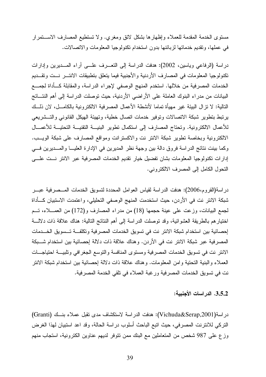مستوى الخدمة المقدمة للعملاء وإظهارها بشكل لائق ومغري. ولا تستطيع المصارف الاســـتمرار في عملها، ونقديم خدماتها لزبائنها بدون استخدام نكنولوجيا المعلومات والاتصالات.

دراسة (الرفاعي وياسين، 2002): هدفت الدراسة إلى التعـــرف علــــي أراء المــــديرين وإدارات تكنولوجيا المعلومات في المصارف الأردنية والأجنبية فيما يتعلق بتطبيقات الانتسر نست وتقسديم الخدمات المصرفية من خلالها. استخدم المنهج الوصفى لإجراء الدراسة، والمقابلة كـــأداة لجمـــع البيانات من مدراء البنوك العاملة على الأراضي الأردنية، حيث توصلت الدراسة إلى أهم النتــائج التالية: لا نزال البيئة غير مهيأة تماما لأنشطة الأعمال المصرفية الالكترونية بالكامـــل، لان ذلـــك يرتبط بتطوير شبكة الاتصالات وتوفير خدمات اتصال خطية، وتهيئة الهيكل القانوني والتسشريعي للأعمال الالكترونية. وتحتاج المصارف إلى استكمال نطوير البنيـــة التقنيـــة التحتيـــة للأعمـــال الالكترونية وبخاصة تطوير شبكة الانتر نت والاكسترانت ومواقع المصارف على شبكة الويــب. وكما بينت نتائج الدراسة فروق دالة بين وجهة نظر المديرين في الإدارة العليـــا والمـــديرين فـــي إدار ات تكنو لوجيا المعلومات بشان تفضيل خيار تقديم الخدمات المصر فية عبر الانتر نست علسى التحول الكامل إلى المصر ف الالكتر و نبي.

در اسة(القروم،2006): هدفت الدر اسة لقياس العوامل المحددة لنسويق الخدمات المـــصرفية عبـــر شبكة الانتر نت في الأردن، حيث استخدمت المنهج الوصفي التحليلي، واعتمدت الاستبيان كــأداة لجمع البيانات، وزعت على عينة حجمها (18) من مدراء المصارف و(172) من العمـــلاء، تـــم اختيار هم بالطريقة العشوائية، وقد توصلت الدراسة إلى أهم النتائج التالية: هناك علاقة ذات دلالـــة إحصائية بين استخدام شبكة الانتر نت في تسويق الخدمات المصرفية وتكلفة تسويق الخــدمات المصرفية عبر شبكة الانتر نت في الأردن. وهناك علاقة ذات دلالة إحصائية بين استخدام شـــبكة الانتر نت في تسويق الخدمات المصرفية ومستوى المنافسة والتوسع الجغرافي وتلبيسة احتياجسات العملاء والبنية التحتية وامن المعلومات. وهناك علاقة ذات دلالة إحصائية بين استخدام شبكة الانتر نت في تسويق الخدمات المصرفية ورغبة العملاء في نلقى الخدمة المصرفية.

# 3.5.2. الدراسات الأجنبية:

دراسة(Vichuda&Serap,2001): هدفت الدراسة لاستكشاف مدى نقبل عملاء بنسك (Granti) التركي للانترنت المصرفي، حيث اتبع الباحث أسلوب دراسة الحالة، وقد اعد استبيان لهذا الغرض وزع على 987 شخص من المتعاملين مع البنك ممن نتوفر لديهم عناوين الكترونية، استجاب منهم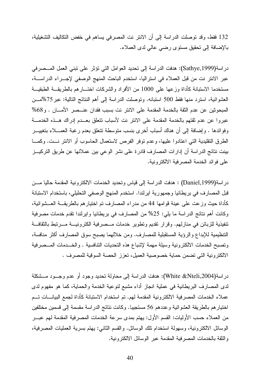132 فقط، وقد توصلت الدراسة إلى أن الانتر نت المصرفي يساهم في خفض التكاليف التشغيلية، بالإضافة إلى نحقيق مستوى رضي عالى لدى العملاء.

در اسة(Sathye,1999): هدفت الدر اسة إلى تحديد العوامل التي تؤثر على تبني العمل المــصرفي عبر الانتر نت من قبل العملاء في استراليا، استخدم الباحث المنهج الوصفي لإجـــراء الدراســـة، مستخدما الاستبانة كأداة وزعها على 1000 من الأفراد والشركات اختـــارهم بالطريقـــة الطبقيـــة العشوائية، استرد منها فقط 500 استبانه. وتوصلت الدراسة إلى أهم النتائج التالية: عبر75%مــن المبحوثين عن عدم الثقة بالخدمة المقدمة على الانتر نت بسبب فقدان عنـــصر الأمــــان . و 68% عبر وا عن عدم ثقتهم بالخدمة المقدمة على الانتر نت لأسباب تتعلق بعسدم إدراك هسذه الخدمسة وفو ائدها . و إضافة إلى أن هناك أسباب أخر ي بنسب متوسطة تتعلق بعدم ر غبة العمــــلاء بتغييــــر الطرق التقليدية التي اعتادوا عليها، وعدم توفر الفرص لاستعمال الحاسوب أو الانتر نست. وكمـــا بينت نتائج الدراسة أن إدار ات المصارف قادرة على نشر الوعي بين عملائها عن طريق التركيـــز على فوائد الخدمة المصر فية الالكتر ونية.

در اسة(Daniel,1999) : هدفت الدر اسة إلى قياس وتحديد الخدمات الالكترونية المقدمة حاليا مـــن قبل المصارف في بريطانيا وجمهورية ايرلندا. استخدم المنهج الوصفي التحليلي، باستخدام الاستبانة كأداة حيث وزعت على عينة قوامها 44 من مدراء المصارف تم اختيارهم بالطريقـــة العـــشوائية، وكانت أهم نتائج الدراسة ما يلي: 25% من المصارف في بريطانيا وايرلندا نقدم خدمات مصرفية تتفيذية للزبائن في منازلهم. وقرار تقديم وتطوير خدمات مــصرفية الكترونيـــة مـــرتبط بالثقافـــة التنظيمية للإبداع والرؤية المستقبلية للمصارف. ومن خلالهما يصبح سوق المصارف أكثر منافسة، وتصبح الخدمات الالكترونية وسيلة مهمة لإشباع هذه التحديات التنافسية . والخــدمات المــصرفية الالكترونية التي تضمن حماية خصوصية العميل، تعزز الحصة السوقية للمصرف .

در إسة(White &Nteli,2004): هدفت الدر إسة إلى محاولة تحديد وجود أو عدم وجسود مسشكلة لدى المصارف البريطانية في عملية انجاز أداء مشبع لنوعية الخدمة والحماية، كما هو مفهوم لدى عملاء الخدمات المصر فية الالكتر ونية المقدمة لهم. تم استخدام الاستبانة كأداة لجمع البيانـــات تـــم اختيارهم بالطريقة العشوائية وعددهم 56 مستجيبا. وكانت نتائج الدراسة مقسمة إلى قسمين مختلفين من العملاء حسب الأوليات: القسم الأول: يهتم بمدى سرعة الخدمات المصر فية المقدمة لهم عبـــر الوسائل الالكترونية، وسهولة استخدام نلك الوسائل. والقسم الثانبي: يهتم بسرية العمليات المصرفية، و الثقة بالخدمات المصر فية المقدمة عبر الوسائل الالكتر ونية.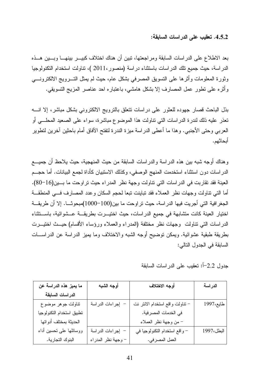4.5.2. تعقيب على الدراسات السابقة:

بعد الاطلاع على الدر اسات السابقة ومر اجعتها، تبين أن هناك اختلاف كبيـــر بينهــــا وبـــين هـــذه الدراسة، حيث جميع نلك الدراسات باستثناء دراسة (منصور،2011 )، تناولت استخدام التكنولوجيا وثورة المعلومات وأثرها على التسويق المصرفي بشكل عام، حيث لم يمثل التسرويج الالكترونسي وأثره على نطور عمل المصارف إلا بشكل هامشي، باعتباره احد عناصر المزيج النسويقي.

بذل الباحث قصار جهوده للعثور على دراسات تتعلق بالترويج الالكتروني بشكل مباشر، إلا انسه تعذر عليه ذلك لندرة الدراسات التبي نتاولت هذا الموضوع مباشرة، سواء على الصعيد المحلـــي أو العربي وحتى الأجنبي. وهذا ما أعطي الدراسة ميزة الندرة لتفتح الآفاق أمام باحثين آخرين لتطوير أبحاثهم.

وهناك أوجه شبه بين هذه الدراسة والدراسات السابقة من حيث المنهجية، حيث يلاحظ أن جميـــع الدراسات دون استثناء استخدمت المنهج الوصفي، وكذلك الاستبيان كأداة لجمع البيانات. أما حجـــم العينة فقد تقاربت في الدراسات التي نتاولت وجهة نظر المدراء حيث تراوحت ما بسين(16–80). أما التي نتاولت وجهات نظر العملاء فقد تباينت تبعا لحجم السكان وعدد المصارف فسي المنطقة الجغر افية التي أجريت فيها الدر اسة، حيث تر اوحت ما بين(100−1000)مبحو ثـــا. إلا أن طريقـــة اختيار العينة كانت متشابهة في جميع الدراسات، حيث اختيـــرت بطريقـــة عـــشوائية، باســـتثناء الدر اسات التبي نتاولت وجهات نظر مختلفة (المدراء والعملاء ورؤساء الأقسام) حيــث اختيـــرت بطريقة طبقية عشوائية. ويمكن توضيح أوجه الشبه والاختلاف وما يميز الدراسة عن الدراســـات السابقة في الجدول التالي:

جدول 2.2–أ: تعقبب على الدر اسات السابقة

| ما يميز هذه الدراسة عن    | أوجه الشبه         | أوجه الاختلاف                   | الدراسة    |
|---------------------------|--------------------|---------------------------------|------------|
| الدر اسات السابقة         |                    |                                 |            |
| نتاولت جوهر موضوع         | إجراءات الدراسة    | - نتاولت واقع استخدام الانتر نت | طايع،1997  |
| تطبيق استخدام التكنولوجيا |                    | في الخدمات المصرفية.            |            |
| الحديثة بمختلف أدواتها    |                    | – من وجهة نظر العملاء           |            |
| ووسائلها على نحسين أداء   | - إجراءات الدراسة  | - واقع استخدام التكنولوجيا في   | البطل،1997 |
| البنوك التجارية.          | - وجهة نظر المدراء | العمل المصرفي.                  |            |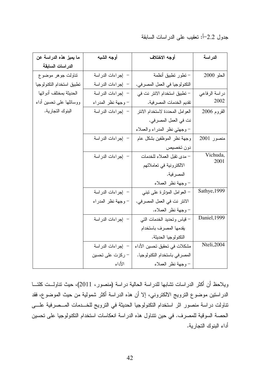| ما يميز هذه الدراسة عن    | أوجه الشبه         | أوجه الاختلاف                   | الدراسة          |
|---------------------------|--------------------|---------------------------------|------------------|
| الدراسات السابقة          |                    |                                 |                  |
| نتاولت جوهر موضوع         | – إجراءات الدراسة  | – نطور نطبيق أنظمة              | الحلو 2000       |
| تطبيق استخدام التكنولوجيا | – إجراءات الدراسة  | النكنولوجيا في العمل المصرفي.   |                  |
| الحديثة بمختلف أدواتها    | – إجراءات الدراسة  | – تطبيق استخدام الانتر نت في    | در اسة الرفاعي   |
| ووسائلها علىى تحسين أداء  | – وجهة نظر المدراء | تقديم الخدمات المصرفية.         | 2002             |
| البنوك التجارية.          | – إجراءات الدراسة  | العوامل المحددة لاستخدام الانتر | القروم 2006      |
|                           |                    | نت في العمل المصرفي.            |                  |
|                           |                    | – وجهتي نظر المدراء والعملاء    |                  |
|                           | - إجراءات الدراسة  | وجهة نظر الموظفين بشكل عام      | منصور 2001       |
|                           |                    | دون تخصيص                       |                  |
|                           | – إجراءات الدراسة  | - مدى نقبل العملاء للخدمات      | Vichuda,<br>2001 |
|                           |                    | الالكترونية في تعاملاتهم        |                  |
|                           |                    | المصر فية.                      |                  |
|                           |                    | - وجهة نظر العملاء              |                  |
|                           | – إجراءات الدراسة  | – العوامل المؤثرة على نبنى      | Sathye, 1999     |
|                           | – وجهة نظر المدراء | الانتر نت في العمل المصرفى.     |                  |
|                           |                    | – وجهة نظر العملاء.             |                  |
|                           | – إجراءات الدراسة  | – قياس وتحديد الخدمات التي      | Daniel, 1999     |
|                           |                    | يقدمها المصرف باستخدام          |                  |
|                           |                    | التكنولوجيا الحديثة.            |                  |
|                           | – إجراءات الدراسة  | مشكلات في تحقيق تحسين الأداء    | Nteli, 2004      |
|                           | – ركزت على تحسين   | المصرفى باستخدام النكنولوجيا.   |                  |
|                           | الأداء             | – وحهة نظر العملاء              |                  |

جدول 2.2-أ: تعقيب على الدراسات السابقة

ويلاحظ أن أكثر الدراسات تشابها للدراسة الحالية دراسة (منصور، 2011)، حيث نتاولــت كلتـــا الدراستين موضوع الترويج الالكتروني، إلا أن هذه الدراسة أكثر شمولية من حيث الموضوع، فقد نتاولت دراسة منصور اثر استخدام النكنولوجيا الحديثة في الترويج للخــدمات المــصرفية علـــي الحصة السوقية للمصرف. في حين نتتاول هذه الدراسة انعكاسات استخدام النكنولوجيا على تحسين أداء البنوك التجار ية.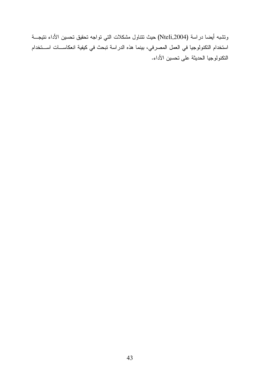ونتثىبه أيضا دراسة (Nteli,2004) حيث نتتاول مشكلات التي نواجه تحقيق تحسين الأداء نتيجـــة استخدام التكنولوجيا في العمل المصرفي، بينما هذه الدراسة تبحث في كيفية انعكاســــات اســـتخدام النكنولوجيا الحديثة على نحسين الأداء.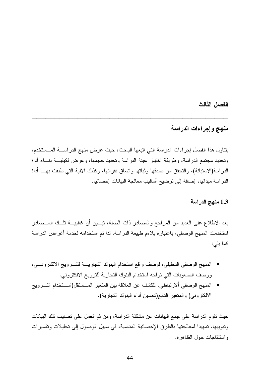الفصل الثالث

# منهج وإجراءات الدراسة

يتناول هذا الفصل إجراءات الدراسة التي اتبعها الباحث، حيث عرض منهج الدراســــة المـــستخدم، ونحديد مجتمع الدراسة، وطريقة اختيار عينة الدراسة وتحديد حجمها، وعرض لكيفيـــة بنـــاء أداة الدراسة(الاستبانة)، والنحقق من صدقها وثباتها وانساق فقراتها، وكذلك الآلية التـى طبقت بهـــا أداة الدراسة ميدانيا، إضافة إلى توضيح أساليب معالجة البيانات إحصائيا.

### 1.3 منهج الدراسة

بعد الاطلاع على العديد من المراجع والمصادر ذات الصلة، نبـــبن أن غالبيــــة نلـــك المـــصـادر استخدمت المنهج الوصفي، باعتباره يلاءم طبيعة الدراسة، لذا تم استخدامه لخدمة أغراض الدراسة كما يلي:

- المنهج الوصفى التحليلي، لوصف واقع استخدام البنوك التجاريـــة للتــــرويج الالكترونــــي، ووصف الصعوبات التي نواجه استخدام البنوك التجارية للترويج الالكتروني.
- المنهج الوصفى ألارتباطي، للكشف عن العلاقة بين المتغير المــستقل(اســتخدام التـــرويج الالكتروني) والمتغير التابع(تحسين أداء البنوك التجارية).

حيث نقوم الدراسة على جمع البيانات عن مشكلة الدراسة، ومن ثم العمل على تصنيف تلك البيانات ونبويبها. تمهيدا لمعالجتها بالطرق الإحصائية المناسبة، في سبيل الوصول إلى تحليلات وتفسيرات واستتتاجات حول الظاهر ة.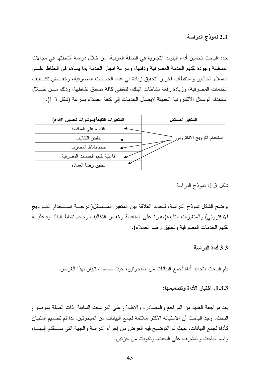2.3 نموذج الدراسة

حدد الباحث تحسين أداء البنوك التجارية في الضفة الغربية، من خلال دراسة أنشطتها في مجالات المنافسة وجودة تقديم الخدمة المصرفية ودقتها، وسرعة انجاز الخدمة بما يساهم في الحفاظ علسي العملاء الحاليين واستقطاب أخرين لتحقيق زيادة في عدد الحسابات المصرفية، وخفــض تكـــاليف الخدمات المصرفية، وزيادة رقعة نشاطات البنك، لتغطي كافة مناطق نشاطها، وذلك مـــن خــــلال استخدام الوسائل الالكترونية الحديثة لإيصال الخدمات إلى كافة العملاء بسرعة (شكل 1.3).

| المتغيرات التابعة(مؤشرات تحسين الاداء) | المتغير المستقل            |
|----------------------------------------|----------------------------|
| القدرة على المنافسة                    |                            |
| خفض النكاليف                           | استخدام النرويج الالكنروني |
| حجم نشاط المصرف                        |                            |
| فاعلية تقديم الخدمات المصرفية          |                            |
| تحقيق رضا العملاء                      |                            |

شكل 1.3: نموذج الدراسة

يوضح الشكل نموذج الدراسة، لتحديد العلاقة بين المتغير المــستقل( درجـــة اســتخدام التـــرويج الالكتروني) والمتغيرات التابعة(القدرة على المنافسة وخفض النكاليف وحجم نشاط البنك وفاعليـــة نقديم الخدمات المصر فية وتحقيق رضا العملاء).

3.3 أداة الدر اسة

قام الباحث بتحديد أداة لجمع البيانات من المبحوثين، حيث صمم استبيان لهذا الغرض.

1.3.3. اختيار الأداة وتصميمها:

بعد مراجعة العديد من المراجع والمصادر، والاطلاع على الدراسات السابقة ذات الصلة بموضوع البحث، وجد الباحث أن الاستبانة الأكثر ملائمة لجمع البيانات من المبحوثين. لذا تم تصميم استبيان كأداة لجمع البيانات، حيث تم التوضيح فيه الغرض من إجراء الدراسة والجهة التي ســـتقدم إليهـــا، واسم الباحث والمشرف على البحث، ونكونت من جزئين: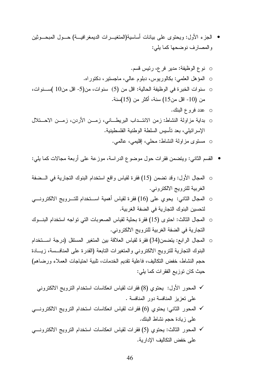• الجزء الأول: ويحتوى على بيانات أساسية(المتغيـــرات الديمغرافيـــة) حـــول المبحـــوثين والمصارف نوضحها كما بلي:

- الإسر ائيلي، بعد تأسيس السلطة الوطنية الفلسطينية. 0 مستوى مزاولة النشاط: محلي، إقليمي، عالمي.
- القسم الثاني: ويتضمن فقرات حول موضوع الدر اسة، موزعة على أربعة مجالات كما يلي:
- المجال الأول: وقد تضمن (15) فقرة لقياس واقع استخدام البنوك التجارية في الــضفة الغربية للترويج الالكتروني.
- المعبال الثانبي: يحوي على (16) فقرة لقياس أهمية اســـتخدام للتــــرويج الالكترونــــي لتحسين البنوك التجار ية في الضفة الغر بية.
- المجال الثالث: احتوى (15) فقرة بحثية لقياس الصعوبات التي تواجه استخدام البنــوك التجارية في الضفة الغربية للترويج الالكتروني.
- المجال الرابع: يتضمن(34) فقرة لقياس العلاقة بين المتغير المستقل (درجة اســـتخدام البنوك النجارية للنرويج الالكتروني والمتغيرات النابعة (القدرة على المنافسة، زيسادة حجم النشاط، خفض التكاليف، فاعلية نقديم الخدمات، نلبية احتياجات العملاء ورضاهم) حيث كان تو زيع الفقر ات كما يلي:
	- √ المحور الأول: يحتوي (8) فقرات لقياس انعكاسات استخدام النزويج الالكتروني على تعزيز المنافسة دور المنافسة .
- √ المحور الثاني: يحتوي (6) فقرات لقياس انعكاسات استخدام الترويج الالكترونــــي على زيادة حجم نشاط البنك.
- √ المحور الثالث: يحتوى (5) فقرات لقياس انعكاسات استخدام الترويج الالكترونسي على خفض النكاليف الإدارية.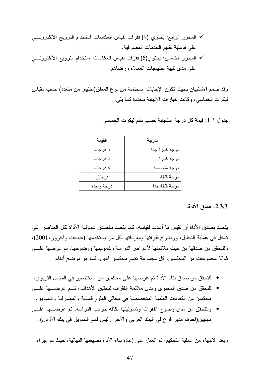√ المحور الرابع: يحتوي (9) فقرات لقياس انعكاسات استخدام النرويج الالكترونــــي على فاعلية تقديم الخدمات المصر فية. √ المحور الخامس: يحتوى(6) فقرات لقياس انعكاسات استخدام الترويج الالكتروني علم مدى تلبية احتياجات العملاء ورضاهم.

وقد صمم الاستبيان بحيث تكون الإجابات المحتملة من نوع المغلق(اختيار من متعدد) حسب مقياس ليكرت الخماسي، وكانت خيارات الإجابة محددة كما يلي:

| القيمة     | الدرجة         |
|------------|----------------|
| 5 درجات    | درجة كبيرة جدا |
| 4 درجات    | درجة كبيرة     |
| 3 درجات    | درجة متوسطة    |
| درجتان     | درجة قليلة     |
| درجة واحدة | درجة قليلة جدا |

جدول 1.3: قيمة كل درجة استجابة حسب سلم ليكرت الخماسي

### 2.3.3. صدق الأداة:

يقصد بصدق الأداة أن تقيس ما أعدت لقياسه، كما يقصد بالصدق شمولية الأداة لكل العناصر التي ندخل في عملية النحليل، ووضوح فقراتها ومفرداتها لكل من يستخدمها (عبيدات وأخرون،2001)، وللتحقق من صدقها من حيث ملائمتها لأغراض الدراسة وشموليتها ووضوحها، تم عرضها علـــي ثلاثة مجموعات من المحكمين، كل مجموعة تضم محكمين اثنين، كما هو موضح أدناه:

- للتحقق من صدق بناء الأداة تم عرضها على محكمين من المختصين في المجال التربو ي.
- للتحقق من صدق المحتوى ومدى ملائمة الفقرات لتحقيق الأهداف، تــم عرضـــها علـــى محكمين من الكفاءات العلمية المتخصصة في مجالي العلوم المالية والمصر فية والتسويق.
- وللنحقق من مدى وضوح الفقرات وشموليتها لكافة جوانب الدراسة، تم عرضـــها علــــي مهنيين(احدهم مدير فرع في البنك العربي والآخر رئيس قسم النسويق في بنك الأردن).

وبعد الانتهاء من عملية التحكيم، تم العمل على إعادة بناء الأداة بصيغتها النهائية، حيث تم إجراء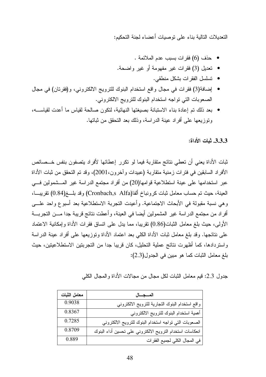التعدبلات التالبة بناء على توصبات أعضاء لجنة التحكيم:

- حذف (6) فقر ات بسبب عدم الملائمة .
- تعديل (3) فقر ات غير مفهومة أو غير واضحة.
	- تسلسل الفقر ات بشكل منطقى.
- إضافة(3) فقرات في مجال واقع استخدام البنوك للترويج الالكتروني، و(فقرتان) في مجال الصعوبات التي نواجه استخدام البنوك للنرويج الالكتروني.
- بعد ذلك نم إعادة بناء الاستبانة بصيغتها النهائية، لتكون صالحة لقياس ما أعدت لقياســـه، وتوز بعها على أفر اد عبنة الدر اسة، وذلك بعد التحقق من ثباتها.

#### 3.3.3. شات الأداة:

ثبات الأداة يعني أن تعطي نتائج متقاربة فيما لو تكرر إعطائها لأفراد يتصفون بنفس خــصائص الأفراد السابقين في فترات زمنية متقاربة (عبيدات وآخرون،2001)، وقد تم التحقق من ثبات الأداة عبر استخدامها على عينة استطلاعية قوامها(20) من أفراد مجتمع الدراسة غير المـــشمولين فــــي العينة، حيث تم حساب معامل ثبات كر ونباخ ألفا(Cronbach,s Alfa) وقد بلـــغ(0.84) تقريبـــا، وهي نسبة مقبولة في الأبحاث الاجتماعية. وأعيدت النجربة الاستطلاعية بعد أسبوع واحد علـــي أفراد من مجتمع الدراسة غير المشمولين أيضا في العينة، وأعطت نتائج قريبة جدا مـــن التجربـــة الأولى، حيث بلغ معامل الثبات(0.86) نقر ببا، مما بدل على اتساق فقر ات الأداة و إمكانية الاعتماد على نتائجها. وقد بلغ معامل ثبات الأداة الكلبي بعد اعتماد الأداة وتوزيعها على أفراد عينة الدراسة واستردادها، كما أظهرت نتائج عملية التحليل، كان قريبا جدا من التجربتين الاستطلاعيتين، حيث بلغ معامل الثبات كما هو مبين في الجدول(2.3):

جدول 2.3: فيم معامل الثبات لكل مجال من مجالات الأداة والمجال الكلبي

| معامل الثبات | المجال                                                    |
|--------------|-----------------------------------------------------------|
| 0.9038       | واقع استخدام البنوك التجارية للترويج الالكتروني           |
| 0.8367       | أهمية استخدام البنوك للنرويج الالكتروني                   |
| 0.7285       | الصعوبات التي نواجه استخدام البنوك للنزويج الالكتروني     |
| 0.8709       | انعكاسات استخدام النزويج الالكتروني على تحسين أداء البنوك |
| 0.889        | في المجال الكلي لجميع الفقرات                             |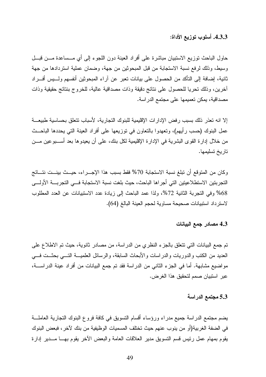#### 4.3.3. أسلوب توزيع الأداة:

حاول الباحث نوزيع الاستبيان مباشرة على أفراد العينة دون اللجوء إلى أي مـــساعدة مـــن فبـــل وسبط، وذلك لرفع نسبة الاستجابة من قبل المبحوثين من جهة، وضمان عملية استردادها من جهة ثانية، إضافة إلى التأكد من الحصول على بيانات نعبر عن آراء المبحوثين أنفسهم ولــــبس أفــــراد أخرين، وذلك تحريا للحصول على نتائج دقيقة وذات مصداقية عالية، للخروج بنتائج حقيقية وذات مصداقية، يمكن تعميمها على مجتمع الدر اسة.

إلا انه تعذر ذلك بسبب ر فض الإدار ات الإقليمية للبنوك النجار ية، لأسباب نتعلق بحساسية طبيعـــة عمل البنوك (حسب رأيهم)، وتعهدوا بالنعاون في توزيعها على أفراد العينة التي يحددها الباحــث من خلال إدارة القوى البشرية في الإدارة الإقليمية لكل بنك، على أن يعيدوها بعد أســـبوعين مـــن تاريخ تسليمها.

وكان من المتوقع أن تبلغ نسبة الاستجابة 70% فقط بسبب هذا الإجـــراء، حيـــث بينـــت نتـــائج التجربنين الاستطلاعيتين التي أجراها الباحث، حيث بلغت نسبة الاستجابة فسي التجربسة الأولسي 68% وفي التجربة الثانية 72%، ولذا عمد الباحث إلى زيادة عدد الاستبيانات عن العدد المطلوب لاسترداد استبيانات صحيحة مساوية لحجم العينة البالغ (64).

#### 4.3 مصادر جمع البيانات

تم جمع البيانات التي تتعلَّق بالجزء النظري من الدراسة، من مصادر ثانوية، حيث تم الاطلاع على العديد من الكتب والدوريات والدراسات والأبحاث السابقة، والرسائل العلميـــة التــــى بحثــت فــــى مواضيع مشابهة. أما في الجزء الثاني من الدراسة فقد تم جمع البيانات من أفراد عينة الدراســــة، عبر استبيان صمم لتحقيق هذا الغرض.

#### 5.3 مجتمع الدراسة

يضم مجتمع الدراسة جميع مدراء ورؤساء أقسام التسويق في كافة فروع البنوك التجارية العاملـــة في الضفة الغربية(أو من ينوب عنهم حيث تختلف المسميات الوظيفية من بنك لآخر ، فبعض البنوك يقوم بمهام عمل رئيس قسم النسويق مدير العلاقات العامة والبعض الأخر يقوم بهـــا مـــدير إدارة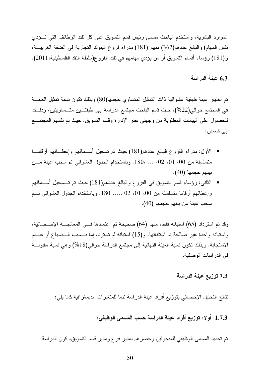الموارد البشرية، واستخدم الباحث مسمى رئيس قسم التسويق على كل نلك الوظائف التي تــؤدي نفس المهام) والبالغ عددهم(362) منهم (181) مدراء فروع البنوك النجارية في الضفة الغربيـــة، و (181) رؤساء أقسام التسويق أو من يؤدي مهامهم في تلك الفروع(سلطة النقد الفلسطينية،2011).

### 6.3 عينة الدراسة

تم اختيار عينة طبقية عشوائية ذات التمثيل المتساوى حجمها(80) وبذلك تكون نسبة تمثيل العينسة في المجتمع حوالي(22%)، حيث قسم الباحث مجتمع الدراسة إلى طبقتـــين متــساويتين، وذلـــك للحصول على البيانات المطلوبة من وجهتي نظر الإدارة وقسم النسويق. حيث تم نقسيم المجتمـــع الے قسمبن:

- الأول: مدراء الفروع البالغ عددهم(181) حيث تم تسجيل أســـمائهم وإعطـــائهم أرقامـــا متسلسلة من 00، 01، 02، ... ،180. وباستخدام الجدول العشوائي تم سحب عينة مــن بينهم حجمها (40).
- الثانبي: رؤساء قسم النسويق في الفروع والبالغ عددهم(181) حيث تم تـــسجيل أســـمائهم وإعطائهم أرقاما متسلسلة من 00، 01، 02 ....، 180. وباستخدام الجدول العشوائي تسم سحب عينة من بينهم حجمها (40).

وقد تم استرداد (65) استبانه فقط، منها (64) صحيحة تم اعتمادها فسى المعالجسة الإحسصائية، واستبانه واحدة غير صالحة تم استثنائها. و(15) استبانه لم تسترد، إما بـــسبب الـــضياع أو عـــدم الاستجابة. وبذلك نكون نسبة العينة النهائية إلى مجتمع الدراسة حوالـي(18%) وهي نسبة مقبولـــة في الدر اسات الوصفية.

### 7.3 توزيع عينة الدراسة

نتائج التحليل الإحصائي بتوزيع أفراد عينة الدراسة تبعا للمتغيرات الديمغرافية كما يلي:

# 1.7.3. أولا: توزيع أفراد عينة الدراسة حسب المسمى الوظيفي:

تم تحديد المسمى الوظيفي للمبحوثين وحصر هم بمدير فرع ومدير قسم التسويق، كون الدراسة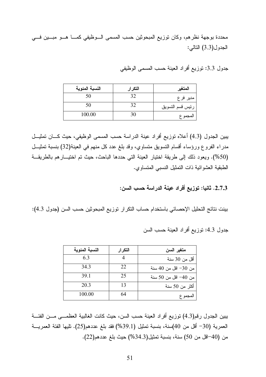محددة بوجهة نظرهم، وكان توزيع المبحوثين حسب المسمى السوظيفي كمسا هسو مبسين فسي الجدول(3.3) التالي:

جدول 3.3: توزيع أفراد العينة حسب المسمى الوظيفي

| النسبة المئوية | التكر ار | المتغير          |
|----------------|----------|------------------|
| 50             |          | مدير فر ع        |
| 50             | 32       | رئيس قسم التسويق |
| 100.00         | 30       | المجمو ع         |

يبين الجدول (4.3) أعلاه نوزيع أفراد عينة الدراسة حسب المسمى الوظيفي، حيث كـــان تمثيـــل مدراء الفروع ورؤساء أقسام النسويق متساوي، وقد بلغ عدد كل منهم في العينة(32) بنسبة تمثيـــل (50%). ويعود ذلك إلى طريقة اختيار العينة التي حددها الباحث، حيث تم اختيــارهم بالطريقــة الطبقية العشوائية ذات التمثيل النسبي المتساوي.

2.7.3. ثانيا: توزيع أفراد عينة الدراسة حسب السن:

بينت نتائج التحليل الإحصائي باستخدام حساب النكر ار توزيع المبحوثين حسب السن (جدول 4.3):

جدول 4.3: توزيع أفراد العينة حسب السن

| النسبة المئوية | التكرار | متغير السن           |
|----------------|---------|----------------------|
| 63             |         | أقل من 30 سنة        |
| 34.3           | 22      | من 30– اقل من 40 سنة |
| 39.1           | 25      | من 40– اقل من 50 سنة |
| 20.3           | 13      | أكثر من 50 سنة       |
| 100.00         | 64      | المجمو ع             |

يبين الجدول رقم(4.3) توزيع أفراد العينة حسب السن، حيث كانت الغالبية العظمـــي مـــن الفئـــة العمرية (30– أقل من 40)سنة، بنسبة تمثيل (39.1%) فقد بلغ عددهم(25). تليها الفئة العمريـــة من (40–اقل من 50) سنة، بنسبة تمثيل(34.3%) حيث بلغ عددهم(22).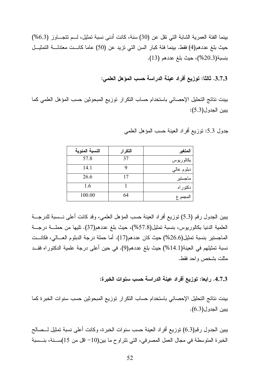بينما الفئة العمرية الشابة التي نقل عن (30) سنة، كانت أدنى نسبة تمثيل، لـــم تتجــــاوز (6.3%) حيث بلغ عددهم(4) فقط. بينما فئة كبار السن التي تزيد عن (50) عاما كانست معتدلسة التمثيسل بنسبة(20.3%)، حيث بلغ عددهم (13).

3.7.3. ثالثا: توزيع أفراد عينة الدراسة حسب المؤهل العلمي:

بينت نتائج التحليل الإحصائي باستخدام حساب التكرار توزيع المبحوثين حسب المؤهل العلمي كما ببين الجدو ل(5.3):

> النسبة المئوية التكرار المتغير 57.8 37 بكالوريوس  $141$  $\mathbf{Q}$ دبلوم عالمي 26.6  $17$ ماجستير  $16$  $\mathbf{1}$ دكتوراه 100.00 64 المجموع

جدول 5.3: نوزيع أفراد العينة حسب المؤهل العلمي

يبين الجدول رقم (5.3) نوزيع أفراد العينة حسب المؤهل العلمي، وقد كانت أعلى نـــسبة للدرجـــة العلمية الدنيا بكالوريوس، بنسبة تمثيل(57.8%)، حيث بلغ عددهم(37). تليها من حملـــة درجـــة الماجستير بنسبة تمثيل(26.6%) حيث كان عددهم(17). أما حملة درجة الدبلوم العسالي، فكانست نسبة تمثيلهم في العينة(14.1%) حيث بلغ عددهم(9). في حين أعلى درجة علمية الدكتوراه فقــد مثلت بشخص واحد فقط.

4.7.3. رابعا: توزيع أفراد عينة الدراسة حسب سنوات الخبرة:

بينت نتائج التحليل الإحصائي باستخدام حساب التكرار توزيع المبحوثين حسب سنوات الخبرة كما يبين الجدول(6.3).

يبين الجدول رقم(6.3) نوزيع أفراد العينة حسب سنوات الخبرة، وكانت أعلى نسبة تمثيل لـــصـالـح الخبرة المتوسطة في مجال العمل المصرفي، التي نتر او ح ما بين(10– اقل من 15)ســـنة، بنـــسبة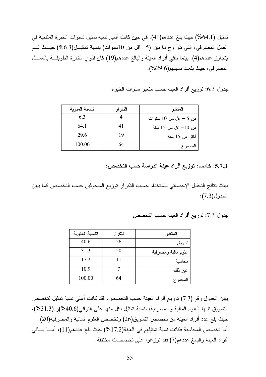تمثيل (64.1%) حيث بلغ عددهم(41). في حين كانت أدنى نسبة تمثيل لسنوات الخبر ة المتدنية في العمل المصرفي، التي نتراوح ما بين (5- اقل من 10سنوات) بنسبة تمثيــل(6.3%) حيــث لـــم يتجاوز عددهم(4). بينما باقي أفراد العينة والبالغ عددهم(19) كان لذوي الخبرة الطويلـــة بالعمـــل المصرفي، حيث بلغت نسبتهم(29.6%).

جدول 6.3: توزيع أفراد العينة حسب متغير سنوات الخبرة

| النسبة المئوية | التكرار | المتغير                |
|----------------|---------|------------------------|
| 63             |         | من 5 – اقل من 10 سنوات |
| 64 1           |         | من 10– اقل من 15 سنة   |
| 29.6           | 19      | أكثر من 15 سنة         |
| 100.00         | 64      | المجمو ع               |

5.7.3. خامسا: توزيع أفراد عينة الدراسة حسب التخصص:

بينت نتائج التحليل الإحصائي باستخدام حساب النكر ار توزيع المبحوثين حسب التخصص كما يبين الجدول(7.3):

جدول 7.3: توزيع أفراد العينة حسب التخصص

| النسبة المئوية | التكرار | المتغير            |
|----------------|---------|--------------------|
| 40.6           | 26      | تسويق              |
| 31.3           | 20      | علوم مالية ومصرفية |
| 17.2           | 11      | محاسبة             |
| 10.9           |         | غير ذلك            |
| 100.00         | 64      | المجمو ع           |

يبين الجدول رقم (7.3) نوزيع أفراد العينة حسب التخصص، فقد كانت أعلى نسبة تمثيل لتخصص النسويق نليها العلوم المالية والمصرفية، بنسبة نمثيل لكل منها على النوالي(40.6%)و (31.3%)، حيث بلغ عدد أفراد العينة من تخصص التسويق(26) وتخصص العلوم المالية والمصرفية(20). أما تخصص المحاسبة فكانت نسبة تمثيلهم في العينة(17.2%) حيث بلغ عددهم(11)، أمـــا بـــاقي أفراد العينة والبالغ عددهم(7) فقد نوزعوا على تخصصات مختلفة.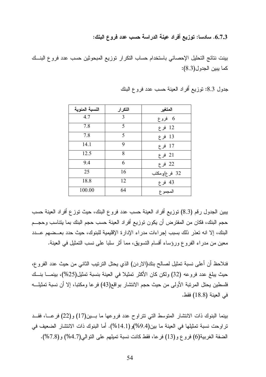6.7.3. سادسا: توزيع أفراد عينة الدراسة حسب عدد فروع البنك:

بينت نتائج التحليل الإحصائي باستخدام حساب التكرار توزيع المبحوثين حسب عدد فروع البنسك كما يبين الجدول(8.3):

| النسبة المئوية | التكرار | المتغير      |
|----------------|---------|--------------|
| 4.7            | 3       | 6 فروع       |
| 7.8            | 5       | 12 فرع       |
| 7.8            | 5       | 13 فرع       |
| 14.1           | 9       | 17 فرع       |
| 12.5           | 8       | 21 فرع       |
| 9.4            | 6       | 22 فرع       |
| 25             | 16      | 32 فرع/ومكتب |
| 18.8           | 12      | 43 فرع       |
| 100.00         | 64      | المجموع      |

جدول 8.3: توزيع أفراد العينة حسب عدد فروع البنك

يبين الجدول رقم (8.3) نوزيع أفراد العينة حسب عدد فروع البنك، حيث نوزع أفراد العينة حسب حجم البنك، فكان من المفترض أن يكون توزيع أفراد العينة حسب حجم البنك بما يتناسب وحجـــم البنك، إلا انه تعذر ذلك بسبب إجراءات مدراء الإدارة الإقليمية للبنوك، حيث حدد بعــضهم عــدد معين من مدراء الفروع ورؤساء أقسام التسويق، مما أثر سلبا على نسب التمثيل في العينة.

فنلاحظ أن أعلى نسبة تمثيل لصالح بنك(الاردن) الذي يحتل الترتيب الثاني من حيث عدد الفروع، حيث يبلغ عدد فروعه (32) ولكن كان الأكثر تمثيلا في العينة بنسبة تمثيل(25%)، بينمــــا بنـــك فلسطين بحتل المرتبة الأولى من حيث حجم الانتشار بواقع(43) فرعا ومكتبا، إلا أن نسبة تمثيلــــه في العينة (18.8) فقط.

بينما البنوك ذات الانتشار المتوسط التي نتراوح عدد فروعها ما بسين(17) و(22) فرعسا، فقــد تراوحت نسبة تمثيلها في العينة ما بين(9.4%)و (14.1%). أما البنوك ذات الانتشار الضعيف في الضفة الغربية(6) فروع و(13) فرعا، فقط كانت نسبة تميلهم على التوالي(4.7%) و(7.8%).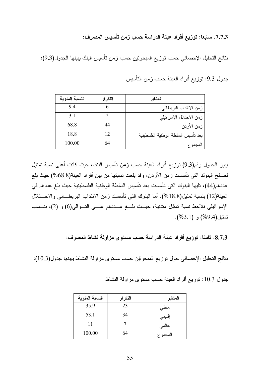7.7.3. سابعا: توزيع أفراد عينة الدراسة حسب زمن تأسيس المصرف:

نتائج التحليل الإحصائي حسب توزيع المبحوثين حسب زمن تأسيس البنك يبينها الجدول(9.3):

| النسبة المئوية | التكرار | المتغير                             |
|----------------|---------|-------------------------------------|
| 94             |         | زمن الانتداب البريطاني              |
| 31             |         | زمن الاحتلال الإسرائيلي             |
| 68.8           | 44      | زمن الأردن                          |
| 18.8           | 12      | بعد تأسيس السلطة الوطنية الفلسطينية |
| 100.00         | 64      | المجمو ع                            |

جدول 9.3: توزيع أفراد العينة حسب زمن التأسيس

يبين الجدول رقم(9.3) توزيع أفراد العينة حسب زمن تأسيس البنك، حيث كانت أعلى نسبة تمثيل لصالح البنوك التي تأسست زمن الأردن، وقد بلغت نسبتها من بين أفراد العينة(68.8%) حيث بلغ عددهم(44)، تليها البنوك التي تأسست بعد تأسيس السلطة الوطنية الفلسطينية حيث بلغ عددهم في العينة(12) بنسبة تمثيل(18.8%). أما البنوك التي تأسست زمن الانتداب البريطـــاني والاحـــتلال الإسرائيلي نلاحظ نسبة تمثيل متدنية، حيــث بلـــغ عـــددهم علــــى التـــوالـي(6) و (2)، بنـــسب تمثيل(9.4%) و (3.1%).

8.7.3. ثامنا: توزيع أفراد عينة الدراسة حسب مستوى مزاولة نشاط المصرف:

نتائج التحليل الإحصائي حول توزيع المبحوثين حسب مستوى مزاولة النشاط يبينها جدول(10.3):

| النسبة المئوية | التكرار | المتغير |
|----------------|---------|---------|
| 35.9           | 23      | محلى    |
| 53.1           | 34      | إقليمي  |
| 11             |         | عالمى   |
| 100.00         | 64      | المجموع |

جدول 10.3: نوزيع أفراد العينة حسب مستوى مزاولة النشاط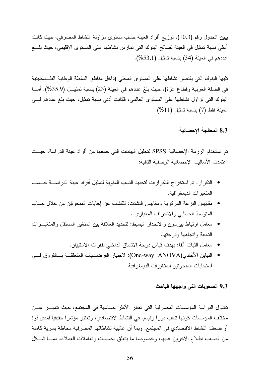يبين الجدول رقم (10.3)، توزيع أفراد العينة حسب مستوى مزاولة النشاط المصرفي، حيث كانت أعلى نسبة تمثيل في العينة لصالح البنوك التي تمارس نشاطها على المستوى الإقليمي، حيث بلـــغ عددهم في العينة (34) بنسبة تمثيل (53.1%).

تليها البنوك التي يقتصر نشاطها على المستوى المحلي (داخل مناطق السلطة الوطنية الفلـسطينية في الضفة الغربية وقطاع غزة)، حيث بلغ عددهم في العينة (23) بنسبة تمثيــل (35.9%). أمـــا البنوك التي نزاول نشاطها على المستوى العالمي، فكانت أدنى نسبة تمثيل، حيث بلغ عددهم في العينة فقط (7) بنسبة تمثيل (11%).

### 8.3 المعالجة الإحصائية

تم استخدام الرزمة الإحصائية SPSS لتحليل البيانات التي جمعها من أفراد عينة الدراسة، حيــث اعتمدت الأساليب الإحصائية الوصفية التالية:

- التكرار : تم استخراج التكرارات لتحديد النسب المئوية لتمثيل أفراد عينة الدراســــة حـــسب المتغير ات الديمغر افية.
- مقاييس النز عة المركز ية ومقاييس التشتت: للكشف عن إجابات المبحو ثين من خلال حساب المنوسط الحسابي والانحراف المعياري .
- معامل ارتباط بير سون والانحدار البسيط: لتحديد العلاقة بين المتغير المستقل والمتغيــرات التابعة وانجاهها ودر جتها.
	- معامل الثبات ألفا: بهدف قياس درجة الاتساق الداخلي لفقرات الاستبيان.
- التباين الأحادي(One-way ANOVA): لاختبار الفرضــــيات المتعلقـــة بــــالفروق فــــي استجابات المبحوثين للمتغيرات الديمغر افية .

#### 9.3 الصعوبات التي واجهها الباحث

تتناول الدراسة المؤسسات المصرفية التي تعتبر الأكثر حساسية في المجتمع، حيث نتميـــز عـــن مختلف المؤسسات كونها نلعب دورا رئيسيا في النشاط الاقتصادي، وتعتبر مؤشرا حقيقيا لمدى قوة أو ضعف النشاط الاقتصادي في المجتمع. وبما أن غالبية نشاطاتها المصرفية محاطة بسرية كاملة من الصعب اطلاع الأخرين عليها، وخصوصا ما ينعلق بحسابات ونعاملات العملاء، ممـــا شـــكل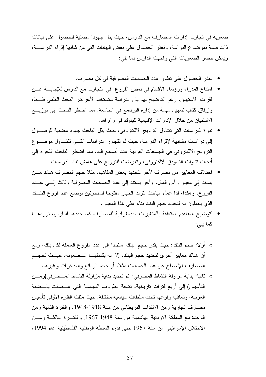صعوبة في تجاوب إدارات المصارف مع الدارس، حيث بذل جهودا مضنية للحصول على بيانات ذات صلة بموضوع الدر اسة، وتعذر الحصول على بعض البيانات التي من شانها إثر اء الدر اســــة، ويمكن حصر الصعوبات التي واجهت الدارس بما يلي:

- تعذر الحصول على تطور عدد الحسابات المصرفية في كل مصرف.
- امتناع المدراء ورؤساء الأقسام في بعض الفروع في النجاوب مع الدارس للإجابـــة عـــن فقرات الاستبيان، رغم التوضيح لهم بان الدراسة ستستخدم لأغراض البحث العلمي فقــط، وإرفاق كتاب تسهيل مهمة من إدارة البرنامج في الجامعة. مما اضطر الباحث إلى نوزيــــع الاستبيان من خلال الإدار ات الإقليمية للبنوك في ر ام الله.
- ندرة الدراسات التي تتتاول الترويج الالكتروني، حيث بذل الباحث جهود مضنية للوصـــول إلى دراسات مشابهة لإثراء الدراسة، حيث لم نتجاوز الدراسات التـــي نتتـــاول موضـــو ع النزويج الالكتروني في الجامعات العربية عدد أصابع اليد. مما اضطر الباحث اللجوء إلى أبحاث نناولت النسويق الالكتروني، وتعرضت للنرويج على هامش نلك الدراسات.
- اختلاف المعايير من مصرف لآخر لتحديد بعض المفاهيم، مثلا حجم المصرف هناك مـــن يستند إلى معيار رأس المال، وأخر يستند إلى عدد الحسابات المصرفية وثالث إلــــى عـــدد الفر و ع، و هكذا، لذا عمل الباحث لترك الخيار ٍ مفتوحا للمبحوثين لوضيع عدد فر و ع البنــك الذي يعملون به لتحديد حجم البنك بناء على هذا المعيار .
- لتوضيح المفاهيم المتعلقة بالمتغيرات الديمغر افية للمصارف كما حددها الدارس، نوردهـــا كما يلي:
- أولا: حجم البنك: حيث يقدر حجم البنك استنادا إلى عدد الفروع العاملة لكل بنك، ومع أن هناك معايير أخر ي لتحديد حجم البنك، إلا انه يكتنفهـــا الـــصعوبة، حيـــث تحجـــم المصـارف الإفصـاح عن عدد الـحسابات مثلا، أو حجم الودائـع والمدخرات وغيرها.
- ثانيا: بداية مز اولة النشاط المصر في: تم تحديد بداية مز اولة النشاط المـــصر في(ز مـــن التأسيس) إلى أربع فترات تاريخية، نتيجة الظروف السياسية التي عــصفت بالــضفة الغربية، وتعاقب وقوعها تحت سلطات سياسية مختلفة. حيث مثلت الفترة الأولى تأسيس مصارف تجارية زمن الانتداب البريطاني من سنة 1918-1948. والفترة الثانية زمن الوحدة مع المملكة الأردنية الهاشمية من سنة 1948-1967. والفتـــرة الثالثـــة زمـــن الاحتلال الإسرائيلي من سنة 1967 حتى قدوم السلطة الوطنية الفلسطينية عام 1994،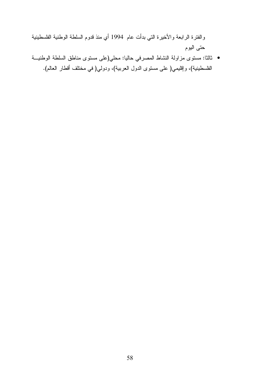والفترة الرابعة والأخيرة التي بدأت عام 1994 أي منذ قدوم السلطة الوطنية الفلسطينية حتى اليوم

• ثالثًا: مستوى مزاولة النشاط المصرفي حاليا: محلي(على مستوى مناطق السلطة الوطنيــة الفلسطينية)، وإقليمي( على مستوى الدول العربية)، ودولي( في مختلف أقطار العالم).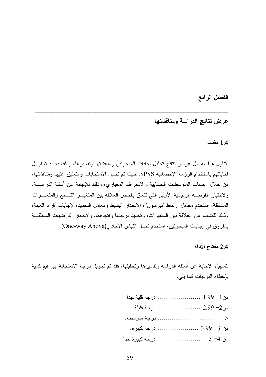الفصل الرابع

عرض نتائج الدراسة ومناقشتها

#### 1.4 مقدمة

يتناول هذا الفصل عرض نتائج تحليل إجابات المبحوثين ومناقشتها وتفسيرها، وذلك بعــد تحليــل إجاباتهم باستخدام الرزمة الإحصائية SPSS، حيث تم تحليل الاستجابات والتعليق عليها ومناقشتها، من خلال حساب المنوسطات الحسابية والانحراف المعياري، وذلك للإجابة عن أسئلة الدراســـة. ولاختبار الفرضية الرئيسية الأولى التي نتعلق بفحص العلاقة بين المتغيــر التـــابـع والمتغيــرات المستقلة، استخدم معامل ارتباط "بيرسون" والانحدار البسيط ومعامل التحديد، لإجابات أفراد العينة، وذلك للكشف عن العلاقة بين المتغيرات، وتحديد درجتها واتجاهها. ولاختبار الفرضيات المتعلقة بالفروق في إجابات المبحوثين، استخدم تحليل النباين الأحادي(One-way Anova).

2.4 مفتاح الأداة

لتسهيل الإجابة عن أسئلة الدراسة وتفسيرها وتحليلها، فقد تم تحويل درجة الاستجابة إلى قيم كمية بإعطاء الدرجات كما يلي:

|                         | من2– 2.99  درجة قليلة   |
|-------------------------|-------------------------|
|                         |                         |
|                         | من 3– 3.99  درجة كبيرة. |
| من 4– 5  درجة كبيرة جدا |                         |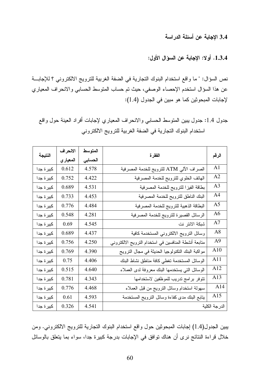# 3.4 الاجابة عن أسئلة الدر اسة

1.3.4. أولا: الإجابة عن السؤال الأولى:

نص السؤال: " ما واقع استخدام البنوك التجارية في الضفة الغربية للترويج الالكتروني ؟ للإجابـــة عن هذا السؤال استخدم الإحصـاء الوصفي، حيث تم حساب المتوسط الحسابي والانحراف المعياري لإجابات المبحوثين كما هو مبين في الجدول (1.4):

جدول 1.4: جدول يبين المتوسط الحسابي والانحراف المعياري لإجابات أفراد العينة حول واقع استخدام البنوك التجارية في الضفة الغربية للترويج الالكتروني

| النتيجة    | الانحراف  | المتوسط | الفقرة                                               |                |
|------------|-----------|---------|------------------------------------------------------|----------------|
|            | المعيار ي | الحسابى |                                                      | الرقم          |
| كبير ة جدا | 0.612     | 4.578   | الصراف الآلي ATM للترويج للخدمة المصرفية             | A <sub>1</sub> |
| كبير ة جدا | 0.752     | 4.422   | الهاتف الخلوي للترويج للخدمة المصرفية                | A <sub>2</sub> |
| كبير ة جدا | 0.689     | 4.531   | بطاقة الفيزا للترويج للخدمة المصرفية                 | A <sub>3</sub> |
| كبير ة جدا | 0.733     | 4.453   | البنك الناطق للترويج للخدمة المصرفية                 | A <sup>4</sup> |
| كبير ة جدا | 0.776     | 4.484   | البطاقة الذهبية للترويج للخدمة المصرفية              | A <sub>5</sub> |
| كبير ة جدا | 0.548     | 4.281   | الرسائل القصيرة للترويج للخدمة المصرفية              | A6             |
| كبير ة جدا | 0.69      | 4.545   | شبكة الانتر نت                                       | A7             |
| كبير ة جدا | 0.689     | 4.437   | وسائل النرويج الالكنروني المستخدمة كافية             | A8             |
| كبير ة جدا | 0.756     | 4.250   | متابعة أنشطة المنافسين في استخدام الترويج الالكتروني | A <sup>9</sup> |
| كبير ة جدا | 0.769     | 4.390   | مواكبة البنك النكنولوجيا الحديثة في مجال النزويج     | A10            |
| كبير ة جدا | 0.75      | 4.406   | الوسائل المستخدمة تغطي كافة مناطق نشاط البنك         | A11            |
| كبير ة جدا | 0.515     | 4.640   | الوسائل النبي يستخدمها البنك معروفة لدى العملاء      | A12            |
| كبير ة جدا | 0.781     | 4 343   | نتوفر برامج ندريب للموظفين لاستخدامها                | A13            |
| كبيرة جدا  | 0.776     | 4.468   | سهولة استخدام وسائل النزويج من قبل العملاء           | A14            |
| كبيرة جدا  | 0.61      | 4.593   | يتابع البنك مدى كفاءة وسائل النزويج المستخدمة        | A15            |
| كبيرة جدا  | 0.326     | 4.541   |                                                      | الدرجة الكلية  |

يبين الجدول(1.4) إجابات المبحوثين حول واقع استخدام البنوك النجارية للنرويج الالكتروني. ومن خلال قراءة النتائج نرى أن هناك توافق في الإجابات بدرجة كبيرة جدا، سواء بما يتعلق بالوسائل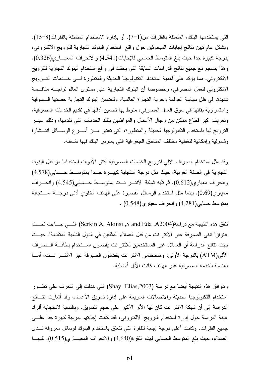التي يستخدمها البنك، المتمثلة بالفقرات من(1–7). أو بإدارة الاستخدام المتمثلة بالفقرات(8–15). وبشكل عام نبين نتائج إجابات المبحوثين حول واقع استخدام البنوك النجارية للترويج الالكتروني، بدرجة كبير ة جدا حيث بلغ المتوسط الحسابي للإجابات(4.541) و الانحر اف المعيب ارى(326.0). و هذا ينسجم مع جميع نتائج الدر اسات السابقة التي بحثت في و اقع استخدام البنوك التجارية للترويج الالكتروني. مما يؤكد على أهمية استخدام التكنولوجيا الحديثة والمتطورة فسي خـــدمات التــــرويج الالكتروني للعمل المصرفي، وخصوصا أن البنوك التجارية على مستوى العالم تواجسه منافسة شديدة، في ظل سياسة العولمة وحرية التجارة العالمية. ولتضمن البنوك التجارية حصتها السسوقية واستمر ارية بقائها في سوق العمل المصرفي، منوط بها تحسين أدائها في تقديم الخدمات المصرفية، ونعريف اكبر قطاع ممكن من رجال الأعمال والمواطنين بتلك الخدمات التي تقدمها، وذلك عبـــر النزويج لها باستخدام التكنولوجيا الحديثة والمتطورة، التي تعتبر مــن أســـرع الوســـائل انتــشارا وشمولية وإمكانية لتغطية مختلف المناطق الجغرافية التي يمارس البنك فيها نشاطه.

وقد مثل استخدام الصراف الآلي لنزويج الخدمات المصرفية أكثر الأدوات استخداما من قبل البنوك التجارية في الضفة الغربية، حيث مثل درجة استجابة كبيــرة جــدا بمتوســط حــسابي(4.578) وانحراف معياري(0.612). ثم تليه شبكة الانتسر نست بمتوســط حــسابـي(4.545) وانحـــراف معياري(0.69). بينما مثل استخدام الرسائل القصيرة على الهانف الخلوي أدنى درجـــة اســـتجابة بمنوسط حسابي(4.281) وانحراف معباري(0.548) .

تتفق هذه النتيجة مع در اسة(Serkin A, Akinsi ,S and Eda ,A2004) التـــي جـــاءت تحــت عنوان" تبني الصيرفة عبر الانتر نت من قبل العملاء المثقفين في الدول النامية المتقدمة". حيــث بينت نتائج الدراسة أن العملاء غير المستخدمين للانتر نت يفضلون اســـتخدام بطاقـــة الـــصراف الآلي(ATM) بالدرجة الأولى، ومستخدمي الانتر نت يفضلون الصيرفة عبر الانتـــر نــت، أمـــا بالنسبة للخدمة المصرفية عبر الهاتف كانت الأقل أفضلية.

ونتوافق هذه النتيجة أيضا مع در اسة (Shay Elias,2003) التي هدفت إلى التعرف على تطــور استخدام النكنولوجيا الحديثة والاتصالات السريعة على إدارة تسويق الأعمال، وقد أشارت نتسائج الدراسة إلى أن شبكة الانتر نت كان لها الأثر الأكبر على حجم التسويق. وبالنسبة لاستجابة أفراد عينة الدراسة حول إدارة استخدام الترويج الالكتروني، فقد كانت إجابتهم بدرجة كبيرة جدا علـــي جميع الفقرات، وكانت أعلى درجة إجابة للفقرة التي نتعلق باستخدام البنوك لوسائل معروفة لـــدى العملاء، حيث بلغ المنوسط الحسابي لهذه الفقرة(4.640) والانحراف المعيـــاري(0.515). تليهـــا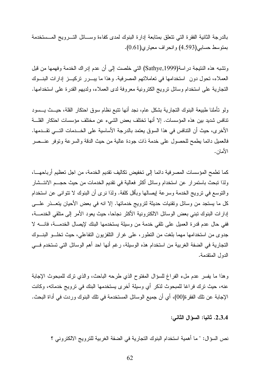بالدرجة الثانية الفقرة التي نتعلق بمتابعة إدارة البنوك لمدى كفاءة وســائل التـــرويج المـــستخدمة بمنوسط حسابي(4.593) و انحر اف معيار ي(0.61).

وتشبه هذه النتيجة در اسة(Sathye,1999) التي خلصت إلى أن عدم إدراك الخدمة وفهمها من قبل العملاء، تحول دون استخدامها في تعاملاتهم المصرفية. وهذا ما يبـــرر تركيـــز إدارات البنـــوك النجارية على استخدام وسائل نرويج الكترونية معروفة لدى العملاء، ولديهم القدرة على استخدامها.

ولو تأملنا طبيعة البنوك النجارية بشكل عام، نجد أنها نتبع نظام سوق احتكار القلة، حيــث يــسود تنافس شديد بين هذه المؤسسات. إلا أنها تختلف بعض الشيء عن مختلف مؤسسات احتكار القلـــة الأخرى، حيث أن النتافس في هذا السوق يعتمد بالدرجة الأساسية على الخـــدمات التــــى تقـــدمها. فالعميل دائما بطمح للحصول على خدمة ذات جودة عالية من حيث الدقة والسرعة ونوفر عنـــصر الأمان.

كما تطمح المؤسسات المصرفية دائما إلى تخفيض تكاليف تقديم الخدمة، من اجل تعظيم أرباحهـــا، ولذا نبحث باستمر ار عن استخدام وسائل أكثر فعالية في نقديم الخدمات من حيث حجـــم الانتـــشار والنوسع في نزويج الخدمة وسرعة ليصالها وبأقل كلفة. ولذا نرى أن البنوك لا نتوانى عن استخدام كل ما يستجد من وسائل ونقنيات حديثة لنرويج خدماتها. إلا انه في بعض الأحيان يتعـــذر علــــي إدارات البنوك نبني بعض الوسائل الالكترونية الأكثر نجاحا، حيث يعود الأمر إلى متلقى الخدمـــة، ففي حال عدم قدرة العميل على نلقى خدمة من وسيلة يستخدمها البنك لإيصال الخدمــة، فانــــه لا جدوى من استخدامها مهما بلغت من النطور، على غرار النلفزيون النفاعلي، حيث نخلــو البنــوك النجارية في الضفة الغربية من استخدام هذه الوسيلة، رغم أنها احد أهم الوسائل التي تستخدم فـــي الدول المتقدمة.

وهذا ما يفسر عدم ملء الفراغ للسؤال المفتوح الذي طرحه الباحث، والذي نرك للمبحوث الإجابة عنه، حيث ترك فراغا للمبحوث لذكر أي وسيلة أخرى يستخدمها البنك في ترويج خدماته، وكانت الإجابة عن تلك الفقر ة(00)، أي أن جميع الوسائل المستخدمة في تلك البنوك وردت في أداة البحث.

2.3.4. ثانيا: السؤال الثاني:

نص السؤال: " ما أهمية استخدام البنوك التجارية في الضفة الغربية للترويج الالكتروني ؟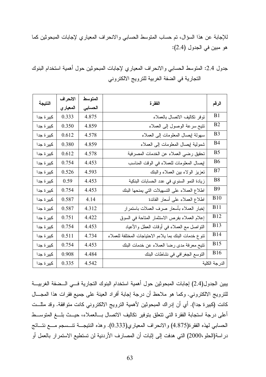للإجابة عن هذا السؤال، تم حساب المتوسط الحسابي والانحراف المعياري لإجابات المبحوثين كما هو مبين في الجدول (2.4):

جدول 2.4: المتوسط الحسابي والانحر اف المعياري لإجابات المبحوثين حول أهمية استخدام البنوك النجارية في الضفة الغربية للترويج الالكتروني

|            | الانحراف  | المتوسط |                                                        |                |
|------------|-----------|---------|--------------------------------------------------------|----------------|
| النتيجة    | المعيار ي | الحسابى | الفقرة                                                 | الرقم          |
| كبير ة جدا | 0.333     | 4.875   | نوفر نكاليف الاتصال بالعملاء                           | B <sub>1</sub> |
| كبير ة جدا | 0.350     | 4.859   | نتيح سرعة الوصول إلى العملاء                           | B <sub>2</sub> |
| كبير ة جدا | 0.612     | 4.578   | سهولة إبصال المعلومات إلىي العملاء                     | B <sub>3</sub> |
| كبير ة جدا | 0.380     | 4.859   | شمولية إيصال المعلومات إلىى العملاء                    | <b>B4</b>      |
| كبير ة جدا | 0.612     | 4.578   | تحقيق رضي العملاء عن الخدمات المصرفية                  | B <sub>5</sub> |
| كبير ة جدا | 0.754     | 4.453   | إيصال المعلومات للعملاء في الوقت المناسب               | <b>B6</b>      |
| كبير ة جدا | 0.526     | 4.593   | تعزيز الولاء بين العملاء والبنك                        | B <sub>7</sub> |
| كبير ة جدا | 0.59      | 4.453   | زيادة النمو السنوي في عدد الحسابات البنكية             | B <sub>8</sub> |
| كبير ة جدا | 0.754     | 4.453   | اطلاع العملاء على التسهيلات التي يمنحها البنك          | <b>B9</b>      |
| كبير ة جدا | 0.587     | 4.14    | اطلاع العملاء على أسعار الفائدة                        | <b>B10</b>     |
| كبير ة جدا | 0.587     | 4.312   | إخبار العملاء بأسعار صرف العملات باستمرار              | <b>B11</b>     |
| كبير ة جدا | 0.751     | 4.422   | إعلام العملاء بفرص الاستثمار المتاحة في السوق          | <b>B</b> 12    |
| كبير ة جدا | 0.754     | 4.453   | النواصل مع العملاء في أوقات العطل والأعياد             | <b>B13</b>     |
| كبير ة جدا | 0.511     | 4.734   | نتوع خدمات البنك بما يلاءم الاحتياجات المختلفة للعملاء | <b>B14</b>     |
| كبير ة جدا | 0.754     | 4.453   | نتيح معرفة مدى رضا العملاء عن خدمات البنك              | <b>B15</b>     |
| كبير ة جدا | 0.908     | 4.484   | التوسع الجغرافي في نشاطات البنك                        | <b>B16</b>     |
| كبير ة جدا | 0.335     | 4.542   |                                                        | الدرجة الكلية  |

يبين الجدول(2.4) إجابات المبحوثين حول أهمية استخدام البنوك التجارية فسي السضفة الغربيسة للنرويج الالكتروني. وكما هو ملاحظ أن درجة إجابة أفراد العينة على جميع فقرات هذا المجـــال كانت (كبيرة جدا). أي أن إدراك المبحوثين لأهمية النرويج الالكتروني كانت متوافقة. وقد مثلــت أعلى درجة استجابة الفقرة التي تتعلق بتوفير تكاليف الاتصال بسالعملاء، حيــث بلـــغ المتوســـط الحسابي لهذه الفقر ة(4.875) والانحراف المعياري(0.333). وهذه النتيجـــة تتـــسجم مــــع نتـــائج در اسة(الحلو ،2000) التي هدفت إلى إثبات أن المصارف الأردنية لن تستطيع الاستمر ار بالعمل أو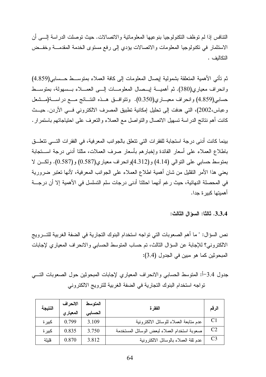النتافس إذا لم توظف التكنولوجيا بنو عيها المعلوماتية والاتصالات. حيث توصلت الدر اسة إلــــى أن الاستثمار في تكنولوجيا المعلومات والاتصالات يؤدي إلى رفع مستوى الخدمة المقدمـــة وخفــض التكاليف .

ثم تأتي الأهمية المتعلقة بشمولية إيصال المعلومات إلى كافة العملاء بمتوسـط حــسابي(4.859) وانحراف معياري(380). ثم أهميـــة إيـــصـال المعلومـــات إلــــى العمــــلاء بـــسهولة، بمتوســـط حسابي(4.859) وانحراف معيـــاري(0.350). ونتوافـــق هـــذه النتـــائج مـــع دراســـة(مـــشعل وعباس،2002)، التي هدفت إلى تحليل إمكانية تطبيق المصرف الالكتروني فسي الأردن. حيــث كانت أهم نتائج الدراسة تسهيل الاتصال والنواصل مع العملاء والنعرف على احتياجاتهم باستمرار .

بينما كانت أدنى درجة استجابة للفقرات التي نتعلق بالجوانب المعرفية، في الفقرات التسي نتعلــق باطلاع العملاء على أسعار الفائدة وإخبارهم بأسعار صرف العملات، مثلتا أدنى درجة اســـتجابة بمنوسط حسابي على النوالي (4.14) و (4.312)وانحراف معياري(0.587) و (0.587). ولكـــن لا يعني هذا الأمر النقليل من شان أهمية اطلاع العملاء على الجوانب المعرفية، لأنها تعتبر ضرورية في المحصلة النهائية، حيث رغم أنهما احتلتا أدنى درجات سلم التسلسل في الأهمية إلا أن درجــــة أهميتها كبير ة جدا.

3.3.4. ثالثًا: السوِّال الثالث:

نص السؤال: " ما أهم الصعوبات التي تواجه استخدام البنوك التجارية في الضفة الغربية للتـــرويج الالكتروني؟ للإجابة عن السؤال الثالث، تم حساب المتوسط الحسابي والانحراف المعياري لإجابات المبحوثين كما هو مبين في الجدول (3.4):

جدول 3.4-أ: المنوسط الحسابي والانحراف المعياري لإجابات المبحوثين حول الصعوبات النسي تواجه استخدام البنوك التجارية في الضفة الغربية للترويج الالكتروني

| النتيجة | الانحراف | المتوسط | الفقر ة                                      | الرقم          |
|---------|----------|---------|----------------------------------------------|----------------|
|         | المعيارى | الحسابى |                                              |                |
| كبير ة  | 0.799    | 3.109   | عدم متابعة العملاء للوسائل الالكترونية       | C <sub>1</sub> |
| كبير ة  | 0.835    | 3.750   | صعوبة استخدام العملاء لبعض الوسائل المستخدمة | C <sub>2</sub> |
| قليلة   | 0.870    | 3.812   | عدم ثقة العملاء بالوسائل الالكترونية         | C <sub>3</sub> |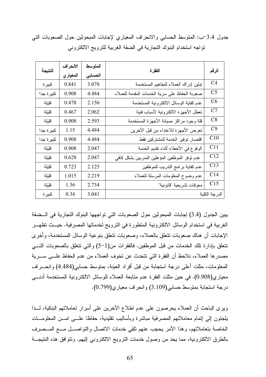جدول 3.4-ب: المنوسط الحسابي والانحراف المعياري لإجابات المبحوثين حول الصعوبات النبي تواجه استخدام البنوك التجارية في الضفة الغربية للترويج الالكتروني

| النتيجة    | الانحراف  | المتوسط | الفقر ة                                       |                |
|------------|-----------|---------|-----------------------------------------------|----------------|
|            | المعيار ي | الحسابى |                                               | الرقم          |
| كبيرة      | 0.841     | 3.078   | نباين إدراك العملاء للمفاهيم المستخدمة        | C <sub>4</sub> |
| كبيرة جدا  | 0.908     | 4.484   | صعوبة الحفاظ على سرية الخدمات المقدمة للعملاء | C <sub>5</sub> |
| قليلة      | 0.478     | 2.156   | عدم كفاية الوسائل الالكترونية المستخدمة       | C6             |
| قليلة      | 0.467     | 2.062   | تعطل الأجهزة الالكترونية لأسباب فنية          | C7             |
| قليلة      | 0.908     | 2.593   | قلة وجود مراكز صبانة الأجهزة المستخدمة        | C8             |
| كبيرة جدا  | 1.15      | 4.484   | تعرض الأجهزة للاعتداء من قبل الآخرين          | C9             |
| كبير ة جدا | 0.908     | 4.484   | اقتصار توفير الخدمة للمشتركين فقط             | C10            |
| فليلة      | 0.908     | 2.047   | الوقوع في الأخطاء أثناء نقديم الخدمة          | C11            |
| قليلة      | 0.628     | 2.047   | عدم نوفر الموظفين المؤهلين المدربين بشكل كافي | C12            |
| فلبلة      | 0.723     | 2 1 2 5 | عدم كفاية برامج التدريب للموظفين              | C13            |
| فلبلة      | 1.015     | 2.219   | عدم وضوح المعلومات المرسلة للعملاء            | C14            |
| فلبلة      | 1.36      | 2.734   | معوقات تشريعية "قانونية"                      | C15            |
| كبيرة      | 0.34      | 3.041   |                                               | الدرجة الكلية  |

يبين الجدول (3.4) إجابات المبحوثين حول الصعوبات التي تواجهها البنوك التجارية في السضفة الغربية في استخدام الوسائل الالكترونية المتطورة في الترويج لخدماتها المصرفية. حيــث تظهــر الإجابات أن هناك صعوبات نتعلق بالعملاء، وصعوبات نتعلق بنوعية الوسائل المستخدمة، وأخرى نتعلَّق بإدارة تلك الخدمات من قبل الموظفين. فالفقرات من(1–5) والتي تتعلَّق بالصعوبات التَّـــي مصدرها العملاء، نلاحظ أن الفقرة التي تتحدث عن تخوف العملاء من عدم الحفاظ علـــي ســـرية المعلومات، مثلت أعلى درجة استجابة من قبل أفراد العينة، بمتوسط حسابي(4.484) وانحـــراف معياري(0.908). في حين مثلت الفقرة عدم متابعة العملاء للوسائل الالكترونية المستخدمة أدنـــي درجة استجابة بمتوسط حسابي(3.109) وانحراف معياري(0.799).

ويرى الباحث أن العملاء يحرصون على عدم اطلاع الآخرين على أسرار نعاملاتهم البنكية، لـــذا بلجئون إلىي إتمام معاملاتهم المصرفية مباشرة وبأساليب نقليدية، حفاظا علـــي امـــن المعلومـــات الخاصة بتعاملاتهم، وهذا الأمر يحجب عنهم نلقى خدمات الانصال والتواصـــل مـــع المـــصرف بالطرق الالكترونية، مما يحد من وصول خدمات النرويج الالكتروني إليهم. وتتوافق هذه النتيجة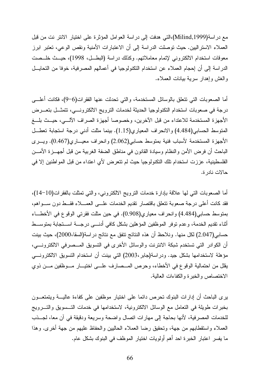مع در اسة(Milind,1999)،التي هدفت إلى در اسة العوامل المؤثرة على اختيار الانتر نت من قبل العملاء الاستر اليين. حيث توصلت الدر اسة إلى أن الاعتبار ات الأمنية ونقص الوعي، تعتبر ابرز معوفات استخدام الالكتروني لإتمام معاملاتهم. وكذلك در اسة (البطــل، 1998)، حيــث خلــصت الدر اسة إلى أن إحجام العملاء عن استخدام التكنولوجيا في أعمالهم المصر فية، خوفا من التحايـــل والغش وإهدار سربة بيانات العملاء.

أما الصعوبات التي نتعلق بالوسائل المستخدمة، والتي تحدثت عنها الفقرات(6–9)، فكانت أعلـــي درجة في صعوبات استخدام التكنولوجيا الحديثة لخدمات الترويج الالكترونسي، نتمثَّــل بتعـــرض الأجهزة المستخدمة للاعتداء من قبل الآخرين، وخصوصا أجهزة الصراف الآلسي، حيــث بلـــغ المتوسط الحسابي(4.484) والانحراف المعياري(1.15). بينما مثلت أدنى درجة استجابة تعطــل الأجهزة المستخدمة لأسباب فنية بمتوسط حسابي(2.062) وانحراف معيـــاري(0.467). ويـــري الباحث أن فرض الأمن والنظام وسيادة القانون في مناطق الضفة الغربية من قبل أجهـــزة الأمـــن الفلسطينية، عززت استخدام تلك التكنولوجيا حيث لم تتعرض لأى اعتداء من قبل المواطنين إلا في حالات نادر ة.

أما الصعوبات التي لها علاقة بإدارة خدمات الترويج الالكتروني، والتي تمثلت بالفقرات(10-14)، فقد كانت أعلى درجة صعوبة نتعلق باقتصار نقديم الخدمات علسي العمـــلاء فقــط دون ســـواهم، بمنوسط حسابي(4.484) وانحراف معياري(0.908). في حين مثلت فقرتي الوقوع في الأخطـــاء أثناء نقديم الخدمة، وعدم نوفر الموظفين المؤهلين بشكل كافي أدنسي درجسة استجابة بمنوسط حسابي(2.047) لكل منها. ونلاحظ أن هذه النتائج نتفق مع نتائج در اسة(السقا،2000)، حيث بينت أن الكوادر التي تستخدم شبكة الانترنت والوسائل الأخرى في التسويق المـــصرفي الالكترونـــي، مؤهلة لاستخدامها بشكل جيد. ودراسة(جابر،2003) التي بينت أن استخدام التسويق الالكترونـــي يقلل من احتمالية الوقوع في الأخطاء، وحرص المــصارف علـــى اختيـــار مـــوظفين مـــن ذوي الاختصاص والخبرة والكفاءات العالية.

ير ي الباحث أن إدارات البنوك تحرص دائما على اختيار موظفين على كفاءة عاليـــة ويتمتعـــون بخبرات طويلة في النعامل مع الوسائل الالكترونية، لاستخدامها في خدمات التــسويق والتـــرويج للخدمات المصر فية، لأنها بحاجة إلى مهارات اتصال واضحة وسريعة ودقيقة في آن معا، لجــذب العملاء واستقطابهم من جهة، ونحقيق رضا العملاء الحاليين والحفاظ عليهم من جهة أخرى. وهذا ما يفسر اعتبار الخبرة احد أهم أولويات اختيار الموظف في البنوك بشكل عام.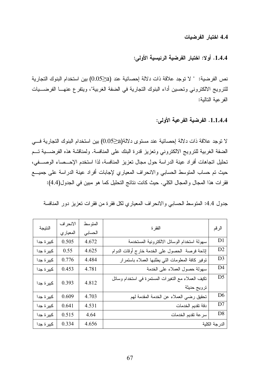#### 4.4 اختبار الفرضيات

1.4.4. أولا: اختبار الفرضية الرئيسية الأولى:

نص الفرضية: " لا توجد علاقة ذات دلالة إحصائية عند (0.052a) بين استخدام البنوك التجارية للترويج الالكتروني وتحسين أداء البنوك التجارية في الضفة الغربية"، ويتفرع عنهـــا الفرضــــيات الفر عبة التالية:

#### 1.1.4.4. الفرضية الفرعية الأولى:

لا توجد علاقة ذات دلالة إحصائية عند مستوى دلالة(22-0.0) بين استخدام البنوك التجارية فسي الضفة الغربية للترويج الالكتروني وتعزيز قدرة البنك على المنافسة. ولمناقشة هذه الفرضـــية تـــم تحليل اتجاهات أفراد عينة الدراسة حول مجال تعزيز المنافسة، لذا استخدم الإحــصـاء الوصــــفي، حيث تم حساب المتوسط الحسابي والانحراف المعياري لإجابات أفراد عينة الدراسة على جميــع فقرات هذا المجال والمجال الكلي. حيث كانت نتائج التحليل كما هو مبين في الجدول(4.4):

جدول 4.4: المنوسط الحسابي والانحراف المعياري لكل فقرة من فقرات تعزيز دور المنافسة

|            | الانحراف | المتوسط |                                                    |                |
|------------|----------|---------|----------------------------------------------------|----------------|
| النتيجة    | المعياري | الحسابى | الفقر ة                                            | الرقم          |
| كبيرة جدا  | 0.505    | 4.672   | سهولة استخدام الوسائل الالكترونية المستخدمة        | D <sub>1</sub> |
| كبيرة جدا  | 0.55     | 4.625   | إناحة فرصة الحصول على الخدمة خارج أوقات الدوام     | D <sub>2</sub> |
| كبيرة جدا  | 0.776    | 4.484   | نوفير كافة المعلومات النى يطلبها العملاء باستمرار  | D <sub>3</sub> |
| كبيرة جدا  | 0.453    | 4.781   | سهولة حصول العملاء على الخدمة                      | D <sub>4</sub> |
|            | 0.393    | 4.812   | نكيف العملاء مع التغيرات المستمرة في استخدام وسائل | D <sub>5</sub> |
| كبيرة جدا  |          |         | ترويج حديثة                                        |                |
| كبيرة جدا  | 0.609    | 4.703   | تحقيق رضي العملاء عن الخدمة المقدمة لهم            | D <sub>6</sub> |
| كبيرة جدا  | 0.641    | 4.531   | دقة نقديم الخدمات                                  | D7             |
| كبير ة جدا | 0.515    | 4.64    | سرعة نقديم الخدمات                                 | D <sub>8</sub> |
| كبيرة جدا  | 0.334    | 4.656   |                                                    | الدرجة الكلية  |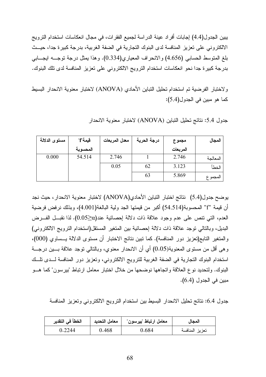يبين الجدول(4.4) إجابات أفراد عينة الدراسة لجميع الفقرات، في مجال انعكاسات استخدام الترويج الالكتروني على تعزيز المنافسة لدى البنوك التجارية في الضفة الغربية، بدرجة كبيرة جدا، حيــث بلغ المتوسط الحسابي (4.656) والانحراف المعياري(0.334). وهذا يمثل درجة توجـــه ايجـــابي بدرجة كبيرة جدا نحو انعكاسات استخدام الترويج الالكتروني على تعزيز المنافسة لدى تلك البنوك.

و لاختبار الفرضية تم استخدام تحليل التباين الأحادي (ANOVA) لاختبار معنوية الانحدار البسيط كما هو مبين في الجدول(5.4):

| مستوى الدلالة | قبمة"f"  | معدل المربعات | درجة الحرية | مجموع    | المجال   |
|---------------|----------|---------------|-------------|----------|----------|
|               | المحسوية |               |             | المريعات |          |
| 0.000         | 54.514   | 2.746         |             | 2.746    | المعالحة |
|               |          | 0.05          | 62          | 3.123    | الخطأ    |
|               |          |               | 63          | 5.869    | المجمو ع |

جدول 5.4: نتائج تحليل التباين (ANOVA) لاختبار معنوية الانحدار

يوضح جدول(5.4) نتائج اختبار التباين الأحادي(ANOVA) لاختبار معنوية الانحدار، حيث نجد أن قيمة "f" المحسوبة(54.514) أكبر من قيمتها الجد ولية البالغة(4.001)، وبذلك نرفض فرضية العدم، التبي نتص على عدم وجود علاقة ذات دلالة إحصائية عند(0.05 $\geq$ 0). لذا نقبــل الفـــرض البديل، وبالتالي توجد علاقة ذات دلالة إحصائية بين المتغير المستقل(استخدام الترويج الالكتروني) والمتغير التابع(تعزيز دور المنافسة). كما تبين نتائج الاختبار أن مستوى الدلالة بــساوى (000)، وهي أقل من مستوى المعنوية(0.05) أي أن الانحدار معنوي، وبالنالي نوجد علاقة بسين درجـــة استخدام البنوك التجارية في الضفة الغربية للترويج الالكتروني، وتعزيز دور المنافسة لــدى تلــك البنوك. ولتحديد نوع العلاقة واتجاهها نوضحها من خلال اختبار معامل ارتباط "بيرسون" كما هـــو مبين في الجدول (6.4).

جدول 6.4: نتائج تحليل الانحدار البسيط بين استخدام النرويج الالكتروني وتعزيز المنافسة

| الخطأ في التقدير | معامل التحديد | معامل ارتباط "بيرسون" | المجال         |
|------------------|---------------|-----------------------|----------------|
| 0.2244           | 0.468         | 0.684                 | تعزيز المنافسة |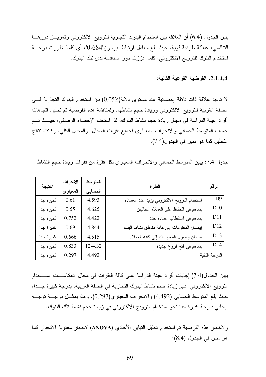يبين الجدول (6.4) أن العلاقة بين استخدام البنوك النجارية للنرويج الالكتروني وتعزيـــز دورهـــا النتافسي، علاقة طردية قوية. حيث بلغ معامل ارتباط بيرسون"0.684"، أي كلما تطورت درجـــة استخدام البنوك للنرويج الالكتروني، كلما عززت دور المنافسة لدى نلك البنوك.

2.1.4.4. الفرضية الفرعية الثانية:

لا توجد علاقة ذات دلالة إحصائية عند مستوى دلالة(<0.05) بين استخدام البنوك التجارية فـــى الضفة الغربية للنرويج الالكتروني وزيادة حجم نشاطها. ولمناقشة هذه الفرضية تم تحليل اتجاهات أفراد عينة الدراسة في مجال زيادة حجم نشاط البنوك، لذا استخدم الإحصاء الوصفي، حيــث تـــم حساب المتوسط الحسابي والانحراف المعياري لجميع فقرات المجال والمجال الكلي. وكانت نتائج التحليل كما هو مبين في الجدول(7.4).

جدول 7.4: يبين المنوسط الحسابي والانحراف المعياري لكل فقرة من فقرات زيادة حجم النشاط

|            | الانحراف  | المتوسط |                                             |                 |
|------------|-----------|---------|---------------------------------------------|-----------------|
| النتيجة    | المعيار ي | التسابى | الفقرة                                      | الرقم           |
| كبير ة جدا | 0.61      | 4.593   | استخدام النرويج الالكتروني بزيد عدد العملاء | D <sup>9</sup>  |
| كبيرة جدا  | 0.55      | 4.625   | يساهم في الحفاظ على العملاء الحاليين        | D10             |
| كبيرة جدا  | 0.752     | 4.422   | يساهم فى استقطاب عملاء جدد                  | D <sub>11</sub> |
| كبيرة جدا  | 0.69      | 4.844   | إيصال المعلومات إلى كافة مناطق نشاط البنك   | D <sub>12</sub> |
| كبيرة جدا  | 0.666     | 4.515   | ضمان وصول المعلومات إلى كافة العملاء        | D13             |
| كبيرة جدا  | 0.833     | 12-4.32 | يساهم في فتح فروع جديدة                     | D <sub>14</sub> |
| كبيرة جدا  | 0.297     | 4.492   |                                             | الدرجة الكلية   |

يبين الجدول(7.4) إجابات أفراد عينة الدراسة على كافة الفقرات في مجال انعكاســـات اســـتخدام الترويج الالكتروني على زيادة حجم نشاط البنوك التجارية في الضفة الغربية، بدرجة كبيرة جــدا، حيث بلغ المتوسط الحسابي (4.492) والانحراف المعياري(0.297). وهذا يمثـــل درجــــة توجــــه ايجابي بدرجة كبيرة جدا نحو استخدام النرويج الالكتروني في زيادة حجم نشاط نلك البنوك.

ولاختبار هذه الفرضية تم استخدام تحليل التباين الأحادي (ANOVA) لاختبار معنوية الانحدار كما هو مبين في الجدول (8.4):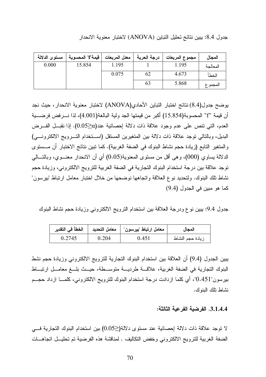جدول 8.4: يبين نتائج تحليل النباين (ANOVA) لاختبار معنوية الانحدار

| مستوى الدلالة | قيمة"f" المحسوبة | معدل المربعات | درجة الحرية | مجموع المربعات | المجال   |
|---------------|------------------|---------------|-------------|----------------|----------|
| 0.000         | 15.854           | 1.195         |             | 1.195          | المعالحة |
|               |                  | 0.075         | 62          | 4.673          | الخطأ    |
|               |                  |               | 63          | 5.868          | المجمو ع |

يوضح جدول(8.4) نتائج اختبار التباين الأحادي(ANOVA) لاختبار معنوية الانحدار ، حيث نجد أن فيمة "f" المحسوبة(15.854) أكبر من فيمتها الجد ولية البالغة(4.001)، لذا نـــرفض فرضــــية العدم، التي نتص على عدم وجود علاقة ذات دلالة إحصائية عند(0.05 $\geq$ ). إذا نقبـــل الفـــرض البديل، وبالنالي نوجد علاقة ذات دلالة بين المتغيرين المستقل (استخدام النسرويج الالكترونسي) والمتغير التابع (زيادة حجم نشاط البنوك في الضفة الغربية). كما نبين نتائج الاختبار أن مـــستوى الدلالة يساوي (000)، وهي أقل من مستوى المعنوية(0.05) أي أن الانحدار معنـــوي، وبالتــــالـي توجد علاقة بين درجة استخدام البنوك التجارية في الضفة الغربية للترويج الالكتروني، وزيادة حجم نشاط تلك البنوك. ولتحديد نوع العلاقة واتجاهها نوضحها من خلال اختبار معامل ارتباط "بيرسون" كما هو مبين في الجدول (9.4)

جدول 9.4: يبين نوع ودرجة العلاقة بين استخدام الترويج الالكتروني وزيادة حجم نشاط البنوك

| الخطأ في التقدير | معامل التحديد ا | معامل ارتباط "بيرسون" | المجال           |
|------------------|-----------------|-----------------------|------------------|
| 0.2745           | 0.204           | 0.451                 | زيادة حجم النشاط |

يبين الجدول (9.4) أن العلاقة بين استخدام البنوك التجارية للترويج الالكتروني وزيادة حجم نشط البنوك التجارية في الضفة الغربية، علاقـــة طرديـــة متوســـطة، حيـــث بلـــغ معامـــل ارتبـــاط بيرسون"0.451"، أي كلما ازدادت درجة استخدام البنوك للترويج الالكتروني، كلمـــا ازداد حجـــم نشاط تلك البنوك.

3.1.4.4. الفرضية الفرعية الثالثة:

لا نوجد علاقة ذات دلالة إحصائية عند مستوى دلالة(≤0.05) بين استخدام البنوك التجارية فـــي الضفة الغربية للنرويج الالكتروني وخفض النكاليف . لمناقشة هذه الفرضية تم تحليـــل اتجاهـــات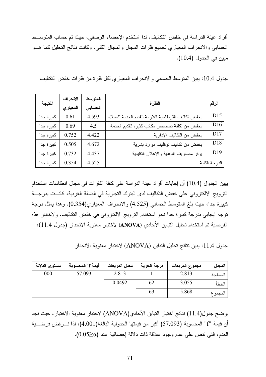أفراد عينة الدراسة في خفض التكاليف، لذا استخدم الإحصاء الوصفي، حيث تم حساب المتوســط الحسابي والانحراف المعياري لجميع فقرات المجال والمجال الكلي. وكانت نتائج التحليل كما هـــو مبين في الجدول (10.4).

جدول 10.4: يبين المتوسط الحسابي والانحراف المعياري لكل فقرة من فقرات خفض التكاليف

|            | الانحراف  | المتوسط<br>الفقرة |                                                     |                 |
|------------|-----------|-------------------|-----------------------------------------------------|-----------------|
| النتيجة    | المعيار ي | التسابى           |                                                     | الرقم           |
| كبيرة جدا  | 0.61      | 4.593             | يخفض نكاليف القرطاسية اللازمة لتقديم الخدمة للعملاء | D <sub>15</sub> |
| كبير ة جدا | 0.69      | 4.5               | يخفض من تكلفة تخصيص مكاتب كثيرة لتقديم الخدمة       | D <sub>16</sub> |
| كبير ة جدا | 0.752     | 4.422             | يخفض من التكاليف الإدارية                           | D17             |
| كبيرة جدا  | 0.505     | 4.672             | يخفض من نكاليف توظيف موارد بشرية                    | D18             |
| كبيرة جدا  | 0.732     | 4.437             | بوفر مصاريف الدعاية والإعلان النقليدية              | D <sub>19</sub> |
| كبيرة جدا  | 0.354     | 4.525             |                                                     | الدرجة الكلية   |

يبين الجدول (10.4) أن إجابات أفراد عينة الدراسة على كافة الفقرات في مجال انعكاسات استخدام الترويج الالكتروني على خفض التكاليف لدى البنوك التجارية في الضفة الغربية، كانست بدرجـــة كبيرة جدا، حيث بلغ المتوسط الحسابي (4.525) والانحراف المعياري(0.354). وهذا يمثل درجة توجه ايجابي بدرجة كبيرة جدا نحو استخدام الترويج الالكتروني في خفض التكاليف. ولاختبار هذه الفرضية تم استخدام تحليل التباين الأحادي (ANOVA) لاختبار معنوية الانحدار (جدول 11.4):

جدول 11.4: يبين نتائج تحليل التباين (ANOVA) لاختبار معنوية الانحدار

| مستوى الدلالة | قيمة"f" المحسوبة | معدل المربعات | درجة الحرية | مجموع المربعات | المجال     |
|---------------|------------------|---------------|-------------|----------------|------------|
| 000           | 57.093           | 2.813         |             | 2.813          | المعالحة   |
|               |                  | 0.0492        | 62          | 3.055          | الخطأ      |
|               |                  |               | 63          | 5.868          | . المجمو ع |

يوضح جدول(11.4) نتائج اختبار التباين الأحادي(ANOVA) لاختبار معنوية الاختبار، حيث نجد أن فيمة "f" المحسوبة (57.093) أكبر من قيمتها الجدولية البالغة(4.001)، لذا نسرفض فرضسية العدم، التبي نتص على عدم وجود علاقة ذات دلالة إحصائية عند (0.05 $\geq$ 0).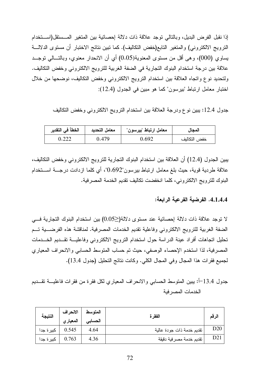إذا نقبل الفرض البديل، وبالنالي نوجد علاقة ذات دلالة إحصائية بين المتغير المــسنقل(اســـنخدام الترويج الالكتروني) والمتغير التابع(خفض التكاليف). كما نبين نتائج الاختبار أن مستوى الدلالـــة يساوي (000)، وهي أقل من مستوى المعنوية(0.05) أي أن الانحدار معنوي، وبالتسالمي توجــد علاقة بين درجة استخدام البنوك التجارية في الضفة الغربية للترويج الالكتروني وخفض التكاليف. ولتحديد نوع وانجاه العلاقة بين استخدام النرويج الالكتروني وخفض النكاليف، نوضحها من خلال اختبار معامل ارتباط "بيرسون" كما هو مبين في الجدول (12.4):

جدول 12.4: يبين نوع ودرجة العلاقة بين استخدام الترويج الالكتروني وخفض التكاليف

| الخطأ ف <i>ي</i> التقدير | معامل التحديد | معامل ارتباط "بيرسون" | المجال       |
|--------------------------|---------------|-----------------------|--------------|
| 0.222                    | 0.479         | 0.692                 | خفض النكالىف |

يبين الجدول (12.4) أن العلاقة بين استخدام البنوك التجارية للترويج الالكتروني وخفض التكاليف، علاقة طردية قوية، حيث بلغ معامل ارتباط بير سون"0.692"، أي كلما ازدادت درجــــة اســـتخدام البنوك للترويج الالكتروني، كلما انخفضت تكاليف تقديم الخدمة المصرفية.

## 4.1.4.4. الفرضية الفرعية الرابعة:

لا توجد علاقة ذات دلالة اِحصائية عند مستوى دلالة(<0.05) بين استخدام البنوك التجارية فـــى الضفة الغربية للترويج الالكتروني وفاعلية تقديم الخدمات المصرفية. لمناقشة هذه الفرضـــية تـــم تحليل اتجاهات أفراد عينة الدراسة حول استخدام الترويج الالكتروني وفاعليـــة تقـــديم الخـــدمات المصرفية، لذا استخدم الإحصاء الوصفي، حيث تم حساب المنوسط الحسابي والانحراف المعياري لجميع فقرات هذا المجال وفي المجال الكلي. وكانت نتائج التحليل (جدول 13.4).

جدول 13.4–أ: يبين المنوسط الحسابي والانحراف المعياري لكل فقرة من فقرات فاعليــــة نقـــديم الخدمات المصر فبة

| النتيجة    | الانحراف<br>المعيارى | المتوسط<br>الحسابى | الفقر ة                   | الرقم |
|------------|----------------------|--------------------|---------------------------|-------|
| كبير ة جدا | 0.545                | 4.64               | نقديم خدمة ذات جودة عالية | D20   |
| كبير ة جدا | 0.763                | 4.36               | تقديم خدمة مصرفية دقيقة   | D21   |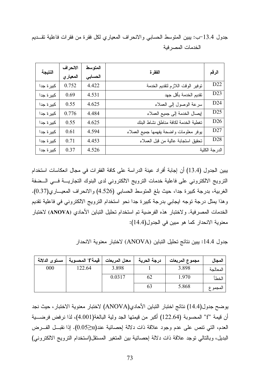جدول 13.4−ب: يبين المتوسط الحسابي والانحراف المعياري لكل فقرة من فقرات فاعلية تقــديم الخدمات المصر فبة

| النتيجة    | الانحراف  | المتوسط | الفقرة                                 | الرقم           |
|------------|-----------|---------|----------------------------------------|-----------------|
|            | المعيار ي | التسابى |                                        |                 |
| كبير ة جدا | 0.752     | 4.422   | نوفير الوقت اللازم لنقديم الخدمة       | D22             |
| كبير ة جدا | 0.69      | 4.531   | تقديم الخدمة بأقل جهد                  | D23             |
| كبيرة جدا  | 0.55      | 4.625   | سرعة الوصول إلى العملاء                | D24             |
| كبيرة جدا  | 0.776     | 4.484   | إيصال الخدمة إلى جميع العملاء          | D <sub>25</sub> |
| كبيرة جدا  | 0.55      | 4.625   | تغطية الخدمة لكافة مناطق نشاط البنك    | D <sub>26</sub> |
| كبيرة جدا  | 0.61      | 4.594   | يوفر معلومات واضحة يفهمها جميع العملاء | D27             |
| كبيرة جدا  | 0.71      | 4.453   | تحقيق استجابة عالية من قبل العملاء     | D <sub>28</sub> |
| كبيرة جدا  | 0.37      | 4.526   |                                        | الدرجة الكلية   |

يبين الجدول (13.4) أن إجابة أفراد عينة الدراسة على كافة الفقرات في مجال انعكاسات استخدام الترويج الالكتروني على فاعلية خدمات الترويج الالكتروني لدى البنوك التجاريـــة فـــي الـــضفة الغربية، بدرجة كبيرة جدا، حيث بلغ المتوسط الحسابي (4.526) والانحراف المعيباري(0.37). وهذا يمثل درجة نوجه ايجابي بدرجة كبيرة جدا نحو استخدام النرويج الالكتروني في فاعلية نقديم الخدمات المصرفية. ولاختبار هذه الفرضية تم استخدام تحليل التباين الأحادي (ANOVA) لاختبار معنوية الانحدار كما هو مبين في الجدول(14.4):

جدول 14.4: يبين نتائج تحليل التباين (ANOVA) لاختبار معنوية الانحدار

| مستوى الدلالة | قيمة"f" المحسوبة | معدل المربعات | درجة الحرية | مجموع المربعات | المجال   |
|---------------|------------------|---------------|-------------|----------------|----------|
| 000           | 122.64           | 3.898         |             | 3.898          | المعالحة |
|               |                  | 0.0317        | 62          | 1.970          | الخطأ    |
|               |                  |               | 63          | 5.868          | المجمو ع |

يوضح جدول(14.4) نتائج اختبار التباين الأحادي(ANOVA) لاختبار معنوية الاختبار ، حيث نجد أن قيمة "f" المحسوبة (122.64) أكبر من قيمتها الجد ولية البالغة(4.001)، لذا نرفض فرضـــية العدم، التبي نتص على عدم وجود علاقة ذات دلالة إحصائية عند(0.05 $\geq$ ). إذا نقبــل الفـــرض البديل، وبالنالبي نوجد علاقة ذات دلالة إحصائية بين المتغير المستقل(استخدام النرويج الالكتروني)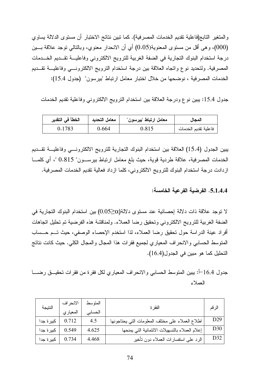والمتغير التابع(فاعلية نقديم الخدمات المصرفية). كما نبين نتائج الاختبار أن مستوى الدلالة يساوي (000)، و هي أقل من مستوى المعنوية(0.05) أي أن الانحدار معنوي، وبالتالي توجد علاقة بسين درجة استخدام البنوك التجارية في الضفة الغربية للترويج الالكتروني وفاعليـــة تقــديم الخــدمات المصرفية. ولتحديد نوع وإنجاه العلاقة بين درجة استخدام الترويج الالكترونسي وفاعليسة تقسديم الخدمات المصرفية ، نوضحها من خلال اختبار معامل ارتباط "بيرسون" (جدول 15.4):

جدول 15.4: يبين نوع ودرجة العلاقة بين استخدام الترويج الالكتروني وفاعلية تقديم الخدمات

| الخطأ في التقدير | معامل التحديد | معامل ارتباط "بيرسون" | المجال               |
|------------------|---------------|-----------------------|----------------------|
| 0.1783           | 0.664         | 0.815                 | فاعلية نقديم الخدمات |

يبين الجدول (15.4) العلاقة بين استخدام البنوك التجارية للترويج الالكترونسي وفاعليـــة تقـــديم الخدمات المصر فية، علاقة طريبة قوية، حيث بلغ معامل ارتباط بيرســـون" 0.815 "، أي كلمـــا ازدادت درجة استخدام البنوك للترويج الالكتروني، كلما ازداد فعالية نقديم الخدمات المصرفية.

# 5.1.4.4. الفرضية الفرعية الخامسة:

لا توجد علاقة ذات دلالة إحصائية عند مستوى دلالة $(0.05 \geq 0)$  بين استخدام البنوك التجارية في الضفة الغربية للترويج الالكتروني وتحقيق رضا العملاء. ولمناقشة هذه الفرضية تم تحليل اتجاهات أفراد عينة الدراسة حول تحقيق رضا العملاء، لذا استخدم الإحصاء الوصفي، حيث تـــم حـــساب المنوسط الحسابي والانحراف المعياري لجميع فقرات هذا المجال والمجال الكلي. حيث كانت نتائج التحليل كما هو مبين في الجدول(16.4).

جدول 16.4–أ: يبين المنوسط الحسابي والانحراف المعياري لكل فقرة من فقرات تحقيـــق رضــــا العملاء

| النتيجة    | الانحراف          | المتوسط        | الفقر ة                                          | الرقم           |
|------------|-------------------|----------------|--------------------------------------------------|-----------------|
| كبير ة جدا | المعياري<br>0.712 | الحسابى<br>4.5 | اطلاع العملاء على مختلف المعلومات التي يحتاجونها | D <sub>29</sub> |
| كبير ة جدا | 0.549             | 4.625          | إعلام العملاء بالتسهيلات الائتمانية التى يمنحها  | D30             |
| كبير ة جدا | 0.734             | 4.468          | الرد على استفسارات العملاء دون تأخير             | D32             |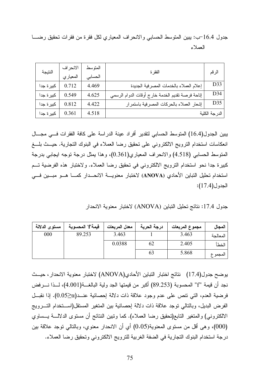جدول 16.4-ب: يبين المتوسط الحسابي والانحراف المعياري لكل فقرة من فقرات تحقيق رضـــا العملاء

| النتيجة    | الانحراف            | المتوسط | الفقر ة                                          |               |
|------------|---------------------|---------|--------------------------------------------------|---------------|
|            | المعياري<br>الحسابى |         |                                                  | الرقم         |
| كبير ة جدا | 0.712               | 4.469   | إعلام العملاء بالخدمات المصرفية الجديدة          | D33           |
| كبير ة جدا | 0.549               | 4.625   | إتاحة فرصة تقديم الخدمة خارج أوقات الدوام الرسمي | D34           |
| كبيرة جدا  | 0.812               | 4.422   | إشعار العملاء بالحركات المصرفية باستمرار         | D35           |
| كبيرة جدا  | 0.361               | 4.518   |                                                  | الدرجة الكلية |

يبين الجدول(16.4) المتوسط الحسابي لتقدير أفراد عينة الدراسة على كافة الفقرات فــي مجـــال انعكاسات استخدام الترويج الالكتروني على تحقيق رضا العملاء في البنوك التجارية. حيــث بلـــغ المتوسط الحسابي (4.518) والانحراف المعياري(0.361)، وهذا يمثل درجة توجه ايجابي بدرجة كبيرة جدا نحو استخدام الترويج الالكتروني في تحقيق رضا العملاء. ولاختبار هذه الفرضية تسم استخدام تحليل التباين الأحادي (ANOVA) لاختبار معنويـــة الانحـــدار كمــــا هـــو مبـــين فـــي الجدول (17.4):

جدول 17.4: نتائج تحليل التباين (ANOVA) لاختبار معنوية الانحدار

| المجال   | مجموع المربعات | درجة الحرية | معدل المربعات | قيمة"f" المحسوبة | مستوى الدلالة |
|----------|----------------|-------------|---------------|------------------|---------------|
| المعالحة | 3.463          |             | 3.463         | 89.253           | 000           |
| الخطأ    | 2.405          | 62          | 0.0388        |                  |               |
| المجمو ع | 5.868          | 63          |               |                  |               |

يوضح جدول(17.4) نتائج اختبار التباين الأحادي(ANOVA) لاختبار معنوية الانحدار ، حيــث نجد أن فيمة "f" المحسوبة (253.83) أكبر من قيمتها الجد ولية البالغـــة(4.001)، لـــذا نــــرفض فرضية العدم، التي نتص على عدم وجود علاقة ذات دلالة إحصائية عنـــد(0.05 $\geq$ ). إذا نقبـــل الفرض البديل، وبالنالي نوجد علاقة ذات دلالة إحصائية بين المنغير المستقل(اســنخدام التـــرويج الالكتروني) والمتغير التابع(تحقيق رضا العملاء). كما ونبين النتائج أن مستوى الدلالــــة يــــساوي (000)، وهي أقل من مستوى المعنوية(0.05) أي أن الانحدار معنوي، وبالنالي توجد علاقة بين درجة استخدام البنوك التجارية في الضفة الغربية للترويج الالكتروني وتحقيق رضا العملاء.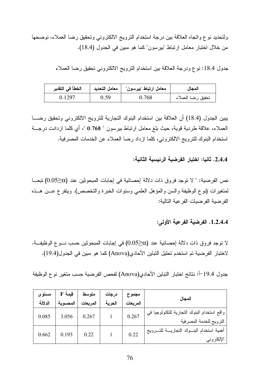ولتحديد نوع واتجاه العلاقة بين درجة استخدام الترويج الالكتروني وتحقيق رضا العملاء، نوضحها من خلال اختبار معامل ارتباط "بيرسون" كما هو مبين في الجدول (18.4).

جدول 18.4: نوع ودرجة العلاقة بين استخدام النرويج الالكتروني تحقيق رضا العملاء

| الخطأ في التقدير | معامل التحديد | معامل ارتباط "بيرسون"   " | المجال            |
|------------------|---------------|---------------------------|-------------------|
| 0.1297           | 0.59          | 0.768                     | تحقيق رضا العملاء |

يبين الجدول (18.4) أن العلاقة بين استخدام البنوك التجارية للترويج الالكتروني وتحقيق رضــــا العملاء، علاقة طردية قوية، حيث بلغ معامل ارتباط بيرسون " 0.768 "، أي كلما ازدادت درجــة استخدام البنوك للنرويج الالكتروني، كلما ازداد رضا العملاء عن الخدمات المصرفية.

2.4.4. ثانيا: اختبار الفرضبة الرئيسبة الثانية:

نص الفرضية: " لا توجد فروق ذات دلالة احصائية في اِجابات المبحوثين عند (0.05 $\geq$ 0) تبعــا لمتغيرات (نوع الوظيفة والسن والمؤهل العلمي وسنوات الخبرة والتخصص). ويتفرع عـــن هـــذه الفر ضبة الفر ضبات الفر عبة التالبة:

1.2.4.4. الفرضية الفرعية الأولى:

لا توجد فروق ذات دلالة إحصائية عند (0.05 $\geq$ 0) في إجابات المبحوثين حسب نـــو ع الوظيفـــة. لاختبار الفرضية تم استخدم تحليل التباين الأحادي(Anova) كما هو مبين في الجدول(19.4).

جدول 19.4–أ: نتائج اختبار التباين الأحادي(Anova) لفحص الفرضية حسب متغير نوع الوظيفة

| مستوى   | F قيمة   | متوسط    | درجات  | مجموع    | المجال                                      |
|---------|----------|----------|--------|----------|---------------------------------------------|
| الدلالة | المحسوبة | المربعات | الحرية | المريعات |                                             |
| 0.085   | 3.056    | 0.267    |        | 0.267    | واقع استخدام البنوك التجارية للتكنولوجيا في |
|         |          |          |        |          | الترويج للخدمة المصرفية                     |
| 0.662   | 0.193    | 0.22     |        | 0.22     | أهمية استخدام البنسوك النجاريسة للنسرويج    |
|         |          |          |        |          | الإلكتروني                                  |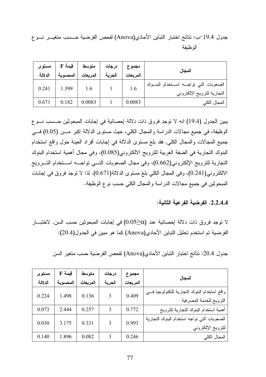جدول 19.4–ب: نتائج اختبار التباين الأحادي(Anova) لفحص الفرضية حـــسب متغيـــر نـــو ع الو ظبفة

| مستوى<br>الدلالة | F قيمة<br>المحسوبة | متوسط<br>المربعات | درجات<br>الحرية | مجموع<br>المريعات | المجال                                                                  |
|------------------|--------------------|-------------------|-----------------|-------------------|-------------------------------------------------------------------------|
| 0.241            | 1.399              | 1.6               |                 | 1.6               | الصعوبات التي نواجــه اســنخدام البنــوك<br>التجارية للترويج الإلكتروني |
| 0.671            | 0.182              | 0.0083            |                 | 0.0083            | المجال الكلى                                                            |

يبين الجدول (19.4) انه لا توجد فروق ذات دلالة إحصائية في إجابات المبحوثين حـــسب نـــو ع الوظيفة، في جميع مجالات الدراسة والمجال الكلي، حيث مستوى الدلالة اكبر مـن (0.05) فــي جميع المجالات والمجال الكلي. فقد بلغ مستوى الدلالة في إجابات أفراد العينة حول واقع استخدام البنوك التجارية في الضفة الغربية للترويج الالكتروني(0.085)، وفي مجال أهمية استخدام البنوك النجارية للنرويج الإلكتروني(0.662)، وفي مجال الصعوبات النسي نواجـــه اســـنخدام النــــرويج الالكتروني(0.241)، وفي المجال الكلي بلغ مستوى الدلالة(0.671). لذا لا توجد فروق في إجابات المبحوثين في جميع مجالات الدراسة والمجال الكلي حسب نوع الوظيفة.

2.2.4.4. الفرضية الفرعية الثانية:

لا نوجد فروق ذات دلالة إحصائية عند (Ω∑−0.05) في إجابات المبحوثين حسب السن. لاختبـــار الفرضية تم استخدم تحليل التباين الأحادي(Anova) كما هو مبين في الجدول(20.4):

| المجال                                       | مجموع    | درجات  | متوسط    | F فبمة   | مستوى   |  |  |
|----------------------------------------------|----------|--------|----------|----------|---------|--|--|
|                                              | المربعات | الحرية | المريعات | المحسوبة | الدلالة |  |  |
| واقع استخدام البنوك التجارية للتكنولوجيا فسى | 0.409    | 3      | 0.136    | 1.498    | 0.224   |  |  |
| الترويج للخدمة المصرفية                      |          |        |          |          |         |  |  |
| أهمية استخدام البنوك التجارية للنرويج        | 0.772    | 3      | 0.257    | 2.444    | 0.073   |  |  |
| الصعوبات التى نواجه استخدام البنوك التجارية  | 0.993    | 3      | 0.331    | 3.175    | 0.030   |  |  |
| للنرويج الإلكتروني                           |          |        |          |          |         |  |  |
| المجال الكلى                                 | 0.246    | 3      | 0.082    | 1.896    | 0.140   |  |  |

جدول 20.4: نتائج اختبار التباين الأحادي(Anova) لفحص الفرضية حسب متغير السن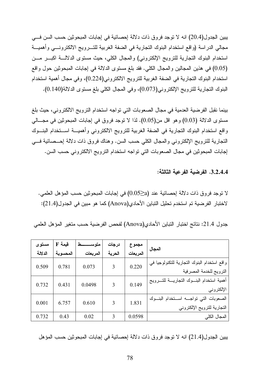يبين الجدول(20.4) انه لا نوجد فروق ذات دلالة إحصائية في إجابات المبحوثين حسب السن فسي مجالي الدر اسة (و اقع استخدام البنوك التجارية في الضفة الغربية للتسر ويج الالكتر ونسى و أهميسة استخدام البنوك التجارية للترويج الإلكتروني) والمجال الكلي، حيث مستوى الدلالـــة اكبـــر مـــن (0.05) في هذين المجالين والمجال الكلي. فقد بلغ مستوى الدلالة في إجابات المبحوثين حول وإقع استخدام البنوك التجارية في الضفة الغربية للترويج الالكتروني(0.224)، وفي مجال أهمية استخدام البنوك النجارية للنرويج الإلكتروني(0.073)، وفي المجال الكلي بلغ مستوى الدلالة(140.1).

بينما نقبل الفرضية العدمية في مجال الصعوبات التي تواجه استخدام الترويج الالكتروني، حيث بلغ مستوى الدلالة (0.03) وهو اقل من(0.05). لذا لا توجد فروق في إجابات المبحوثين في مجـــالـي واقع استخدام البنوك التجارية في الضفة الغربية للترويج الالكتروني وأهميـــة اســـتخدام البنـــوك النجارية للنزويج الإلكتروني والمجال الكلي حسب السن. وهناك فروق ذات دلالة إحـــصائية فـــي إجابات المبحوثين في مجال الصعوبات التي تواجه استخدام الترويج الالكتروني حسب السن.

3.2.4.4. الفرضية الفرعية الثالثة:

لا توجد فروق ذات دلالة إحصائية عند (0.05⁄2a) في إجابات المبحوثين حسب المؤهل العلمي. لاختبار الفرضية تم استخدم تحليل التباين الأحادي(Anova) كما هو مبين في الجدول(21.4):

جدول 21.4: نتائج اختبار التباين الأحادي(Anova) لفحص الفرضية حسب متغير المؤهل العلمي

| مستوى   | قبمة F   | متوسد    | درجات  | مجموع    |                                             |
|---------|----------|----------|--------|----------|---------------------------------------------|
| الدلالة | المحسوية | المربعات | الحرية | المربعات | المجال                                      |
| 0.509   | 0.781    | 0.073    | 3      | 0.220    | واقع استخدام البنوك التجارية للتكنولوجيا في |
|         |          |          |        |          | الترويج للخدمة المصرفية                     |
| 0.732   | 0.431    | 0.0498   | 3      | 0.149    | أهمية استخدام البنسوك النجاريسة للتسرويج    |
|         |          |          |        |          | الإلكتروني                                  |
| 0.001   | 6.757    | 0.610    | 3      | 1.831    | الصعوبات التى تواجــه اســتخدام البنـــوك   |
|         |          |          |        |          | التجارية للترويج الإلكتروني                 |
| 0.732   | 0.43     | 0.02     | 3      | 0.0598   | المجال الكلي                                |

يبين الجدول(21.4) انه لا توجد فروق ذات دلالة إحصائية في إجابات المبحوثين حسب المؤهل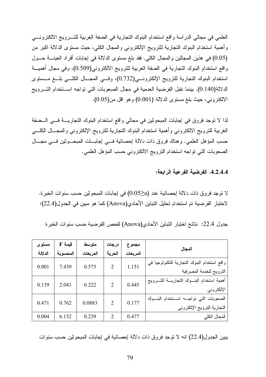العلمي في مجالي الدراسة واقع استخدام البنوك التجارية في الضفة الغربية للتسرويج الالكترونسي وأهمية استخدام البنوك التجارية للترويج الإلكتروني والمجال الكلي، حيث مستوى الدلالة اكبر من (0.05) في هذين المجالين والمجال الكلي. فقد بلغ مستوى الدلالة في إجابات أفراد العينــــة حـــول و اقع استخدام البنوك التجارية في الضفة الغربية للترويج الالكتروني(0.509)، وفي مجال أهميـــة استخدام البنوك النجارية للنرويج الإلكترونسي(0.732)، وفسي المجسال الكلسي بلسغ مسستوى الدلالة(0.140). بينما نقبل الفرضية العدمية في مجال الصعوبات التي تواجه استخدام التسرويج الالكتروني، حيث بلغ مستوى الدلالة (0.001) وهو اقل من(0.05).

لذا لا نوجد فروق في إجابات المبحوثين في مجالي واقع استخدام البنوك التجاريــــة فــــي الـــضفة الغربية للترويج الالكتروني وأهمية استخدام البنوك التجارية للترويج الإلكتروني والمجـــال الكلــــي حسب المؤهل العلمي. وهناك فروق ذات دلالة إحصائية فسي إجابـــات المبحـــوثين فــــى مجـــال الصعوبات التي نواجه استخدام النرويج الالكتروني حسب المؤهل العلمي.

4.2.4.4. الفرضية الفرعية الرابعة:

لا توجد فروق ذات دلالة إحصائية عند (0.05⁄2a) في إجابات المبحوثين حسب سنوات الخبرة. لاختبار الفرضية تم استخدام تحليل التباين الأحادي(Anova) كما هو مبين في الجدول(22.4):

جدول 22.4: نتائج اختبار التباين الأحادي(Anova) لفحص الفرضية حسب سنوات الخبر ة

| مستوى   | F قيمة   | متوسط    | درجات                       | مجموع    |                                             |
|---------|----------|----------|-----------------------------|----------|---------------------------------------------|
| الدلالة | المحسوبة | المربعات | الحرية                      | المربعات | المجال                                      |
| 0.001   | 7.439    | 0.575    | $\overline{2}$              | 1.151    | واقع استخدام البنوك التجارية للتكنولوجيا في |
|         |          |          |                             |          | الترويج للخدمة المصرفية                     |
| 0.139   | 2.041    | 0.222    | $\overline{2}$              | 0.445    | أهمية استخدام البنسوك التجاريسة للتسرويج    |
|         |          |          |                             |          | الإلكتروني                                  |
| 0.471   | 0.762    | 0.0883   | 2                           | 0.177    | الصعوبات التى تواجسه استخدام البنسوك        |
|         |          |          |                             |          | التجارية للترويج الإلكتروني                 |
| 0.004   | 6.152    | 0.239    | $\mathcal{D}_{\mathcal{L}}$ | 0.477    | المجال الكلي                                |

يبين الجدول(22.4) انه لا توجد فروق ذات دلالة إحصائية في إجابات المبحوثين حسب سنوات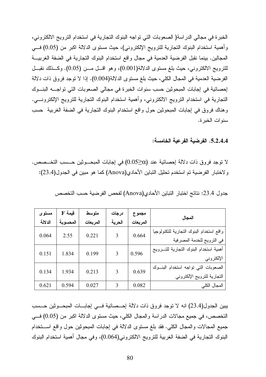الخبر ة في مجالي الدر اسة( الصعوبات التي تواجه البنوك التجارية في استخدام الترويج الالكتروني، وأهمية استخدام البنوك النجارية للنرويج الإلكتروني)، حيث مستوى الدلالة اكبر من (0.05) فـــي المجالين. بينما نقبل الفرضية العدمية في مجال واقع استخدام البنوك التجارية في الضفة الغربيـــة للنرويج الالكنرونـي، حيث بلـغ مسنو ي الدلالـة(0.001)، وهو اقـــل مــــن (0.05). وكـــذلك نقبـــل الفرضية العدمية في المجال الكلي، حيث بلغ مستوى الدلالة(0.004). إذا لا توجد فروق ذات دلالة إحصائية في إجابات المبحوثين حسب سنوات الخبرة في مجالي الصعوبات التي تواجـــه البنـــوك النجارية في استخدام النرويج الالكتروني، وأهمية استخدام البنوك النجارية للنرويج الإلكترونـــي. وهناك فروق في إجابات المبحوثين حول واقع استخدام البنوك التجارية في الضفة الغربية حسب سنو ات الخبر ة.

5.2.4.4. الفرضية الفرعية الخامسة:

لا توجد فروق ذات دلالة إحصائية عند  $\alpha(0.05 \geq \alpha)$  في إجابات المبحـــوثين حـــسب التخـــصص. و لاختبار الفرضية تم استخدم تحليل التباين الأحادي(Anova) كما هو مبين في الجدول(23.4):

| مستوى   | Eقيمة    | متوسط    | درجات  | مجموع    |                                          |
|---------|----------|----------|--------|----------|------------------------------------------|
| الدلالة | المحسوبة | المربعات | الحرية | المربعات | المجال                                   |
| 0.064   | 2.55     | 0.221    | 3      | 0.664    | واقع استخدام البنوك النجارية للنكنولوجيا |
|         |          |          |        |          | في النرويج للخدمة المصرفية               |
| 0.151   | 1.834    | 0.199    | 3      | 0.596    | أهمية استخدام البنوك التجارية للتسرويج   |
|         |          |          |        |          | الإلكتروني                               |
| 0.134   | 1.934    | 0.213    | 3      | 0.639    | الصعوبات التى نواجه استخدام البنوك       |
|         |          |          |        |          | التجارية للترويج الإلكتروني              |
| 0.621   | 0.594    | 0.027    | 3      | 0.082    | المجال الكلي                             |

جدول 23.4: نتائج اختبار النباين الأحادي(Anova) لفحص الفرضية حسب التخصص

يبين الجدول(23.4) انه لا نوجد فروق ذات دلالة إحـــصائية فـــي إجابــــات المبحــــوثين حــــسب التخصص، في جميع مجالات الدراسة والمجال الكلي، حيث مستوى الدلالة اكبر من (0.05) فـــي جميع المجالات والمجال الكلي. فقد بلغ مستوى الدلالة في إجابات المبحوثين حول واقع اســـتخدام البنوك النجارية في الضفة الغربية للترويج الالكتروني(0.064)، وفي مجال أهمية استخدام البنوك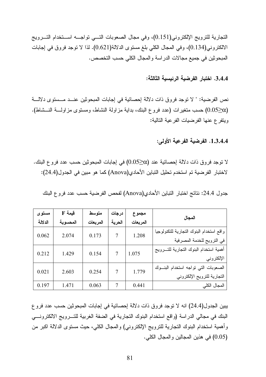النجارية للنرويج الإلكتروني(0.151)، وفي مجال الصعوبات النسي نواجـــه اســـنخدام النــــرويج الالكتروني(0.134)، وفي المجال الكلي بلغ مستوى الدلالة(0.621). لذا لا نوجد فروق في إجابات المبحوثين في جميع مجالات الدر اسة و المجال الكلي حسب التخصص.

3.4.4. اختبار الفرضية الرئيسية الثالثة:

نص الفرضية: " لا توجد فروق ذات دلالة إحصائية في إجابات المبحوثين عنــد مــستوى دلالـــة (0.05 $\geq$ 0) حسب متغيرات (عدد فروع البنك، بداية مزاولة النشاط، ومستوى مزاولــــة النـــشاط). وبنفر ع عنها الفر ضبات الفر عبة التالية:

1.3.4.4. الفرضية الفرعية الأولى:

لا توجد فروق ذات دلالة إحصائية عند (0.05 $\geq$ 0) في إجابات المبحوثين حسب عدد فروع البنك. لاختبار الفرضية تم استخدم تحليل التباين الأحادي(Anova) كما هو مبين في الجدول(24.4):

| جدول 24.4: نتائج اختبار التباين الأحادي(Anova) لفحص الفرضية حسب عدد فروع البنك |  |  |  |
|--------------------------------------------------------------------------------|--|--|--|
|--------------------------------------------------------------------------------|--|--|--|

| مستوى   | قيمة F   | متوسط    | درجات  | مجموع    |                                          |
|---------|----------|----------|--------|----------|------------------------------------------|
| الدلالة | المحسوية | المربعات | الحرية | المربعات | المجال                                   |
| 0.062   | 2.074    | 0.173    | 7      | 1.208    | واقع استخدام البنوك النجارية للتكنولوجيا |
|         |          |          |        |          | في الترويج للخدمة المصرفية               |
| 0.212   | 1.429    | 0.154    | 7      | 1.075    | أهمية استخدام البنوك التجارية للتسرويج   |
|         |          |          |        |          | الإلكتروني                               |
| 0.021   | 2.603    | 0.254    | 7      | 1.779    | الصعوبات التى نواجه استخدام البنوك       |
|         |          |          |        |          | التجارية للترويج الإلكتروني              |
| 0.197   | 1.471    | 0.063    | 7      | 0.441    | المجال الكلي                             |

يبين الجدول(24.4) انه لا توجد فروق ذات دلالة إحصائية في إجابات المبحوثين حسب عدد فروع البنك في مجالي الدراسة (واقع استخدام البنوك النجارية في الضفة الغربية للتـــرويج الالكترونــــى وأهمية استخدام البنوك النجارية للنرويج الإلكتروني) والمحال الكلي، حيث مستوى الدلالة اكبر من (0.05) في هذين المجالين والمجال الكلي.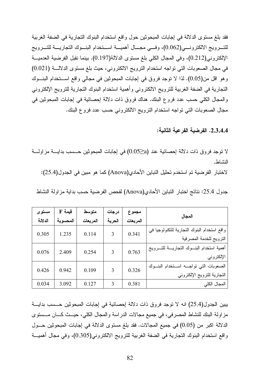فقد بلغ مستوى الدلالة في إجابات المبحوثين حول واقع استخدام البنوك التجارية في الضفة الغربية للتسر ويج الالكتر ونسى(0.062)، وفسى مجسال أهميسة اسستخدام البنسوك التجاريسة للتسر ويج الإلكتروني(0.212)، وفي المجال الكلي بلغ مستوى الدلالة(0.197). بينما نقبل الفرضية العدميــة في مجال الصعوبات التي تواجه استخدام الترويج الالكتروني، حيث بلغ مستوى الدلالة (0.021) وهو اقل من(0.05). لذا لا توجد فروق في إجابات المبحوثين في مجالي واقع استخدام البنوك التجارية في الضفة الغربية للترويج الالكتروني وأهمية استخدام البنوك التجارية للترويج الإلكتروني والمجال الكلَّى حسب عدد فروع البنك. هناك فروق ذات دلالة إحصائية في إجابات المبحوثين في مجال الصعوبات التي نواجه استخدام النرويج الالكتروني حسب عدد فروع البنك.

2.3.4.4. الفرضبة الفرعبة الثانبة:

لا نوجد فروق ذات دلالة إحصائية عند (0.05⁄2a) في إجابات المبحوثين حـــسب بدايــــة مزاولــــة النشاط.

لاختبار الفرضية تم استخدم تحليل التباين الأحادي(Anova) كما هو مبين في الجدول(25.4):

| جدول 25.4: نتائج اختبار النتباين الأحادي(Anova) لفحص الفرضية حسب بداية مزاولة النشاط |  |  |
|--------------------------------------------------------------------------------------|--|--|
|                                                                                      |  |  |

| مستوى   | قيمة F   | متوسط    | درجات  | مجموع    |                                             |
|---------|----------|----------|--------|----------|---------------------------------------------|
| الدلالة | المحسوبة | المربعات | الحرية | المريعات | المجال                                      |
| 0.305   | 1.235    | 0.114    | 3      | 0.341    | واقع استخدام البنوك التجارية للتكنولوجيا في |
|         |          |          |        |          | الترويج للخدمة المصرفية                     |
| 0.076   | 2.409    | 0.254    | 3      | 0.763    | أهمية استخدام البنسوك النجاريسة للنسرويج    |
|         |          |          |        |          | الإلكتروني                                  |
| 0.426   | 0.942    | 0.109    | 3      | 0.326    | الصعوبات التى نواجــه اســتخدام البنــوك    |
|         |          |          |        |          | التجارية للترويج الإلكتروني                 |
| 0.034   | 3.092    | 0.127    | 3      | 0.381    | المجال الكلي                                |

يبين الجدول(25.4) انه لا توجد فروق ذات دلالة إحصائية في إجابات المبحوثين حــسب بدايـــة مزاولة البنك للنشاط المصرفي، في جميع مجالات الدراسة والمجال الكلي، حيـــث كـــان مـــستوى الدلالة اكبر من (0.05) في جميع المجالات. فقد بلغ مستوى الدلالة في إجابات المبحوثين حــول و اقع استخدام البنوك التجارية في الضفة الغربية للترويج الالكتروني(0.305)، وفي مجال أهميـــة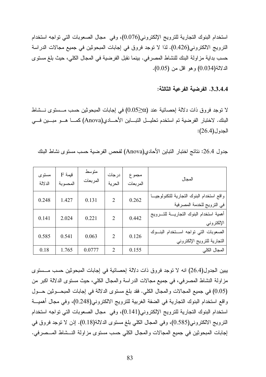استخدام البنوك التجارية للترويج الإلكتروني(0.076)، وفي مجال الصعوبات التي تواجه استخدام التزرويج الالكتزروني(0.426). لذا لا توجد فروق في إجابات المبحوثين في جميع مجالات الدراسة حسب بداية مز اولة البنك للنشاط المصرفي. بينما نقبل الفرضية في المجال الكلي، حيث بلغ مستوى الدلالة(0.034) وهو اقل من (0.05).

3.3.4.4. الفرضية الفرعية الثالثة:

لا توجد فروق ذات دلالة اِحصائية عند (0.05 $\geq$ 0) في اِجابات المبحوثين حسب مـــستوى نـــشاط البنك. لاختبار الفرضية تم استخدم تحليــل التبـــاين الأحــــادي(Anova) كمـــا هـــو مبـــين فــــي الجدول (26.4):

| المجال                                                                 | مجموع<br>المر بعات | درجات<br>الحرية | متوسط<br>المربعات | $F$ قيمة<br>المحسو بة | مستوى<br>الدلالة |
|------------------------------------------------------------------------|--------------------|-----------------|-------------------|-----------------------|------------------|
| واقع استخدام البنوك النجارية للنكنولوجيـ<br>في النرويج للخدمة المصرفية | 0.262              | $\mathcal{L}$   | 0.131             | 1.427                 | 0.248            |
| أهمية استخدام البنوك النجاريسة للتسرويج<br>الإلكتروني                  | 0.442              | 2               | 0.221             | 2.024                 | 0.141            |
| الصعوبات التى نواجه استخدام البنسوك<br>التجارية للترويج الإلكتروني     | 0.126              | 2               | 0.063             | 0.541                 | 0.585            |
| المجال الكلى                                                           | 0.155              | $\overline{2}$  | 0.0777            | 1.765                 | 0.18             |

جدول 26.4: نتائج اختبار التباين الأحادي(Anova) لفحص الفرضية حسب مستوى نشاط البنك

يبين الجدول(26.4) انه لا توجد فروق ذات دلالة إحصائية في إجابات المبحوثين حسب مــستوى مز اولة النشاط المصر في، في جميع مجالات الدر اسة والمجال الكلي، حيث مستوى الدلالة اكبر من (0.05) في جميع المجالات والمجال الكلي. فقد بلغ مستوى الدلالة في إجابات المبحـوثين حـول واقع استخدام البنوك التجارية في الضفة الغربية للترويج الالكتروني(0.248)، وفي مجال أهميـــة استخدام البنوك التجارية للترويج الإلكتروني(0.141)، وفي مجال الصعوبات التي تواجه استخدام النزويج الالكتروني(0.585)، وفي المجال الكلي بلغ مستوى الدلالة(0.18). إذن لا نوجد فروق في إجابات المبحوثين في جميع المجالات والمجال الكلي حسب مستوى مزاولة النـــشاط المـــصرفي.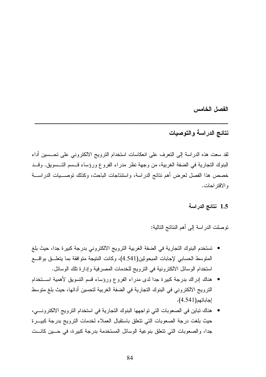الفصل الخامس

# نتائج الدراسة والتوصيات

لقد سعت هذه الدراسة إلى النعرف على انعكاسات استخدام النرويج الالكتروني على تحــسين أداء البنوك التجارية في الضفة الغربية، من وجهة نظر مدراء الفروع ورؤساء قــسم التــسويق. وقــد خصص هذا الفصل لعرض أهم نتائج الدراسة، واستنتاجات الباحث، وكذلك نوصـــيات الدراســـة و الاقتر احات.

### 1.5 نتائج الدراسة

نوصلت الدراسة إلى أهم النتائج التالية:

- تستخدم البنوك التجارية في الضفة الغربية الترويج الالكتروني بدرجة كبيرة جدا، حيث بلغ المنوسط الحسابي لإجابات المبحوثين(4.541)، وكانت النتيجة متوافقة بما يتعلَّــق بواقـــع استخدام الوسائل الالكترونية في الترويج للخدمات المصرفية وإدارة تلك الوسائل.
- هناك إدراك بدرجة كبيرة جدا لدى مدراء الفروع ورؤساء قسم النسويق لأهمية استخدام النزويج الالكتروني في البنوك التجارية في الضفة الغربية لتحسين أدائها، حيث بلغ متوسط إجاباتهم(4.541).
- هناك نباين في الصعوبات التي نواجهها البنوك النجارية في استخدام النرويج الالكترونـــي، حيث بلغت درجة الصعوبات التبي نتعلق باستقبال العملاء لخدمات النرويج بدرجة كبيـــرة جدا، والصعوبات التي تتعلَّق بنوعية الوسائل المستخدمة بدرجة كبيرة، في حـــين كانـــت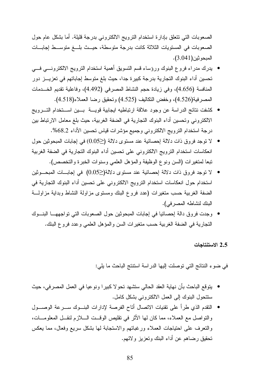الصعوبات التي نتعلق بإدارة استخدام النرويج الالكتروني بدرجة قليلة. أما بشكل عام حول الصعوبات في المستويات الثلاثة كانت بدرجة متوسطة، حيــث بلـــغ متوســـط إجابـــات المبحو ثبن (3.041).

- يدرك مدراء فروع البنوك ورؤساء قسم التسويق أهمية استخدام الترويج الالكترونسي فسي تحسين أداء البنوك التجارية بدرجة كبيرة جدا، حيث بلغ متوسط إجاباتهم في تعزيـــز دور المنافسة (4.656)، وفي زيادة حجم النشاط المصرفي (4.492)، وفاعلية تقديم الخـــدمات المصرفية(4.526)، وخفض النكاليف (4.525) وتحقيق رضا العملاء(4.518).
- كشفت نتائج الدراسة عن وجود علاقة ارتباطيه ايجابية قويسة بسين اسستخدام التسرويج الالكتروني وتحسين أداء البنوك التجارية في الضفة الغربية، حيث بلغ معامل الارتباط بين درجة استخدام النزويج الالكتروني وجميع مؤشرات قياس تحسين الأداء 68.2%.
- لا توجد فروق ذات دلالة إحصائية عند مستوى دلالة (<0.05) في إجابات المبحوثين حول انعكاسات استخدام النزويج الالكتروني على تحسين أداء البنوك التجارية في الضفة الغربية نبعا لمتغيرات (السن ونوع الوظيفة والمؤهل العلمي وسنوات الخبرة والتخصص).
- لا نوجد فروق ذات دلالة إحصائية عند مستوى دلالة(≤0.05) في إجابــات المبحـــوثين استخدام حول انعكاسات استخدام النرويج الالكتروني على تحسين أداء البنوك التجارية في الضفة الغربية حسب متغيرات (عدد فروع البنك ومستوى مزاولة النشاط وبداية مزاولـــة البنك لنشاطه المصر في).
- وجدت فروق دالة إحصائيا في إجابات المبحوثين حول الصعوبات التي تواجههـــا البنـــوك التجارية في الضفة الغربية حسب متغيرات السن والمؤهل العلمي وعدد فروع البنك.

2.5 الاستنتاحات

في ضوء النتائج التي نوصلت إليها الدراسة استنتج الباحث ما يلي:

- يتوقع الباحث بأن نهاية العقد الحالي ستشهد تحولا كبيرا ونوعيا في العمل المصرفي، حيث ستتحول البنوك إلى العمل الالكتروني بشكل كامل.
- التقدم الذي طرٍ أ على تقنيات الاتصال أتاح الفرصة لإدارات البنسوك سبرعة الوصبول والنواصل مع العملاء، مما كان لها الأثر في نقليص الوقــت الــــلازم لنقـــل المعلومـــات، والنعرف على احتياجات العملاء ورغباتهم والاستجابة لها بشكل سريع وفعال، مما يعكس تحقيق رضاهم عن أداء البنك وتعزيز ولائهم.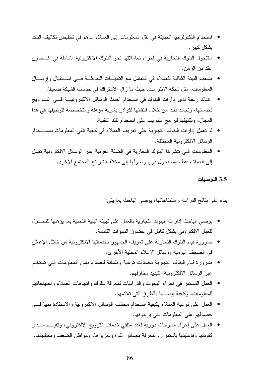- استخدام التكنولوجيا الحديثة في نقل المعلومات إلى العملاء ساهم في تخفيض تكاليف البنك ىشكل كىبر .
- سنتحول البنوك النجارية في إجراء تعاملاتها نحو البنوك الالكترونية الشاملة في غــضون عقد من الزمن.
- ضعف البيئة الثقافية للعملاء في التعامل مع التقنيــات الحديثــة فـــي اســـتقبال وإرســـال المعلومات، مثل شبكة الانتر نت، حيث ما زال الاشتراك في خدمات الشبكة ضعيفا.
- هناك رغبة لدى إدارات البنوك في استخدام احدث الوسائل الالكترونيـــة فـــي التـــرويج لخدماتها، وتجسد ذلك من خلال انتقائها لكوادر بشرية مؤهلة ومتخصصة لتوظيفها في هذا المجال، و تكثيفها لبر امج الندر بب على استخدام تلك النقنية.
- لم تعمل إدارات البنوك التجارية على تعريف العملاء في كيفية تلقى المعلومات باستخدام الوسائل الالكتر ونبة المختلفة.
- المعلومات التي نتشرها البنوك التجارية في الضفة الغربية عبر الوسائل الالكترونية تصل إلى العملاء فقط، مما يحول دون وصولها إلى مختلف شرائح المجتمع الأخرى.

3.5 التوصيات

بناء على نتائج الدراسة واستنتاجاتها، بوصبي الباحث بما بلي:

- يوصبي الباحث إدار ات البنوك التجارية بالعمل على تهيئة البنية التحتية بما يؤهلها للتحــول للعمل الالكتروني بشكل كامل في غضون السنوات القادمة.
- ضرورة قيام البنوك النجارية على نعريف الجمهور بخدماتها الالكترونية من خلال الإعلان في الصحف اليومية ووسائل الإعلام المحلية الأخرى.
- ضرورة قيام البنوك النجارية بحملات نوعية وطمأنة للعملاء بأمن المعلومات التي نستخدم عبر الوسائل الالكتر ونية، لتبديد مخاوفهم.
- العمل المستمر في إجراء البحوث والدراسات لمعرفة سلوك واتجاهات العملاء واحتياجاتهم للمعلومات، وكيفية إيصالها بالطرق التي تلائمهم.
- العمل على نوعية العملاء بكيفية استخدام مختلف الوسائل الالكترونية والاستفادة منها فسى حصولهم على المعلومات التي يريدونها.
- العمل على إجراء مسوحات دورية لعدد منلقى خدمات النرويج الالكنروني، ونقيـــبم مـــدى كفاءتها وفاعليتها باستمرار، لمعرفة مصادر القوة وتعزيزها، ومواطن الضعف ومعالجتها.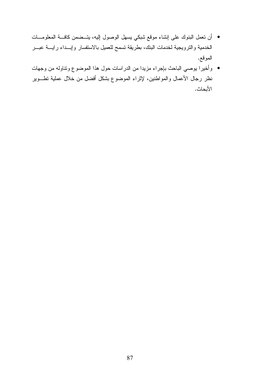- أن نعمل البنوك على إنشاء موقع شبكي يسهل الوصول إليه، يتــضمن كافـــة المعلومـــات الخدمية والنزويجية لخدمات البنك، بطريقة تسمح للعميل بالاستفسار وإبـــداء رايــــة عبــــر الموقع.
- وأخيرًا يوصبي الباحث بإجراء مزيدًا من الدراسات حول هذا الموضوع ونتاوله من وجهات نظر رجال الأعمال والمواطنين، لإثراء الموضوع بشكل أفضل من خلال عملية نطــوير الأبحاث.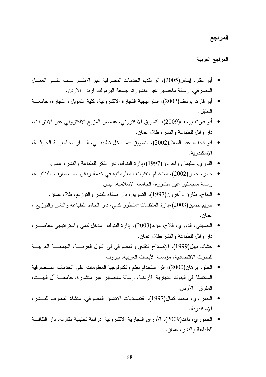# المراجع

#### المراجع العربية

- أبو عكر، إيناس(2005)، اثر تقديم الخدمات المصرفية عبر الانتـــر نــت علـــى العمـــل المصرفي، رسالة ماجستير غير منشورة، جامعة اليرموك، اربد– الاردن.
- أبو فارة، يوسف(2002)، إستراتيجية النجارة الالكترونية، كلية التمويل والنجارة، جامعـــة الخلبل.
- أبو فارة، يوسف(2009)، التسويق الالكتروني، عناصر المزيج الالكتروني عبر الانتر نت، دار وائل للطباعة والنشر، ط2، عمان.
- أبو قحف، عبد السلام(2002)، التسويق حمـــدخل نطبيقـــي، الـــدار الجامعيــــة الحديثـــة، الإسكندرية.
	- أللوزي، سليمان وآخرون(1997)،إدارة البنوك، دار الفكر للطباعة والنشر، عمان.
- جابر ، حسن(2002)، استخدام التقنيات المعلوماتية في خدمة زبائن المــصـارف اللبنانيـــة، رسالة ماجستير غير منشورة، الجامعة الإسلامية، لبنان.
	- الحاج، طارق وأخرون(1997)، التسويق، دار صفاء للنشر والنوزيع، ط2، عمان.
- حريم،حسين(2003)،إدارة المنظمات–منظور كمبي، دار الحامد للطباعة والنشر والنوزيع ، عمان.
- الحسيني، الدوري، فلاح، مؤيد(2003)، إدارة البنوك− مدخل كمي واستراتيجي معاصــــر، دار وائل للطباعة والنشر ،ط2، عمان.
- حَشَاد، نبيل(1999)، الإصلاح النقدي والمصرفي في الدول العربيـــة، الجمعيـــة العربيـــة للبحوث الاقتصادية، مؤسسة الأبحاث العربية، بيروت.
- الحلو، برهان(2000)، اثر استخدام نظم وتكنولوجيا المعلومات على الخدمات المـــصرفية المتكاملة في البنوك النجارية الأردنية، رسالة ماجستير غير منشورة، جامعــــة أل البيـــت، المفر ق− الأر دن.
- الحمزاوي، محمد كمال(1997)، اقتصاديات الائتمان المصرفي، منشاة المعارف للنـــشر، الإسكندرية.
- الحموري، ناهد(2009)، الأوراق التجارية الالكترونية–دراسة تحليلية مقارنة، دار الثقافــة للطباعة والنشر، عمان.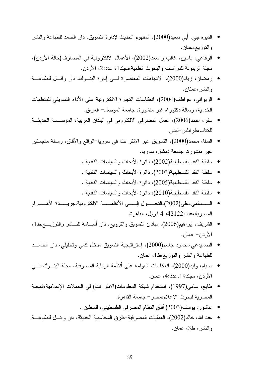- الديوه جي، أبـي سعيد(2000)، المفهوم الحديث لإدارة النسويق، دار الحامد للطباعة والنشر و التوزيع،عمان.
- الرفاعي، ياسين، غالب و سعد(2002)، الأعمال الالكترونية في المصارف(حالة الأردن)، مجلة الزيتونة للدراسات والبحوث العلمية،مجلد1، عدد:2، الأردن.
- رمضان، زياد(2000)، الانجاهات المعاصرة فسي إدارة البنـــوك، دار وائـــل للطباعـــة و النشر ،عمتان.
- الزيواني، عواطف(2004)، انعكاسات النجارة الالكترونية على الأداء التسويقي للمنظمات الخدمية، رسالة دكتوراه غير منشورة، جامعة الموصل– العراق.
- سفر، احمد(2006)، العمل المصرفي الالكتروني في البلدان العربية، المؤســسة الحديثــة للكتاب،طر ابلس-لبنان.
- السقا، محمد(2000)، التسويق عبر الانتر نت في سوريا–الواقع والأفاق، رسالة ماجستير غیر منشورة، جامعة دمشق، سوریا.
	- سلطة النقد الفلسطينية(2002)، دائرة الأبحاث والسياسات النقدية .
	- سلطة النقد الفلسطينية(2003)، دائرة الأبحاث والسياسات النقدية .
	- سلطة النقد الفلسطينية(2005)، دائرة الأبحاث والسياسات النقدية .
	- سلطة النقد الفلسطينية(2010)، دائرة الأبحاث والسياسات النقدية .
- )CC8 =CC@- -CCW 8 7CC9 2CC1 @(2002)5@
CC المصرية،عدد:42122، 4 ابريل، القاهرة.
- الشريف، إبراهيم(2006)، مبادئ النسويق والنرويج، دار أســـامة للنـــشر والنوزيــــع،ط1، الأر دن– عمان.
- الصميدعي،محمود جاسم(2000)، إستراتيجية التسويق مدخل كمي وتحليلي، دار الحامــد للطباعة والنشر والنوزيع،ط1، عمان.
- صيام، وليد(2000)، انعكاسات العولمة على أنظمة الرقابة المصرفية، مجلة البنـــوك فـــي الأردن، مجلد19،عدد:4، عمان.
- طابع، سامي(1997)، استخدام شبكة المعلومات(الانتر نت) في الحملات الإعلامية،المجلة المصرية لبحوث الإعلام،مصر – جامعة القاهرة.
	- عاشور ، يوسف(2003) أفاق النظام المصرفي الفلسطيني، فلسطين .
- عبد الله، خالد(2002)، العمليات المصرفية–طرق المحاسبية الحديثة، دار وائـــل للطباعـــة والنشر ، ط3، عمان.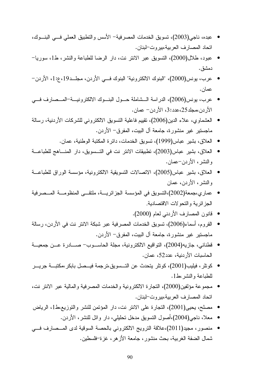- عبده، ناجي(2003)، تسويق الخدمات المصرفية− الأسس والتطبيق العملي فـــي البنـــوك، اتحاد المصارف العربية،بيروت-لبنان.
- عبود، طلال(2000)، التسويق عبر الانتر نت، دار الرضا للطباعة والنشر، ط1، سوريا− دمشق.
- $\bullet$  عرب، يونس(2000)، "البنوك الالكترونية" البنوك فــي الأردن، مجلــد19،ع:1، الأردن  $\cdot$ عمان
- عرب، يونس(2006)، الدراسة الـــشاملة حـــول البنـــوك الالكترونيـــة–المـــصارف فـــي الأردن،مجلد25،عدد:3، الأردن– عمان.
- العشماوي، علاء الدين(2006)، نقييم فاعلية النسويق الالكتروني للشركات الأردنية، رسالة ماجستير غير منشورة، جامعة أل البيت، المفرق– الأردن.
	- العلاق، بشير عباس(1999)، تسويق الخدمات، دائرة المكتبة الوطنية، عمان.
- العلاق، بشير عباس(2003)، تطبيقات الانتر نت في التــسويق، دار المنـــاهج للطباعـــة والنشر، الأردن–عمان.
- العلاق، بشير عباس(2005)، الاتصالات النسويقية الالكترونية، مؤسسة الوراق للطباعــة و النشر ، الأر دن، عمان
- عماري،جمعة(2002)،التسويق في المؤسسة الجزائريـــة، ملتقـــي المنظومـــة المـــصرفية الجز ائرية والنحولات الاقتصادية.
	- قانون المصارف الأردني لعام (2000).
- القروم، أسماء(2006)، تسويق الخدمات المصرفية عبر شبكة الانتر نت في الأردن، رسالة ماجستير غير منشورة، جامعة أل الببيت، المفرق– الأردن.
- قطناني، جازيه(2004)، التواقيع الالكترونية، مجلة الحاســوب– صـــادرة عـــن جمعيـــة الحاسبات الأردنية، عدد52، عمان.
- كونلر، فيليب(2001)، كونلر يتحدث عن التـــسويق،ترجمة فيـــصل بابكر ،مكتبـــة جريـــر للطباعة والنشر ،ط1.
- مجموعة مؤلفين(2000)، النجارة الالكترونية والخدمات المصرفية والمالية عبر الانتر نت، اتحاد المصارف العربية،بيروت-لبنان.
- مصلح، يحيى(2001)، التجارة على الانتر نت، دار المؤتمن للنشر والتوزيع،ط1، الرياض
	- معلا، ناجى(2004)،أصول النسويق مدخل نحليلي، دار وائل للنشر ، الأردن.
- منصور، مجيد(2011)،علاقة النرويج الالكتروني بالحصة السوقية لدى المــصارف فـــي نسمال الضفة الغربية، بحث منشور، جامعة الأزهر، غزة–فلسطين.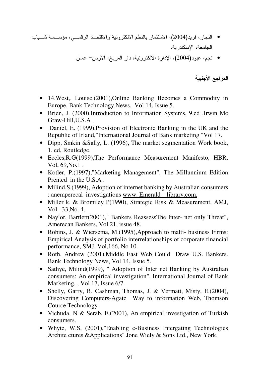- النجار ، فريد(2004)، الاستثمار بالنظم الالكترونية والاقتصاد الرقصــي، مؤســـسة شـــباب الجامعة، الإسكندرية.
	- $\bullet$  نجم، عبود(2004)، الإدارة الالكترونية، دار المريخ، الأردن– عمان.

المراجع الأجنبية

- 14. West,. Louise. (2001), Online Banking Becomes a Commodity in Europe, Bank Technology News, Vol 14, Issue 5.
- Brien, J. (2000),Introduction to Information Systems, 9,ed ,Irwin Mc Graw-Hill,U.S.A .
- Daniel, E. (1999), Provision of Electronic Banking in the UK and the Republic of Irland,"International Journal of Bank marketing "Vol 17.
- Dipp, Smkin &Sally, L. (1996), The market segmentation Work book, 1. ed, Routledge.
- Eccles,R.G(1999),The Performance Measurement Manifesto, HBR, Vol, 69,No.1 .
- Kotler, P.(1997),"Marketing Management", The Millunnium Edition Prented in the U.S.A .
- Milind, S. (1999), Adoption of internet banking by Australian consumers : anemperecal investigations www. Emerald – library.com.
- Miller k. & Bromiley P(1990), Strategic Risk & Measurement, AMJ, Vol 33,No. 4.
- Naylor, Bartlett(2001)," Bankers ReassessThe Inter- net only Threat", Amerecan Bankers, Vol 21, issue 48.
- Robins, J. & Wiersema, M.(1995), Approach to malti- business Firms: Empirical Analysis of portfolio interrelationships of corporate financial performance, SMJ, Vol,166, No 10.
- Roth, Andrew (2001),Middle East Web Could Draw U.S. Bankers. Bank Technology News, Vol 14, Issue 5.
- Sathye, Milind(1999), " Adoption of Inter net Banking by Australian consumers: An empirical investigation", International Journal of Bank Marketing, , Vol 17, Issue 6/7.
- Shelly, Garry, B. Cashman, Thomas, J. & Vermatt, Misty, E.(2004), Discovering Computers-Agate Way to information Web, Thomson Cource Technology .
- Vichuda, N & Serab, E.(2001), An empirical investigation of Turkish consumers.
- Whyte, W.S. (2001), "Enabling e-Business Intergating Technologies Archite ctures &Applications" Jone Wiely & Sons Ltd., New York.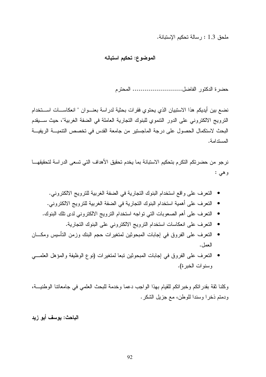ملحق 1.3 : رسالة تحكيم الإستبانة.

## الموضوع: تحكيم استبانه

حضرة الدكتور الفاضل.......................... المحترم

نضم بين أيديكم هذا الاستبيان الذي يحتوي فقرات بحثية لدراسة بعنـــوان " انعكاســـات اســـتخدام الترويج الالكتروني على الدور التتموي للبنوك التجارية العاملة في الضفة الغربية"، حيث ســـبقدم البحث لاستكمال الحصول على درجة الماجستير من جامعة القدس في تخصص التتميــــة الريفيـــة المستدامة.

نرجو من حضرتكم التكرم بتحكيم الاستبانة بما يخدم تحقيق الأهداف التي تسعى الدراسة لتحقيقهـــا وهي :

- النعرف على واقع استخدام البنوك التجارية في الضفة الغربية للترويج الالكتروني.
- التعرف على أهمية استخدام البنوك التجارية في الضفة الغربية للترويج الالكتروني.
- النعرف على أهم الصعوبات التي نواجه استخدام النرويج الالكتروني لدى نلك البنوك.
	- التعرف على انعكاسات استخدام الترويج الالكتروني على البنوك التجارية.
- النعرف على الفروق في إجابات المبحوثين لمنغيرات حجم البنك وزمن النأسيس ومكـــان العمل.
- النعرف على الفروق في إجابات المبحوثين نبعا لمنغيرات (نوع الوظيفة والمؤهل العلمـــي وسنوات الخبرة).

وكلنا ثقة بقدراتكم وخبراتكم للقيام بهذا الواجب دعما وخدمة للبحث العلمي في جامعاتنا الوطنيـــة، ودمتم ذخرا وسندا للوطن، مع جزيل الشكر.

الباحث: يوسف أبو زيد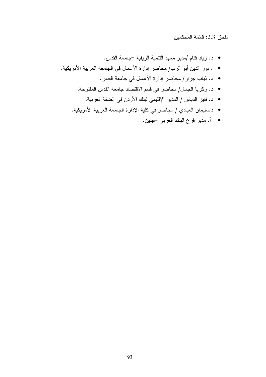ملحق 2.3: قائمة المحكمين

- د. زياد قنام /مدير معهد النتمية الريفية -جامعة القدس.
- . نور الدين أبو الرب/ محاضر إدارة الأعمال في الجامعة العربية الأمريكية.
	- د. ذياب جرار/ محاضر إدارة الأعمال في جامعة القدس.
	- د. زكريا الجمال/ محاضر في قسم الاقتصاد جامعة القدس المفتوحة.
		- د. فايز الدباس / المدير الإقليمي لبنك الأردن في الضفة الغربية.
	- د.سليمان العبادي / محاضر في كلية الإدارة الجامعة العربية الأمريكية.
		- أ. مدير فر ع البنك العربي –جنين.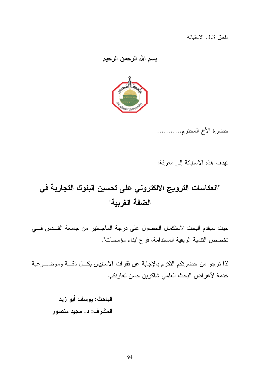#### ملحق 3.3. الاستبانة

بسم الله الرحمن الرحيم



حضرة الأخ المحترم...........

تهدف هذه الاستبانة إلى معرفة:

# "انعكاسات الترويج الالكتروني على تحسين البنوك التجارية في الضفة الغربية"

حيث سيقدم البحث لاستكمال الحصول على درجة الماجستير من جامعة القــدس فـــى تخصص التتمية الريفية المستدامة، فرع "بناء مؤسسات".

لذا نرجو من حضرتكم التكرم بالإجابة عن فقرات الاستبيان بكل دقسة وموضـــوعية خدمة لأغراض البحث العلمي شاكرين حسن تعاونكم.

الباحث: يوسف أبو زيد المشرف: د. مجيد منصور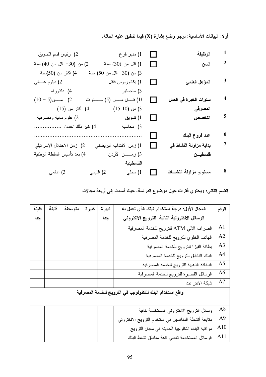أولا: البيانات الأساسية: نرجو وضع إشارة (X) فيما تنطبق عليه الحالة.

| 2) رئيس قسم التسويق<br>1) مدير فر ع                     | $\Box$ | الوظيفة                | $\mathbf{1}$            |
|---------------------------------------------------------|--------|------------------------|-------------------------|
| 2) من (30- اقل من 40) سنة<br>1) اقل من (30) سنة         | $\Box$ | السن                   | $\overline{2}$          |
| 4) أكثر من (50)سنة<br>3) من (30- اقل من 50) سنة         |        |                        |                         |
| 2) دبلوم عـــالي<br>1) بكالوريوس فاقل                   | $\Box$ | المؤهل العلمي          | 3                       |
| 4) دکتوراه<br>3) ماجستير                                |        |                        |                         |
| (1) قـــــل مــــــن (5) ســــــنوات                    | $\Box$ | سنوات الخبرة في العمل  | $\overline{\mathbf{4}}$ |
| 4) أكثر من (15)<br>3) من (10-15)                        |        | المصرفي                |                         |
| 1) تسويق<br>2) علوم مالية ومصرفية                       | $\Box$ | التخصص                 | 5                       |
| 4) غير ذلك "حدد":<br>3) محاسبة                          |        |                        |                         |
|                                                         | $\Box$ | عدد فروع البنك         | 6                       |
| 2) زمن الاحتلال الإسرائيلي<br>1) زمن الانتداب البريطاني | $\Box$ | بداية مزاولة النشاط في | $\overline{7}$          |
| 4) بعد نأسبس السلطة الوطنية<br>3) زمــــــن الأردن      |        | فلسطيـــن              |                         |
| الفلسطينية                                              |        |                        |                         |
| 3) عالمي<br>2) اقليمي<br>1) محلي                        | $\Box$ | مستوى مزاولة النشساط   | 8                       |

القسم الثاني: ويحتوي فقرات حول موضوع الدراسة، حيث قسمت إلى أربعة مجالات

| قليلة | قليلة | متوسطة | كبيرة | كبيرة | المجال الأول: درجة استخدام البنك الذي تعمل به             | الرقم          |
|-------|-------|--------|-------|-------|-----------------------------------------------------------|----------------|
| جدا   |       |        |       | جدا   | الوسائل الالكترونية التالية للترويج الالكتروني            |                |
|       |       |        |       |       | الصراف الآلي ATM للنرويج للخدمة المصرفية                  | A <sub>1</sub> |
|       |       |        |       |       | الهاتف الخلوي للترويج للخدمة المصرفية                     | A <sub>2</sub> |
|       |       |        |       |       | بطاقة الفيزا للترويج للخدمة المصرفية                      | A <sub>3</sub> |
|       |       |        |       |       | البنك الناطق للترويج للخدمة المصرفية                      | A <sub>4</sub> |
|       |       |        |       |       | البطاقة الذهبية للترويج للخدمة المصرفية                   | A <sub>5</sub> |
|       |       |        |       |       | الرسائل القصيرة للترويج للخدمة المصرفية                   | A <sub>6</sub> |
|       |       |        |       |       | شبكة الانتر نت                                            | A7             |
|       |       |        |       |       | واقع استخدام البنك للتكنولوجيا في الترويج للخدمة المصرفية |                |
|       |       |        |       |       |                                                           |                |
|       |       |        |       |       | وسائل النزويج الالكتروني المستخدمة كافية                  | A8             |
|       |       |        |       |       | منابعة أنشطة المنافسين في استخدام النزويج الالكتروني      | A <sup>9</sup> |
|       |       |        |       |       | مواكبة البنك النكلوجيا الحديثة في مجال النرويج            | A10            |
|       |       |        |       |       | الوسائل المستخدمة تغطى كافة مناطق نشاط البنك              | A11            |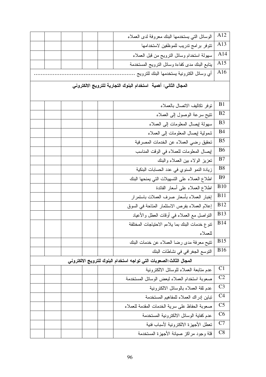|  | الوسائل التي يستخدمها البنك معروفة لدى العملاء                      | A12            |
|--|---------------------------------------------------------------------|----------------|
|  | نتوفر برامج ندريب للموظفين لاستخدامها                               | A13            |
|  | سهولة استخدام وسائل النزويج من قبل العملاء                          | A14            |
|  | بتابع البنك مدى كفاءة وسائل النرويج المستخدمة                       | A15            |
|  | أي وسائل الكترونية يستخدمها البنك للترويج .                         | A16            |
|  | المجال الثاني: أهمية  استخدام البنوك التجارية للترويج الالكتروني    |                |
|  | نوفر نكاليف الاتصال بالعملاء                                        | B <sub>1</sub> |
|  | نتيح سرعة الوصول إلىي العملاء                                       | B <sub>2</sub> |
|  | سهولة إيصال المعلومات إلىي العملاء                                  | B <sub>3</sub> |
|  | شمولية ليصال المعلومات إلىي العملاء                                 | <b>B4</b>      |
|  | تحقيق رضى العملاء عن الخدمات المصرفية                               | B <sub>5</sub> |
|  | إيصال المعلومات للعملاء في الوقت المناسب                            | B <sub>6</sub> |
|  | نعزيز الولاء ببين العملاء والبنك                                    | B7             |
|  | زيادة النمو السنوي في عدد الحسابات البنكية                          | B <sub>8</sub> |
|  | اطلاع العملاء على التسهيلات التي يمنحها البنك                       | <b>B</b> 9     |
|  | اطلاع العملاء على أسعار الفائدة                                     | <b>B10</b>     |
|  | إخبار العملاء بأسعار صرف العملات باستمرار                           | <b>B11</b>     |
|  | إعلام العملاء بفرص الاستثمار المتاحة في السوق                       | <b>B12</b>     |
|  | النواصل مع العملاء في أوقات العطل والأعياد                          | <b>B13</b>     |
|  | نتوع خدمات البنك بما يلاءم الاحتياجات المختلفة                      | <b>B14</b>     |
|  | للعملاء                                                             |                |
|  | نتيح معرفة مدى رضا العملاء عن خدمات البنك                           | <b>B15</b>     |
|  | النوسع الجغرافي في نشاطات البنك                                     | <b>B16</b>     |
|  | المجال الثالث:الصعوبات التي تواجه استخدام البنوك للترويج الالكتروني |                |
|  | عدم منابعة العملاء للوسائل الالكترونية                              | C <sub>1</sub> |
|  | صعوبة استخدام العملاء لبعض الوسائل المستخدمة                        | C <sub>2</sub> |
|  | عدم ثقة العملاء بالوسائل الالكترونية                                | C <sub>3</sub> |
|  | تباين إدراك العملاء للمفاهيم المستخدمة                              | C <sub>4</sub> |
|  | صعوبة الحفاظ على سرية الخدمات المقدمة للعملاء                       | C <sub>5</sub> |
|  | عدم كفاية الوسائل الالكترونية المستخدمة                             | C6             |
|  | تعطل الأجهزة الالكترونية لأسباب فنية                                | C7             |
|  | قلة وجود مراكز صيانة الأجهزة المستخدمة                              | C8             |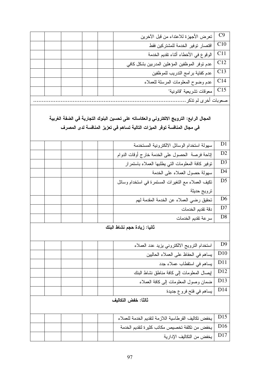|                     | تعرض الأجهزة للاعتداء من قبل الأخرين                                                                                                                                | C9              |  |
|---------------------|---------------------------------------------------------------------------------------------------------------------------------------------------------------------|-----------------|--|
|                     | اقتصار توفير الخدمة للمشتركين فقط                                                                                                                                   | C10             |  |
|                     | الوقوع في الأخطاء أثناء نقديم الخدمة                                                                                                                                | C <sub>11</sub> |  |
|                     | عدم نوفر الموظفين المؤهلين المدربين بشكل كافى                                                                                                                       | C12             |  |
|                     | عدم كفاية برامج التدريب للموظفين                                                                                                                                    | C13             |  |
|                     | عدم وضوح المعلومات المرسلة للعملاء                                                                                                                                  | C <sub>14</sub> |  |
|                     | معوقات تشريعية "قانونية"                                                                                                                                            | C15             |  |
|                     | صعوبات أخرى لم تذكر                                                                                                                                                 |                 |  |
|                     | المجال الرابع: الترويج الالكتروني وانعكاساته على تحسين البنوك التجارية في الضفة الغربية<br>في مجال المنافسة توفر الميزات التالية تساهم في تعزيز المنافسة لدى المصرف |                 |  |
|                     | سهولة استخدام الوسائل الالكترونية المستخدمة                                                                                                                         | D1              |  |
|                     | إتاحة فرصة الحصول على الخدمة خارج أوقات الدوام                                                                                                                      | D2              |  |
|                     | نوفير كافة المعلومات الني يطلبها العملاء باستمرار                                                                                                                   | D <sub>3</sub>  |  |
|                     | سهولة حصول العملاء على الخدمة                                                                                                                                       | D <sub>4</sub>  |  |
|                     | نكيف العملاء مع النغيرات المستمرة في استخدام وسائل                                                                                                                  | D <sub>5</sub>  |  |
|                     | ترويج حديثة                                                                                                                                                         |                 |  |
|                     | تحقيق رضي العملاء عن الخدمة المقدمة لهم                                                                                                                             | D <sub>6</sub>  |  |
|                     | دقة تقديم الخدمات                                                                                                                                                   | D7              |  |
|                     | سرعة تقديم الخدمات                                                                                                                                                  | D <sub>8</sub>  |  |
|                     | ثانيا: زيادة حجم نشاط البنك                                                                                                                                         | D <sub>9</sub>  |  |
|                     | استخدام النرويج الالكتروني يزيد عدد العملاء                                                                                                                         | D <sub>10</sub> |  |
|                     | يساهم في الحفاظ على العملاء الحاليين                                                                                                                                | D11             |  |
|                     | بساهم في استقطاب عملاء جدد                                                                                                                                          | D <sub>12</sub> |  |
|                     | إيصال المعلومات إلى كافة مناطق نشاط البنك                                                                                                                           | D13             |  |
|                     | ضمان وصول المعلومات إلى كافة العملاء                                                                                                                                | D14             |  |
|                     | يساهم في فتح فروع جديدة                                                                                                                                             |                 |  |
| ثالثا: خفض التكاليف |                                                                                                                                                                     |                 |  |
|                     | يخفض نكاليف القرطاسية اللازمة لتقديم الخدمة للعملاء                                                                                                                 | D15             |  |
|                     | يخفض من تكلفة تخصيص مكاتب كثيرة لتقديم الخدمة                                                                                                                       | D <sub>16</sub> |  |
|                     | يخفض من النكاليف الإدارية                                                                                                                                           | D17             |  |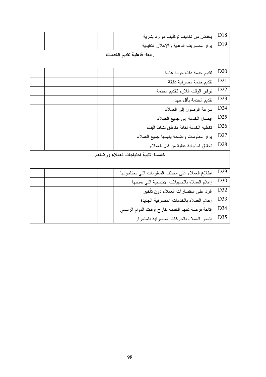| يخفض من نكاليف توظيف موارد بشرية                 | D18             |
|--------------------------------------------------|-----------------|
| بوفر مصاريف الدعاية والإعلان النقليدية           | D <sub>19</sub> |
| رابعا: فاعلية تقديم الخدمات                      |                 |
|                                                  |                 |
| تقديم خدمة ذات جودة عالية                        | D <sub>20</sub> |
| تقديم خدمة مصرفية دقيقة                          | D21             |
| نوفير الوقت اللازم لتقديم الخدمة                 | D22             |
| نقديم الخدمة بأقل جهد                            | D23             |
| سرعة الوصول إلى العملاء                          | D24             |
| إيصال الخدمة إلى جميع العملاء                    | D <sub>25</sub> |
| تغطية الخدمة لكافة مناطق نشاط البنك              | D <sub>26</sub> |
| بوفر معلومات واضحة يفهمها جميع العملاء           | D27             |
| تحقيق استجابة عالية من قبل العملاء               | D <sub>28</sub> |
| خامسا: تلبية احتياجات العملاء ورضاهم             |                 |
|                                                  |                 |
| اطلاع العملاء على مختلف المعلومات التي يحتاجونها | D <sub>29</sub> |
| إعلام العملاء بالتسهيلات الائتمانية التى يمنحها  | D30             |
| الرد على استفسارات العملاء دون نأخير             | D32             |
| إعلام العملاء بالخدمات المصرفية الجديدة          | D33             |
| إتاحة فرصة تقديم الخدمة خارج أوقات الدوام الرسمي | D34             |
| إشعار العملاء بالحركات المصرفية باستمرار         | D35             |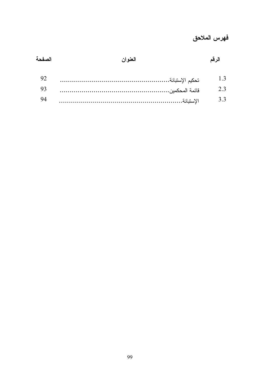## فهرس الملاحق

| الصفحة | العنوان | الر قم         |
|--------|---------|----------------|
| 92     |         | 1.3            |
| 93     |         | 2 <sub>3</sub> |
| 94     |         | 3.3            |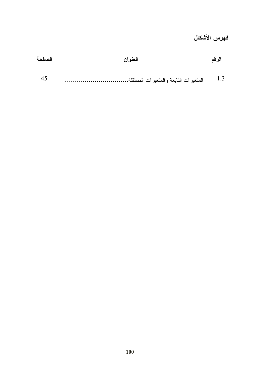## فهرس الأشكال

| الصفحة | العنو ان | الرقم |
|--------|----------|-------|
| -45    |          | 1.3   |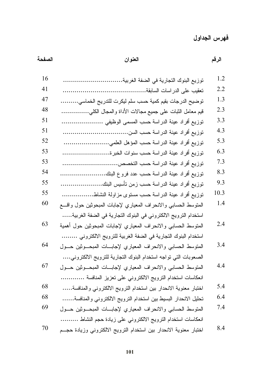الرقم<br>الرقم

العنوان

الصفحة

| العنو |  |  |
|-------|--|--|
|       |  |  |
|       |  |  |

$$
\begin{array}{lll}\n\text{S1} & \text{S2} \\
\text{S3} & \text{S3} \\
\text{S4} & \text{S5} \\
\text{S5} & \text{S6} \\
\text{S6} & \text{S6} \\
\text{S7} & \text{S8} \\
\text{S8} & \text{S1} \\
\text{S1} & \text{S2} \\
\text{S2} & \text{S1} \\
\text{S1} & \text{S2} \\
\text{S2} & \text{S3} \\
\text{S1} & \text{S2} \\
\text{S2} & \text{S3} \\
\text{S1} & \text{S2} \\
\text{S2} & \text{S3} \\
\text{S3} & \text{S4} \\
\text{S4} & \text{S5} \\
\text{S5} & \text{S6} \\
\text{S6} & \text{S7} \\
\text{S7} & \text{S8} \\
\text{S8} & \text{S9} \\
\text{S1} & \text{S1} \\
\text{S2} & \text{S2} \\
\text{S3} & \text{S3} \\
\text{S4} & \text{S5} \\
\text{S5} & \text{S6} \\
\text{S6} & \text{S7} \\
\text{S7} & \text{S8} \\
\text{S8} & \text{S9} \\
\text{S1} & \text{S1} \\
\text{S2} & \text{S2} \\
\text{S3} & \text{S3} \\
\text{S4} & \text{S5} \\
\text{S5} & \text{S6} \\
\text{S6} & \text{S7} \\
\text{S7} & \text{S8} \\
\text{S8} & \text{S9} \\
\text{S1} & \text{S1} \\
\text{S2} & \text{S2} \\
\text{S1} & \text{S3} \\
\text{S2} & \text{S4} \\
\text{S1} & \text{S5} \\
\text{S2} & \text{S6} \\
\text{S1} & \text{S1} \\
\text{S2} & \text{S2} \\
\text{S3} & \text{S3} \\
\text{S4} & \text{S5
$$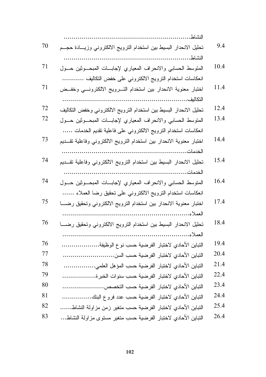|    | النشاط                                                                |      |
|----|-----------------------------------------------------------------------|------|
| 70 | تحليل الانحدار البسيط بين استخدام النرويج الالكتروني وزيسادة حجــم    | 9.4  |
|    |                                                                       |      |
| 71 | المنوسط الحسابي والانحراف المعياري لإجابات المبحوثين حسول             | 10.4 |
|    | انعكاسات استخدام النرويج الالكتروني على خفض النكاليف                  |      |
| 71 | اختبار معنوية الانحدار بين استخدام التسرويج الالكترونسي وخفسض         | 11.4 |
|    |                                                                       |      |
| 72 | تحليل الانحدار البسيط بين استخدام النرويج الالكتروني وخفض التكاليف    | 12.4 |
| 72 | المنوسط الحسابي والانحراف المعياري لإجابات المبحـوثين حــول           | 13.4 |
|    | انعكاسات استخدام النرويج الالكتروني على فاعلية نقديم الخدمات          |      |
| 73 | اختبار معنوية الانحدار بين استخدام النزويج الالكتروني وفاعلية تقــديم | 14.4 |
|    | الخدمات                                                               |      |
| 74 | تحليل الانحدار البسيط بين استخدام النرويج الالكتروني وفاعلية تقــديم  | 15.4 |
|    | الخدمات                                                               |      |
| 74 | المنوسط الحسابي والانحراف المعياري لإجابات المبحـوثين حـول            | 16.4 |
|    | انعكاسات استخدام النرويج الالكتروني على تحقيق رضا العملاء             |      |
| 75 | اختبار معنوية الانحدار بين استخدام الترويج الالكتروني وتحقيق رضـــا   | 17.4 |
|    | العملاء                                                               |      |
| 76 | تحليل الانحدار البسيط بين استخدام الترويج الالكتروني وتحقيق رضـــا    | 18.4 |
|    |                                                                       |      |
| 76 | التباين الأحادي لاختبار الفرضية حسب نوع الوظيفة                       | 19.4 |
| 77 |                                                                       | 20.4 |
| 78 | التباين الأحادي لاختبار الفرضية حسب المؤهل العلمي                     | 21.4 |
| 79 | التباين الأحادي لاختبار الفرضية حسب سنوات الخبر ة                     | 22.4 |
| 80 |                                                                       | 23.4 |
| 81 | التباين الأحادي لاختبار الفرضية حسب عدد فروع البنك                    | 24.4 |
| 82 | التباين الأحادي لاختبار الفرضية حسب متغير زمن مزاولة النشاط           | 25.4 |
| 83 | النباين الأحادي لاختبار الفرضية حسب متغير مستوى مزاولة النشاط         | 26.4 |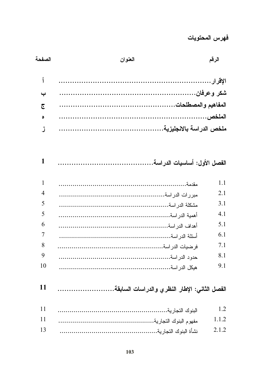## فهرس المحتويات

| الصفحة         | العنوان | الرقم |
|----------------|---------|-------|
|                |         |       |
| أ              |         |       |
| ب              |         |       |
|                |         |       |
| جح             |         |       |
| ٥              |         |       |
| ز              |         |       |
|                |         |       |
|                |         |       |
| 1              |         |       |
|                |         |       |
| $\mathbf{1}$   |         | 1.1   |
| $\overline{4}$ |         | 2.1   |
| 5              |         | 3.1   |
| 5              |         | 4.1   |
| 6              |         | 5.1   |
| 7              |         | 6.1   |
| 8              |         | 7.1   |
| 9              |         | 8.1   |
| 10             |         | 9.1   |
|                |         |       |
| 11             |         |       |
|                |         |       |
|                |         |       |
| 11             |         | 1.2   |
| 11             |         | 1.1.2 |
| 13             |         | 2.1.2 |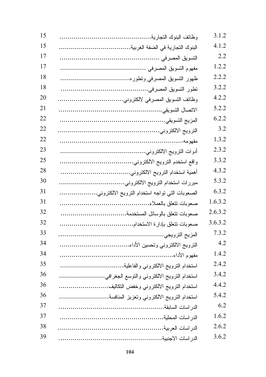| 15 |                                                | 3.1.2   |
|----|------------------------------------------------|---------|
| 15 |                                                | 4.1.2   |
| 17 |                                                | 2.2     |
| 17 |                                                | 1.2.2   |
| 18 |                                                | 2.2.2   |
| 18 |                                                | 3.2.2   |
| 20 |                                                | 4.2.2   |
| 21 |                                                | 5.2.2   |
| 22 |                                                | 6.2.2   |
| 22 |                                                | 3.2     |
| 22 |                                                | 1.3.2   |
| 23 |                                                | 2.3.2   |
| 25 |                                                | 3.3.2   |
| 28 |                                                | 4.3.2   |
| 30 |                                                | 5.3.2   |
| 31 | الصعوبات التي نواجه استخدام النزويج الالكتروني | 6.3.2   |
| 31 |                                                | 1.6.3.2 |
| 32 |                                                | 2.6.3.2 |
| 32 |                                                | 3.6.3.2 |
| 33 |                                                | 7.3.2   |
| 34 |                                                | 4.2     |
| 34 |                                                | 1.4.2   |
| 35 |                                                | 2.4.2   |
| 36 | استخدام النزويج الالكتروني والنوسع الجغرافي    | 3.4.2   |
| 36 |                                                | 4.4.2   |
| 36 |                                                | 5.4.2   |
| 37 |                                                | 6.2     |
| 37 |                                                | 1.6.2   |
| 38 |                                                | 2.6.2   |
| 39 |                                                | 3.6.2   |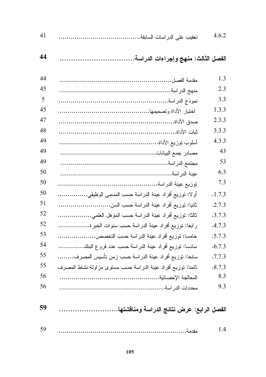|                                                              | 4.6.2  |
|--------------------------------------------------------------|--------|
|                                                              |        |
|                                                              | 1.3    |
|                                                              | 2.3    |
|                                                              | 3.3    |
|                                                              | 1.3.3  |
|                                                              | 2.3.3  |
|                                                              | 3.3.3  |
|                                                              | 4.3.3  |
|                                                              | 43     |
|                                                              | 53     |
|                                                              | 6.3    |
|                                                              | 7.3    |
| أولا: نوزيع أفراد عينة الدراسة حسب المسمى الوظيفي            | .1.7.3 |
|                                                              | .2.7.3 |
| ثالثا: توزيع أفراد عينة الدراسة حسب المؤهل العلمي            | .3.7.3 |
| رابعا: توزيع أفراد عينة الدراسة حسب سنوات الخبرة             | .4.7.3 |
| خامسا: توزيع أفراد عينة الدراسة حسب التخصص                   | .5.7.3 |
| سادسا: نوزيع أفراد عينة الدراسة حسب عدد فروع البنك           | .6.7.3 |
| سابعا: توزيع أفراد عينة الدراسة حسب زمن نأسيس المصرف         | .7.7.3 |
| ثامنا: توزيع أفراد عينة الدراسة حسب مستوى مزاولة نشاط المصرف | .8.7.3 |
|                                                              | 8.3    |
|                                                              | 9.3    |
| الفصل الرابع: عرض نتائج الدراسة ومناقشتها                    |        |
|                                                              | 1.4    |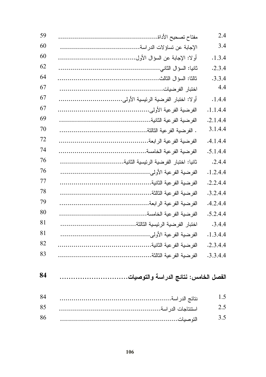| 59 | 2.4      |
|----|----------|
| 60 | 3.4      |
| 60 | .1.3.4   |
| 62 | .2.3.4   |
| 64 | .3.3.4   |
| 67 | 4.4      |
| 67 | .1.4.4   |
| 67 | .1.1.4.4 |
| 69 | .2.1.4.4 |
| 70 | 3.1.4.4  |
| 72 | .4.1.4.4 |
| 74 | .5.1.4.4 |
| 76 | .2.4.4   |
| 76 | .1.2.4.4 |
| 77 | .2.2.4.4 |
| 78 | .3.2.4.4 |
| 79 | .4.2.4.4 |
| 80 | .5.2.4.4 |
| 81 | .3.4.4   |
| 81 | .1.3.4.4 |
| 82 | .2.3.4.4 |
| 83 | .3.3.4.4 |
| 84 |          |
| 84 | 1.5      |
| 85 | 2.5      |
| 86 | 3.5      |